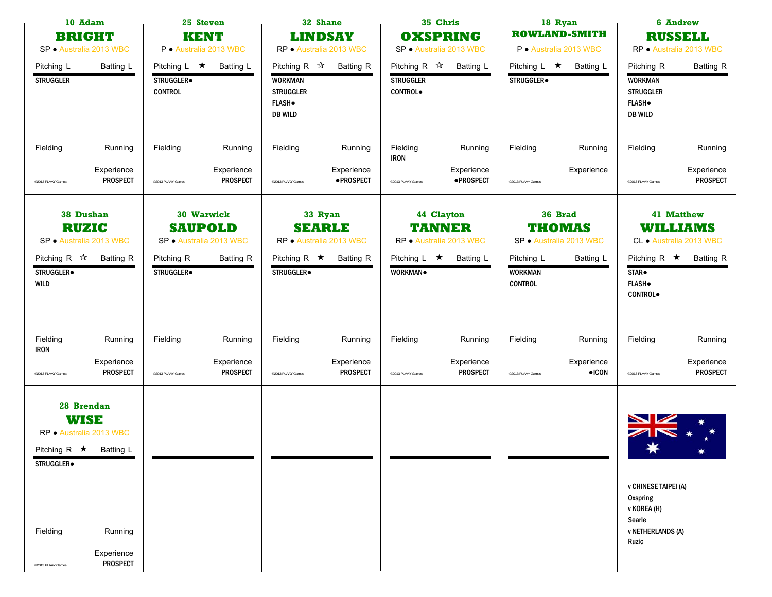| 10 Adam<br><b>BRIGHT</b><br>SP · Australia 2013 WBC                                                                                                                             | 25 Steven<br><b>KENT</b><br>P · Australia 2013 WBC                                                      | 32 Shane<br><b>LINDSAY</b><br>RP · Australia 2013 WBC                                                                     | 35 Chris<br><b>OXSPRING</b><br>SP · Australia 2013 WBC                                                | 18 Ryan<br><b>ROWLAND-SMITH</b><br>P · Australia 2013 WBC                                                   | <b>6 Andrew</b><br><b>RUSSELL</b><br>RP · Australia 2013 WBC                                                                                                |
|---------------------------------------------------------------------------------------------------------------------------------------------------------------------------------|---------------------------------------------------------------------------------------------------------|---------------------------------------------------------------------------------------------------------------------------|-------------------------------------------------------------------------------------------------------|-------------------------------------------------------------------------------------------------------------|-------------------------------------------------------------------------------------------------------------------------------------------------------------|
| Pitching L<br>Batting L<br><b>STRUGGLER</b>                                                                                                                                     | Pitching L $\star$<br>Batting L<br>STRUGGLER.<br><b>CONTROL</b>                                         | Pitching R $\sqrt{\lambda}$<br><b>Batting R</b><br><b>WORKMAN</b><br><b>STRUGGLER</b><br><b>FLASH</b> .<br><b>DB WILD</b> | Pitching R $\sqrt{\lambda}$<br><b>Batting L</b><br><b>STRUGGLER</b><br><b>CONTROL</b>                 | Pitching L $\star$<br>Batting L<br>STRUGGLER.                                                               | <b>Batting R</b><br>Pitching R<br><b>WORKMAN</b><br><b>STRUGGLER</b><br><b>FLASH</b> .<br><b>DB WILD</b>                                                    |
| Fielding<br>Running                                                                                                                                                             | Fielding<br>Running                                                                                     | Fielding<br>Running                                                                                                       | Fielding<br>Running<br><b>IRON</b>                                                                    | Fielding<br>Running                                                                                         | Fielding<br>Running                                                                                                                                         |
| Experience<br><b>PROSPECT</b><br>@2013 PLAAY Games                                                                                                                              | Experience<br>PROSPECT<br><sup>©</sup> 2013 PLAAY Games                                                 | Experience<br>· PROSPECT<br>©2013 PLAAY Games                                                                             | Experience<br><b>•PROSPECT</b><br>@2013 PLAAY Games                                                   | Experience<br>@2013 PLAAY Games                                                                             | Experience<br><b>PROSPECT</b><br>@2013 PLAAY Games                                                                                                          |
| 38 Dushan<br><b>RUZIC</b><br>SP · Australia 2013 WBC<br>Pitching R $\sqrt{\lambda}$<br><b>Batting R</b><br>STRUGGLER.<br><b>WILD</b>                                            | 30 Warwick<br><b>SAUPOLD</b><br>SP · Australia 2013 WBC<br>Pitching R<br><b>Batting R</b><br>STRUGGLER. | 33 Ryan<br><b>SEARLE</b><br>RP · Australia 2013 WBC<br>Pitching R $\star$<br><b>Batting R</b><br>STRUGGLER.               | 44 Clayton<br><b>TANNER</b><br>RP · Australia 2013 WBC<br>Pitching L $\star$<br>Batting L<br>WORKMAN. | 36 Brad<br>THOMAS<br>SP · Australia 2013 WBC<br>Pitching L<br>Batting L<br><b>WORKMAN</b><br><b>CONTROL</b> | <b>41 Matthew</b><br>WILLIAMS<br>CL · Australia 2013 WBC<br>Pitching R $\star$<br><b>Batting R</b><br>STAR <sup>.</sup><br><b>FLASH</b> .<br><b>CONTROL</b> |
| Fielding<br>Running<br><b>IRON</b>                                                                                                                                              | Fielding<br>Running                                                                                     | Fielding<br>Running                                                                                                       | Fielding<br>Running                                                                                   | Fielding<br>Running                                                                                         | Fielding<br>Running                                                                                                                                         |
| Experience<br><b>PROSPECT</b><br>@2013 PLAAY Games                                                                                                                              | Experience<br><b>PROSPECT</b><br><sup>©</sup> 2013 PLAAY Games                                          | Experience<br><b>PROSPECT</b><br>©2013 PLAAY Games                                                                        | Experience<br><b>PROSPECT</b><br>@2013 PLAAY Games                                                    | Experience<br>$\bullet$ ICON<br>@2013 PLAAY Games                                                           | Experience<br><b>PROSPECT</b><br>@2013 PLAAY Games                                                                                                          |
| 28 Brendan<br><b>WISE</b><br>RP · Australia 2013 WBC<br>Pitching R $\star$ Batting L<br>STRUGGLER.<br>Fielding<br>Running<br>Experience<br><b>PROSPECT</b><br>@2013 PLAAY Games |                                                                                                         |                                                                                                                           |                                                                                                       |                                                                                                             | <b>v CHINESE TAIPEI (A)</b><br><b>Oxspring</b><br>v KOREA (H)<br>Searle<br><b>v NETHERLANDS (A)</b><br>Ruzic                                                |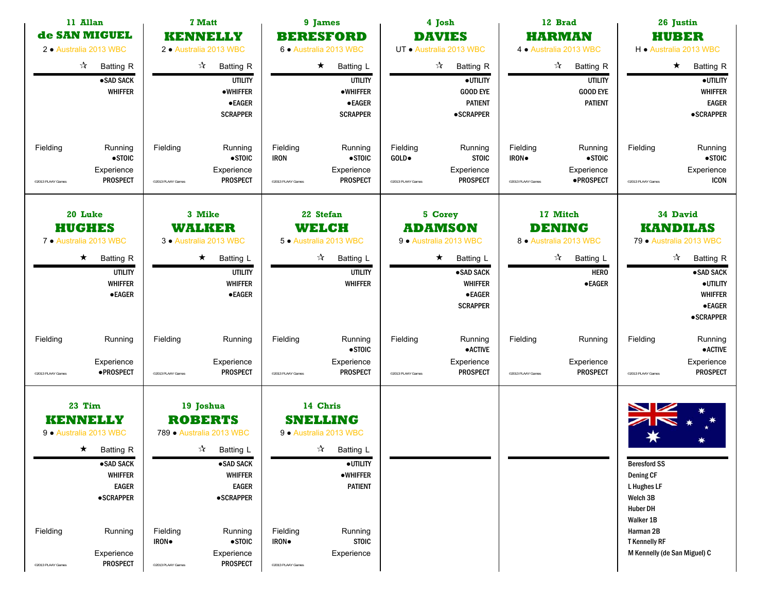| 11 Allan<br>de SAN MIGUEL<br>2 · Australia 2013 WBC                                                                                                                                                                      | <b>7 Matt</b><br><b>KENNELLY</b><br>2 · Australia 2013 WBC                                                                                                                                                                                                     | 9 James<br><b>BERESFORD</b><br>6 · Australia 2013 WBC                                                                                                                                                                           | 4 Josh<br><b>DAVIES</b><br>UT · Australia 2013 WBC                                                                                             | 12 Brad<br><b>HARMAN</b><br>4 · Australia 2013 WBC                                                                | 26 Justin<br><b>HUBER</b><br>H · Australia 2013 WBC                                                                                                                         |
|--------------------------------------------------------------------------------------------------------------------------------------------------------------------------------------------------------------------------|----------------------------------------------------------------------------------------------------------------------------------------------------------------------------------------------------------------------------------------------------------------|---------------------------------------------------------------------------------------------------------------------------------------------------------------------------------------------------------------------------------|------------------------------------------------------------------------------------------------------------------------------------------------|-------------------------------------------------------------------------------------------------------------------|-----------------------------------------------------------------------------------------------------------------------------------------------------------------------------|
| $\vec{\lambda}$<br><b>Batting R</b><br>·SAD SACK<br><b>WHIFFER</b>                                                                                                                                                       | ☆<br><b>Batting R</b><br>UTILITY<br><b>•WHIFFER</b><br><b>•EAGER</b><br><b>SCRAPPER</b>                                                                                                                                                                        | $\star$<br>Batting L<br><b>UTILITY</b><br><b>•WHIFFER</b><br>$\bullet$ EAGER<br><b>SCRAPPER</b>                                                                                                                                 | $\frac{1}{\sqrt{2}}$<br><b>Batting R</b><br>·UTILITY<br><b>GOOD EYE</b><br><b>PATIENT</b><br><b>•SCRAPPER</b>                                  | $\boldsymbol{\mathcal{A}}$<br><b>Batting R</b><br><b>UTILITY</b><br><b>GOOD EYE</b><br><b>PATIENT</b>             | $\star$<br><b>Batting R</b><br>$\bullet$ UTILITY<br><b>WHIFFER</b><br><b>EAGER</b><br><b>•SCRAPPER</b>                                                                      |
| Fielding<br>Running<br>$\bullet$ STOIC<br>Experience<br><b>PROSPECT</b><br>@2013 PLAAY Games                                                                                                                             | Fielding<br>Running<br>$\bullet$ STOIC<br>Experience<br><b>PROSPECT</b><br>@2013 PLAAY Games                                                                                                                                                                   | Fielding<br>Running<br>$\bullet$ STOIC<br><b>IRON</b><br>Experience<br>PROSPECT<br>@2013 PLAAY Games                                                                                                                            | Fielding<br>Running<br>GOLD.<br><b>STOIC</b><br>Experience<br><b>PROSPECT</b><br>@2013 PLAAY Games                                             | Fielding<br>Running<br>$\bullet$ STOIC<br>IRON.<br>Experience<br>·PROSPECT<br>@2013 PLAAY Games                   | Fielding<br>Running<br>$\bullet$ STOIC<br>Experience<br>ICON<br>@2013 PLAAY Games                                                                                           |
| 20 Luke<br><b>HUGHES</b><br>7 · Australia 2013 WBC<br><b>Batting R</b><br>$\star$<br><b>UTILITY</b><br><b>WHIFFER</b><br>$\bullet$ EAGER                                                                                 | 3 Mike<br><b>WALKER</b><br>3 · Australia 2013 WBC<br>$\star$<br>Batting L<br><b>UTILITY</b><br><b>WHIFFER</b><br><b>•EAGER</b>                                                                                                                                 | 22 Stefan<br><b>WELCH</b><br>5 · Australia 2013 WBC<br>$\frac{1}{\sqrt{2}}$<br>Batting L<br><b>UTILITY</b><br><b>WHIFFER</b>                                                                                                    | 5 Corey<br><b>ADAMSON</b><br>9 · Australia 2013 WBC<br>$\star$<br>Batting L<br>·SAD SACK<br><b>WHIFFER</b><br><b>•EAGER</b><br><b>SCRAPPER</b> | 17 Mitch<br><b>DENING</b><br>8 · Australia 2013 WBC<br>$\frac{1}{2}$<br>Batting L<br><b>HERO</b><br><b>•EAGER</b> | 34 David<br><b>KANDILAS</b><br>79 · Australia 2013 WBC<br>$\frac{1}{2}$<br><b>Batting R</b><br>·SAD SACK<br>·UTILITY<br><b>WHIFFER</b><br><b>•EAGER</b><br><b>•SCRAPPER</b> |
| Fielding<br>Running<br>Experience<br>·PROSPECT<br>@2013 PLAAY Games                                                                                                                                                      | Fielding<br>Running<br>Experience<br><b>PROSPECT</b><br><sup>©</sup> 2013 PLAAY Games                                                                                                                                                                          | Fielding<br>Running<br>$\bullet$ STOIC<br>Experience<br><b>PROSPECT</b><br>@2013 PLAAY Games                                                                                                                                    | Fielding<br>Running<br><b>•ACTIVE</b><br>Experience<br><b>PROSPECT</b><br>@2013 PLAAY Games                                                    | Fielding<br>Running<br>Experience<br><b>PROSPECT</b><br>@2013 PLAAY Games                                         | Fielding<br>Running<br>$\bullet$ ACTIVE<br>Experience<br><b>PROSPECT</b><br>@2013 PLAAY Games                                                                               |
| 23 Tim<br><b>KENNELLY</b><br>9 · Australia 2013 WBC<br>$\star$ Batting R<br>·SAD SACK<br><b>WHIFFER</b><br><b>EAGER</b><br><b>•SCRAPPER</b><br>Fielding<br>Running<br>Experience<br><b>PROSPECT</b><br>@2013 PLAAY Games | 19 Joshua<br><b>ROBERTS</b><br>789 · Australia 2013 WBC<br>$\sqrt[3]{ }$ Batting L<br>·SAD SACK<br><b>WHIFFER</b><br><b>EAGER</b><br><b>•SCRAPPER</b><br>Fielding<br>Running<br>$\bullet$ STOIC<br>IRON.<br>Experience<br><b>PROSPECT</b><br>@2013 PLAAY Games | 14 Chris<br><b>SNELLING</b><br>9 · Australia 2013 WBC<br>$\sqrt[3]{ }$ Batting L<br>$\bullet$ UTILITY<br>$\bullet$ WHIFFER<br><b>PATIENT</b><br>Fielding<br>Running<br>IRON.<br><b>STOIC</b><br>Experience<br>@2013 PLAAY Games |                                                                                                                                                |                                                                                                                   | <b>Beresford SS</b><br>Dening CF<br>L Hughes LF<br>Welch 3B<br><b>Huber DH</b><br>Walker 1B<br>Harman 2B<br><b>T</b> Kennelly RF<br>M Kennelly (de San Miguel) C            |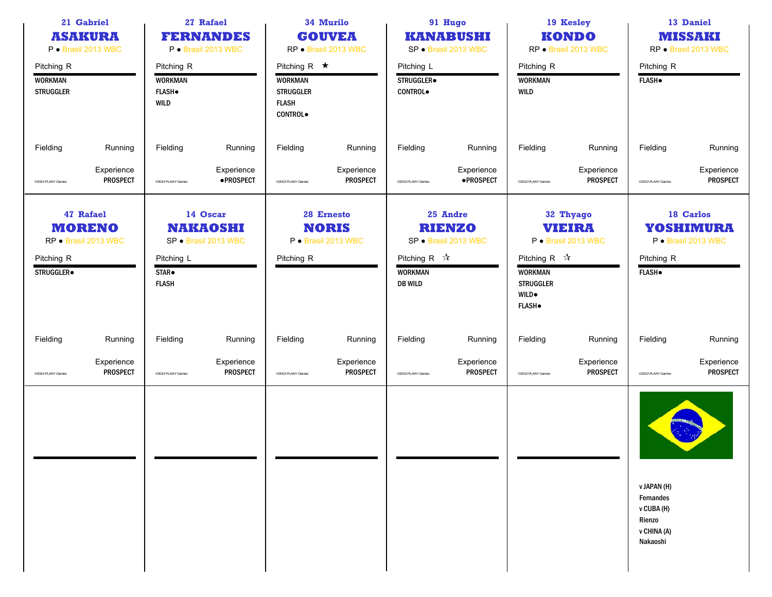|                                                  | 21 Gabriel<br>27 Rafael<br><b>FERNANDES</b><br><b>ASAKURA</b><br>P · Brasil 2013 WBC<br>P · Brasil 2013 WBC |                                                             | 34 Murilo<br><b>GOUVEA</b><br>RP · Brasil 2013 WBC  |                                                                                            |                                                   | 91 Hugo<br><b>KANABUSHI</b><br>SP · Brasil 2013 WBC      |                                                   | 19 Kesley<br><b>KONDO</b><br>RP · Brasil 2013 WBC                                                  |                                                   | 13 Daniel<br><b>MISSAKI</b><br>RP · Brasil 2013 WBC                         |                                                      |
|--------------------------------------------------|-------------------------------------------------------------------------------------------------------------|-------------------------------------------------------------|-----------------------------------------------------|--------------------------------------------------------------------------------------------|---------------------------------------------------|----------------------------------------------------------|---------------------------------------------------|----------------------------------------------------------------------------------------------------|---------------------------------------------------|-----------------------------------------------------------------------------|------------------------------------------------------|
| Pitching R<br><b>WORKMAN</b><br><b>STRUGGLER</b> |                                                                                                             | Pitching R<br><b>WORKMAN</b><br><b>FLASH</b><br><b>WILD</b> |                                                     | Pitching R $\star$<br><b>WORKMAN</b><br><b>STRUGGLER</b><br><b>FLASH</b><br><b>CONTROL</b> |                                                   | Pitching L<br>STRUGGLER.<br>CONTROL.                     |                                                   | Pitching R<br><b>WORKMAN</b><br>WILD                                                               |                                                   | Pitching R<br><b>FLASH</b> .                                                |                                                      |
| Fielding                                         | Running                                                                                                     | Fielding                                                    | Running                                             | Fielding                                                                                   | Running                                           | Fielding                                                 | Running                                           | Fielding                                                                                           | Running                                           | Fielding                                                                    | Running                                              |
| @2013 PLAAY Games                                | Experience<br><b>PROSPECT</b>                                                                               | <sup>©</sup> 2013 PLAAY Games                               | Experience<br>· PROSPECT                            | @2013 PLAAY Games                                                                          | Experience<br><b>PROSPECT</b>                     | ©2013 PLAAY Games                                        | Experience<br>·PROSPECT                           | @2013 PLAAY Games                                                                                  | Experience<br><b>PROSPECT</b>                     | @2013 PLAAY Games                                                           | Experience<br><b>PROSPECT</b>                        |
| Pitching R<br>STRUGGLER.                         | 47 Rafael<br><b>MORENO</b><br>RP · Brasil 2013 WBC                                                          | Pitching L<br>STAR <sup>.</sup><br><b>FLASH</b>             | 14 Oscar<br><b>NAKAOSHI</b><br>SP · Brasil 2013 WBC | Pitching R                                                                                 | 28 Ernesto<br><b>NORIS</b><br>P · Brasil 2013 WBC | Pitching R $\forall$<br><b>WORKMAN</b><br><b>DB WILD</b> | 25 Andre<br><b>RIENZO</b><br>SP · Brasil 2013 WBC | Pitching R $\sqrt{\lambda}$<br><b>WORKMAN</b><br><b>STRUGGLER</b><br><b>WILD</b> .<br><b>FLASH</b> | 32 Thyago<br><b>VIEIRA</b><br>P · Brasil 2013 WBC | Pitching R<br><b>FLASH</b> .                                                | 18 Carlos<br><b>YOSHIMURA</b><br>P · Brasil 2013 WBC |
| Fielding                                         | Running                                                                                                     | Fielding                                                    | Running                                             | Fielding                                                                                   | Running                                           | Fielding                                                 | Running                                           | Fielding                                                                                           | Running                                           | Fielding                                                                    | Running                                              |
| <sup>©</sup> 2013 PLAAY Games                    | Experience<br><b>PROSPECT</b>                                                                               | <sup>o</sup> 2013 PLAAY Games                               | Experience<br><b>PROSPECT</b>                       | @2013 PLAAY Games                                                                          | Experience<br><b>PROSPECT</b>                     | ©2013 PLAAY Games                                        | Experience<br><b>PROSPECT</b>                     | @2013 PLAAY Games                                                                                  | Experience<br><b>PROSPECT</b>                     | @2013 PLAAY Games                                                           | Experience<br><b>PROSPECT</b>                        |
|                                                  |                                                                                                             |                                                             |                                                     |                                                                                            |                                                   |                                                          |                                                   |                                                                                                    |                                                   | v JAPAN (H)<br>Fernandes<br>v CUBA (H)<br>Rienzo<br>v CHINA (A)<br>Nakaoshi |                                                      |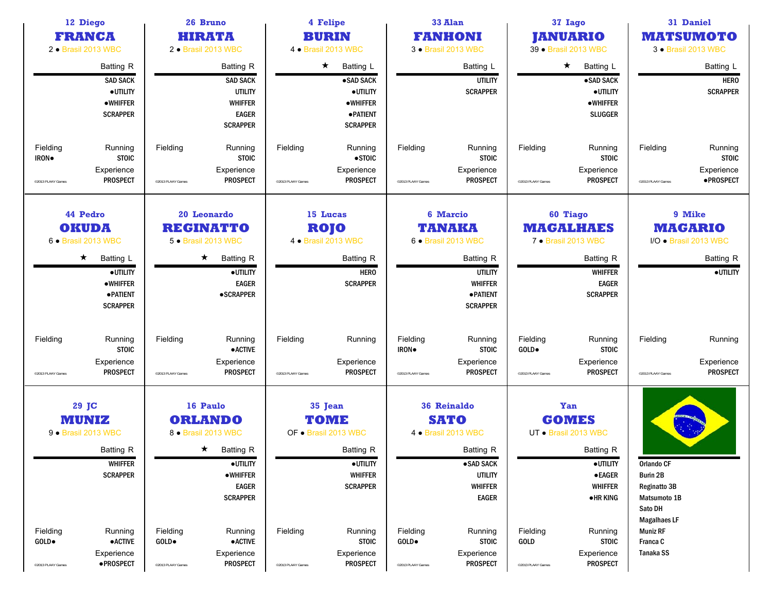| 12 Diego<br><b>FRANCA</b><br>2 · Brasil 2013 WBC           |                                                                                       | 26 Bruno<br>HIRATA<br>2 · Brasil 2013 WBC                         |                                                                                                            |                               | 4 Felipe<br><b>BURIN</b><br>4 • Brasil 2013 WBC                                                                                  |                                        | 33 Alan<br><b>FANHONI</b><br>3 • Brasil 2013 WBC                                                                                                  | 37 Iago<br><b>JANUARIO</b><br>39 · Brasil 2013 WBC |                                                                                                                                                         | 31 Daniel<br><b>MATSUMOTO</b><br>3 · Brasil 2013 WBC                                                                      |                                                                                   |
|------------------------------------------------------------|---------------------------------------------------------------------------------------|-------------------------------------------------------------------|------------------------------------------------------------------------------------------------------------|-------------------------------|----------------------------------------------------------------------------------------------------------------------------------|----------------------------------------|---------------------------------------------------------------------------------------------------------------------------------------------------|----------------------------------------------------|---------------------------------------------------------------------------------------------------------------------------------------------------------|---------------------------------------------------------------------------------------------------------------------------|-----------------------------------------------------------------------------------|
|                                                            | <b>Batting R</b><br><b>SAD SACK</b><br>·UTILITY<br><b>•WHIFFER</b><br><b>SCRAPPER</b> |                                                                   | <b>Batting R</b><br><b>SAD SACK</b><br><b>UTILITY</b><br><b>WHIFFER</b><br><b>EAGER</b><br><b>SCRAPPER</b> |                               | $\star$<br><b>Batting L</b><br>·SAD SACK<br>· UTILITY<br>$\bullet$ WHIFFER<br><b>• PATIENT</b><br><b>SCRAPPER</b>                |                                        | Batting L<br>UTILITY<br><b>SCRAPPER</b>                                                                                                           |                                                    | $\star$<br><b>Batting L</b><br>·SAD SACK<br>·UTILITY<br><b>•WHIFFER</b><br><b>SLUGGER</b>                                                               |                                                                                                                           | Batting L<br><b>HERO</b><br><b>SCRAPPER</b>                                       |
| Fielding<br>IRON.<br>@2013 PLAAY Games                     | Running<br><b>STOIC</b><br>Experience<br><b>PROSPECT</b>                              | Fielding<br><sup>©</sup> 2013 PLAAY Games                         | Running<br><b>STOIC</b><br>Experience<br><b>PROSPECT</b>                                                   | Fielding<br>@2013 PLAAY Games | Running<br>$\bullet$ STOIC<br>Experience<br><b>PROSPECT</b>                                                                      | Fielding<br>©2013 PLAAY Games          | Running<br><b>STOIC</b><br>Experience<br><b>PROSPECT</b>                                                                                          | Fielding<br>@2013 PLAAY Games                      | Running<br><b>STOIC</b><br>Experience<br><b>PROSPECT</b>                                                                                                | Fielding<br>@2013 PLAAY Games                                                                                             | Running<br><b>STOIC</b><br>Experience<br>·PROSPECT                                |
| 44 Pedro<br><b>OKUDA</b><br>6 · Brasil 2013 WBC<br>$\star$ | Batting L<br>·UTILITY<br><b>•WHIFFER</b><br><b>• PATIENT</b><br><b>SCRAPPER</b>       | 20 Leonardo<br><b>REGINATTO</b><br>5 · Brasil 2013 WBC<br>$\star$ | Batting R<br>· UTILITY<br><b>EAGER</b><br><b>•SCRAPPER</b>                                                 |                               | 15 Lucas<br><b>ROJO</b><br>4 • Brasil 2013 WBC<br><b>Batting R</b><br><b>HERO</b><br><b>SCRAPPER</b>                             |                                        | <b>6 Marcio</b><br>TANAKA<br>6 · Brasil 2013 WBC<br><b>Batting R</b><br><b>UTILITY</b><br><b>WHIFFER</b><br><b>• PATIENT</b><br><b>SCRAPPER</b>   |                                                    | <b>60 Tiago</b><br><b>MAGALHAES</b><br>7 · Brasil 2013 WBC<br><b>Batting R</b><br><b>WHIFFER</b><br><b>EAGER</b><br><b>SCRAPPER</b>                     |                                                                                                                           | 9 Mike<br><b>MAGARIO</b><br>I/O · Brasil 2013 WBC<br><b>Batting R</b><br>·UTILITY |
| Fielding<br><sup>©</sup> 2013 PLAAY Games                  | Running<br><b>STOIC</b><br>Experience<br><b>PROSPECT</b>                              | Fielding<br><sup>©</sup> 2013 PLAAY Games                         | Running<br><b>•ACTIVE</b><br>Experience<br><b>PROSPECT</b>                                                 | Fielding<br>@2013 PLAAY Games | Running<br>Experience<br><b>PROSPECT</b>                                                                                         | Fielding<br>IRON.<br>@2013 PLAAY Games | Running<br><b>STOIC</b><br>Experience<br><b>PROSPECT</b>                                                                                          | Fielding<br>GOLD.<br>@2013 PLAAY Games             | Running<br><b>STOIC</b><br>Experience<br><b>PROSPECT</b>                                                                                                | Fielding<br>@2013 PLAAY Games                                                                                             | Running<br>Experience<br><b>PROSPECT</b>                                          |
| 29 JC<br><b>MUNIZ</b><br>9 · Brasil 2013 WBC<br>Fielding   | Batting R<br><b>WHIFFER</b><br><b>SCRAPPER</b><br>Running                             | 16 Paulo<br><b>ORLANDO</b><br>8 · Brasil 2013 WBC<br>Fielding     | $\star$ Batting R<br>$\bullet$ UTILITY<br>$\bullet$ WHIFFER<br><b>EAGER</b><br><b>SCRAPPER</b><br>Running  | Fielding                      | 35 Jean<br><b>TOME</b><br>OF . Brasil 2013 WBC<br>Batting R<br>$\bullet$ UTILITY<br><b>WHIFFER</b><br><b>SCRAPPER</b><br>Running | Fielding                               | <b>36 Reinaldo</b><br><b>SATO</b><br>4 • Brasil 2013 WBC<br>Batting R<br>·SAD SACK<br><b>UTILITY</b><br><b>WHIFFER</b><br><b>EAGER</b><br>Running | Fielding                                           | <b>Yan</b><br><b>GOMES</b><br>UT · Brasil 2013 WBC<br><b>Batting R</b><br>·UTILITY<br>$\bullet$ EAGER<br><b>WHIFFER</b><br>$\bullet$ HR KING<br>Running | <b>Orlando CF</b><br><b>Burin 2B</b><br>Reginatto 3B<br>Matsumoto 1B<br>Sato DH<br><b>Magalhaes LF</b><br><b>Muniz RF</b> |                                                                                   |
| GOLD●<br>@2013 PLAAY Games                                 | $\bullet$ ACTIVE<br>Experience<br>·PROSPECT                                           | GOLD•<br><sup>o</sup> 2013 PLAAY Games                            | $\bullet$ ACTIVE<br>Experience<br><b>PROSPECT</b>                                                          | @2013 PLAAY Games             | <b>STOIC</b><br>Experience<br><b>PROSPECT</b>                                                                                    | GOLD.<br>@2013 PLAAY Games             | <b>STOIC</b><br>Experience<br><b>PROSPECT</b>                                                                                                     | GOLD<br>@2013 PLAAY Games                          | <b>STOIC</b><br>Experience<br><b>PROSPECT</b>                                                                                                           | Franca C<br>Tanaka SS                                                                                                     |                                                                                   |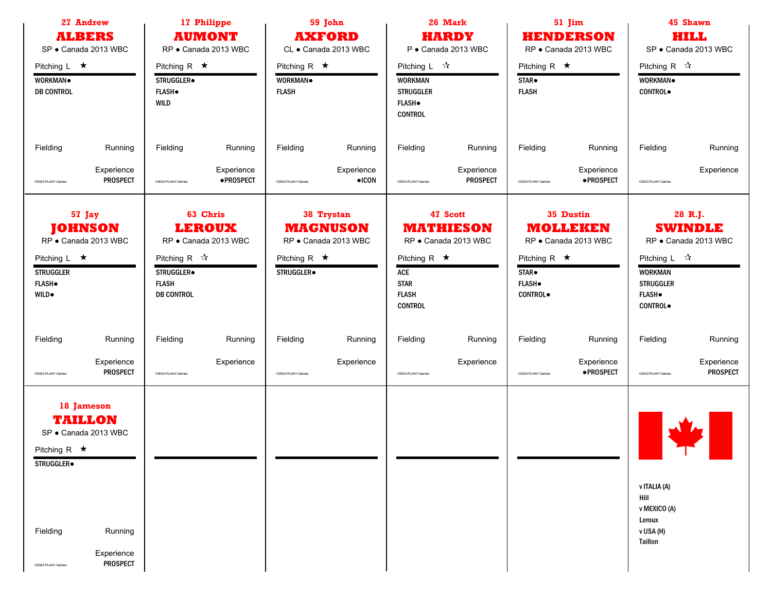| 27 Andrew<br><b>ALBERS</b><br>SP · Canada 2013 WBC                                                                                                             | 17 Philippe<br><b>AUMONT</b><br>RP · Canada 2013 WBC                                                                                | 59 John<br><b>AXFORD</b><br>CL · Canada 2013 WBC                                          | 26 Mark<br><b>HARDY</b><br>P · Canada 2013 WBC                                                                                     | 51 Jim<br><b>HENDERSON</b><br>RP · Canada 2013 WBC                                                                                  | 45 Shawn<br><b>HILL</b><br>SP · Canada 2013 WBC                                                                                                               |  |
|----------------------------------------------------------------------------------------------------------------------------------------------------------------|-------------------------------------------------------------------------------------------------------------------------------------|-------------------------------------------------------------------------------------------|------------------------------------------------------------------------------------------------------------------------------------|-------------------------------------------------------------------------------------------------------------------------------------|---------------------------------------------------------------------------------------------------------------------------------------------------------------|--|
| Pitching $L \star$<br>WORKMAN.<br><b>DB CONTROL</b>                                                                                                            | Pitching R $\star$<br>STRUGGLER.<br><b>FLASH</b> .<br><b>WILD</b>                                                                   | Pitching R $\star$<br>WORKMAN.<br><b>FLASH</b>                                            | Pitching $L \quad \mathcal{R}$<br><b>WORKMAN</b><br><b>STRUGGLER</b><br><b>FLASH</b> .<br><b>CONTROL</b>                           | Pitching R $\star$<br>STAR <sup>.</sup><br><b>FLASH</b>                                                                             | Pitching R $\sqrt{\lambda}$<br>WORKMAN.<br><b>CONTROL</b>                                                                                                     |  |
| Fielding<br>Running<br>Experience<br><b>PROSPECT</b><br><sup>©</sup> 2013 PLAAY Games                                                                          | Fielding<br>Running<br>Experience<br>· PROSPECT<br><sup>©</sup> 2013 PLAAY Games                                                    | Fielding<br>Running<br>Experience<br>$\bullet$ ICON<br><sup>©2013</sup> PLAAY Games       | Fielding<br>Running<br>Experience<br><b>PROSPECT</b><br>©2013 PLAAY Games                                                          | Fielding<br>Running<br>Experience<br>·PROSPECT<br>@2013 PLAAY Games                                                                 | Fielding<br>Running<br>Experience<br>@2013 PLAAY Games                                                                                                        |  |
| 57 Jay<br><b>JOHNSON</b><br>RP · Canada 2013 WBC<br>Pitching $L \star$<br><b>STRUGGLER</b><br><b>FLASH</b> .<br><b>WILD</b> .                                  | 63 Chris<br><b>LEROUX</b><br>RP · Canada 2013 WBC<br>Pitching R $\sqrt{\lambda}$<br>STRUGGLER.<br><b>FLASH</b><br><b>DB CONTROL</b> | 38 Trystan<br><b>MAGNUSON</b><br>RP · Canada 2013 WBC<br>Pitching R $\star$<br>STRUGGLER. | 47 Scott<br><b>MATHIESON</b><br>RP · Canada 2013 WBC<br>Pitching R $\star$<br>ACE<br><b>STAR</b><br><b>FLASH</b><br><b>CONTROL</b> | 35 Dustin<br><b>MOLLEKEN</b><br>RP · Canada 2013 WBC<br>Pitching R $\star$<br>STAR <sup>.</sup><br><b>FLASH</b> .<br><b>CONTROL</b> | 28 R.J.<br><b>SWINDLE</b><br>RP · Canada 2013 WBC<br>Pitching $L \quad \sqrt[4]{x}$<br><b>WORKMAN</b><br><b>STRUGGLER</b><br><b>FLASH</b> .<br><b>CONTROL</b> |  |
| Fielding<br>Running<br>Experience<br><b>PROSPECT</b><br>02013 PLAAY Games                                                                                      | Fielding<br>Running<br>Experience<br><sup>©</sup> 2013 PLAAY Games                                                                  | Fielding<br>Running<br>Experience<br>@2013 PLAAY Games                                    | Fielding<br>Running<br>Experience<br>©2013 PLAAY Games                                                                             | Fielding<br>Running<br>Experience<br>·PROSPECT<br>@2013 PLAAY Games                                                                 | Fielding<br>Running<br>Experience<br><b>PROSPECT</b><br>@2013 PLAAY Games                                                                                     |  |
| 18 Jameson<br><b>TAILLON</b><br>SP · Canada 2013 WBC<br>Pitching R $\star$<br>STRUGGLER.<br>Fielding<br>Running<br>Experience<br>PROSPECT<br>@2013 PLAAY Games |                                                                                                                                     |                                                                                           |                                                                                                                                    |                                                                                                                                     | v ITALIA (A)<br>Hill<br>v MEXICO (A)<br>Leroux<br>v USA (H)<br>Taillon                                                                                        |  |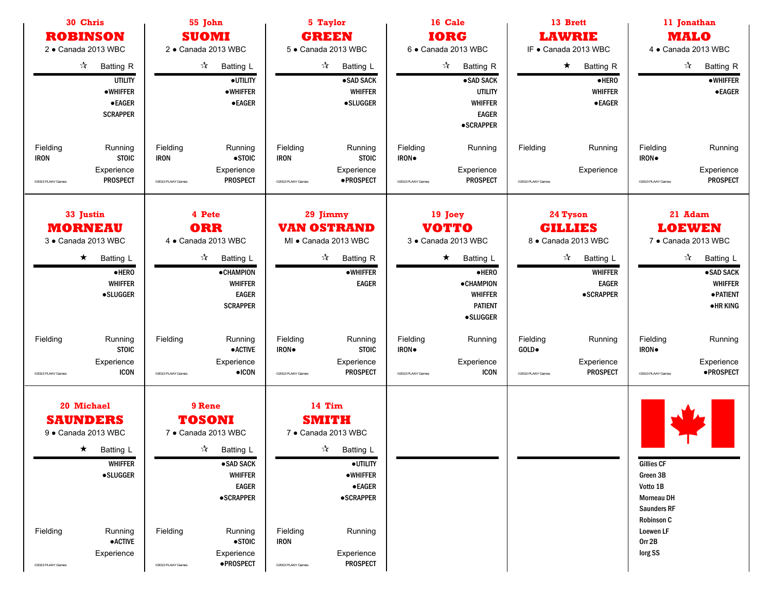| 30 Chris<br>55 John                                                                                                                                                                             |                                                                                                                                                                                                                                                              | 5 Taylor                                                                                                                                                                                                                                             | 16 Cale                                                                                                                                             | 13 Brett                                                                                                                                     | 11 Jonathan                                                                                                                                 |
|-------------------------------------------------------------------------------------------------------------------------------------------------------------------------------------------------|--------------------------------------------------------------------------------------------------------------------------------------------------------------------------------------------------------------------------------------------------------------|------------------------------------------------------------------------------------------------------------------------------------------------------------------------------------------------------------------------------------------------------|-----------------------------------------------------------------------------------------------------------------------------------------------------|----------------------------------------------------------------------------------------------------------------------------------------------|---------------------------------------------------------------------------------------------------------------------------------------------|
| <b>ROBINSON</b>                                                                                                                                                                                 | <b>SUOMI</b>                                                                                                                                                                                                                                                 | <b>GREEN</b>                                                                                                                                                                                                                                         | <b>IORG</b>                                                                                                                                         | <b>LAWRIE</b>                                                                                                                                | <b>MALO</b>                                                                                                                                 |
| 2 · Canada 2013 WBC                                                                                                                                                                             | 2 · Canada 2013 WBC                                                                                                                                                                                                                                          | 5 · Canada 2013 WBC                                                                                                                                                                                                                                  | 6 · Canada 2013 WBC                                                                                                                                 | IF . Canada 2013 WBC                                                                                                                         | 4 · Canada 2013 WBC                                                                                                                         |
| $\frac{1}{\sqrt{2}}$<br><b>Batting R</b><br><b>UTILITY</b><br><b>•WHIFFER</b><br>$\bullet$ EAGER<br><b>SCRAPPER</b>                                                                             | $\frac{1}{\sqrt{2}}$<br>Batting L<br>· UTILITY<br><b>•WHIFFER</b><br><b>•EAGER</b>                                                                                                                                                                           | $\frac{1}{\sqrt{2}}$<br><b>Batting L</b><br>·SAD SACK<br><b>WHIFFER</b><br><b>•SLUGGER</b>                                                                                                                                                           | $\frac{1}{\sqrt{2}}$<br><b>Batting R</b><br>•SAD SACK<br><b>UTILITY</b><br><b>WHIFFER</b><br><b>EAGER</b><br><b>•SCRAPPER</b>                       | $\star$<br><b>Batting R</b><br>$\bullet$ HERO<br><b>WHIFFER</b><br><b>•EAGER</b>                                                             | ☆<br><b>Batting R</b><br><b>•WHIFFER</b><br>$\bullet$ EAGER                                                                                 |
| Fielding<br>Running<br><b>STOIC</b><br><b>IRON</b><br>Experience<br><b>PROSPECT</b><br>@2013 PLAAY Games                                                                                        | Fielding<br>Running<br><b>IRON</b><br>$\bullet$ STOIC<br>Experience<br><b>PROSPECT</b><br><sup>o</sup> 2013 PLAAY Games                                                                                                                                      | Fielding<br>Running<br><b>STOIC</b><br><b>IRON</b><br>Experience<br>·PROSPECT<br>@2013 PLAAY Games                                                                                                                                                   | Fielding<br>Running<br>IRON.<br>Experience<br><b>PROSPECT</b><br>@2013 PLAAY Games                                                                  | Fielding<br>Running<br>Experience<br>@2013 PLAAY Games                                                                                       | Fielding<br>Running<br>IRON.<br>Experience<br><b>PROSPECT</b><br>@2013 PLAAY Games                                                          |
| 33 Justin<br><b>MORNEAU</b><br>3 · Canada 2013 WBC<br>$\star$<br>Batting L<br>$\bullet$ HERO<br><b>WHIFFER</b><br><b>•SLUGGER</b>                                                               | 4 Pete<br><b>ORR</b><br>4 · Canada 2013 WBC<br>$\frac{1}{\sqrt{2}}$<br>Batting L<br><b>•CHAMPION</b><br><b>WHIFFER</b><br><b>EAGER</b><br><b>SCRAPPER</b>                                                                                                    | 29 Jimmy<br><b>VAN OSTRAND</b><br>MI · Canada 2013 WBC<br>$\frac{1}{\sqrt{2}}$<br><b>Batting R</b><br><b>•WHIFFER</b><br><b>EAGER</b>                                                                                                                | 19 Joey<br><b>VOTTO</b><br>3 · Canada 2013 WBC<br>$\star$<br>Batting L<br>·HERO<br>·CHAMPION<br><b>WHIFFER</b><br><b>PATIENT</b><br><b>•SLUGGER</b> | 24 Tyson<br><b>GILLIES</b><br>8 · Canada 2013 WBC<br>$\frac{1}{\sqrt{2}}$<br>Batting L<br><b>WHIFFER</b><br><b>EAGER</b><br><b>•SCRAPPER</b> | 21 Adam<br><b>LOEWEN</b><br>7 · Canada 2013 WBC<br>☆<br>Batting L<br>·SAD SACK<br><b>WHIFFER</b><br><b>• PATIENT</b><br><b>•HRKING</b>      |
| Fielding<br>Running<br><b>STOIC</b><br>Experience<br><b>ICON</b><br>@2013 PLAAY Games                                                                                                           | Fielding<br>Running<br><b>•ACTIVE</b><br>Experience<br>$\bullet$ ICON<br><sup>©</sup> 2013 PLAAY Games                                                                                                                                                       | Fielding<br>Running<br>IRON.<br><b>STOIC</b><br>Experience<br><b>PROSPECT</b><br>@2013 PLAAY Games                                                                                                                                                   | Fielding<br>Running<br>IRON.<br>Experience<br><b>ICON</b><br>@2013 PLAAY Games                                                                      | Fielding<br>Running<br>GOLD.<br>Experience<br><b>PROSPECT</b><br>@2013 PLAAY Games                                                           | Fielding<br>Running<br>IRON.<br>Experience<br>·PROSPECT<br>@2013 PLAAY Games                                                                |
| 20 Michael<br><b>SAUNDERS</b><br>9 · Canada 2013 WBC<br>$\star$<br>Batting L<br><b>WHIFFER</b><br><b>•SLUGGER</b><br>Fielding<br>Running<br>$\bullet$ ACTIVE<br>Experience<br>@2013 PLAAY Games | 9 Rene<br><b>TOSONI</b><br>7 · Canada 2013 WBC<br>$\frac{1}{\sqrt{2}}$<br>Batting L<br>·SAD SACK<br><b>WHIFFER</b><br><b>EAGER</b><br><b>•SCRAPPER</b><br>Fielding<br>Running<br>$\bullet$ STOIC<br>Experience<br>·PROSPECT<br><sup>©</sup> 2013 PLAAY Games | 14 Tim<br><b>SMITH</b><br>7 · Canada 2013 WBC<br>$\frac{1}{\sqrt{2}}$<br>Batting L<br>·UTILITY<br><b>•WHIFFER</b><br>$\bullet$ EAGER<br><b>•SCRAPPER</b><br>Fielding<br>Running<br><b>IRON</b><br>Experience<br><b>PROSPECT</b><br>@2013 PLAAY Games |                                                                                                                                                     |                                                                                                                                              | <b>Gillies CF</b><br>Green 3B<br>Votto 1B<br><b>Morneau DH</b><br><b>Saunders RF</b><br><b>Robinson C</b><br>Loewen LF<br>Orr 2B<br>lorg SS |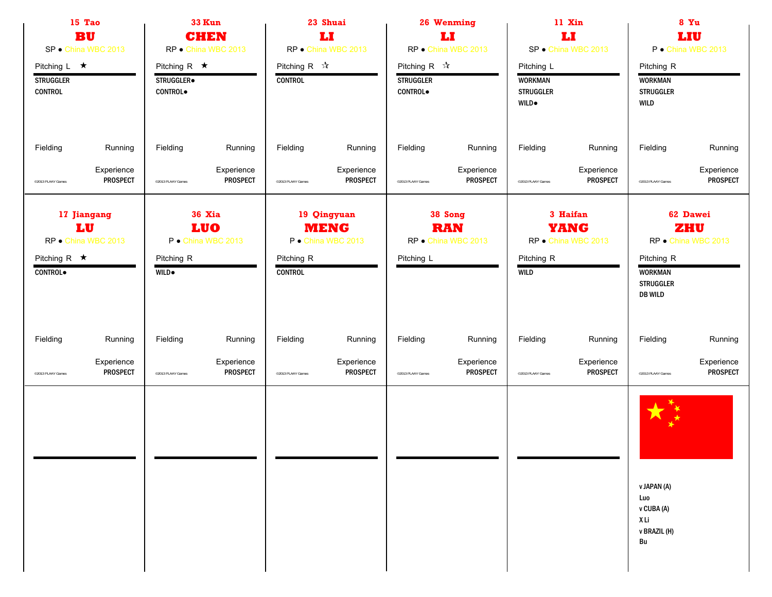| 15 Tao<br><b>BU</b><br>SP · China WBC 2013                                 |                               |                                                    | <b>33 Kun</b><br><b>CHEN</b><br>RP · China WBC 2013 |                                               | 23 Shuai<br>IJ<br>RP · China WBC 2013            |                                                             | 26 Wenming<br>LI<br>RP · China WBC 2013      |                                                                   | 11 Xin<br>IJ<br>SP · China WBC 2013            |                                                                    | 8 Yu<br>LIU<br>P · China WBC 2013      |
|----------------------------------------------------------------------------|-------------------------------|----------------------------------------------------|-----------------------------------------------------|-----------------------------------------------|--------------------------------------------------|-------------------------------------------------------------|----------------------------------------------|-------------------------------------------------------------------|------------------------------------------------|--------------------------------------------------------------------|----------------------------------------|
| Pitching $L \star$<br><b>STRUGGLER</b><br><b>CONTROL</b>                   |                               | Pitching R $\star$<br>STRUGGLER.<br><b>CONTROL</b> |                                                     | Pitching R $\sqrt{\lambda}$<br><b>CONTROL</b> |                                                  | Pitching R $\sqrt{\lambda}$<br><b>STRUGGLER</b><br>CONTROL. |                                              | Pitching L<br><b>WORKMAN</b><br><b>STRUGGLER</b><br><b>WILD</b> . |                                                | Pitching R<br><b>WORKMAN</b><br><b>STRUGGLER</b><br><b>WILD</b>    |                                        |
| Fielding                                                                   | Running                       | Fielding                                           | Running                                             | Fielding                                      | Running                                          | Fielding                                                    | Running                                      | Fielding                                                          | Running                                        | Fielding                                                           | Running                                |
| @2013 PLAAY Games                                                          | Experience<br><b>PROSPECT</b> | <sup>o</sup> 2013 PLAAY Games                      | Experience<br><b>PROSPECT</b>                       | @2013 PLAAY Games                             | Experience<br><b>PROSPECT</b>                    | ©2013 PLAAY Games                                           | Experience<br><b>PROSPECT</b>                | @2013 PLAAY Games                                                 | Experience<br><b>PROSPECT</b>                  | @2013 PLAAY Games                                                  | Experience<br>PROSPECT                 |
| 17 Jiangang<br>LU<br>RP · China WBC 2013<br>Pitching R $\star$<br>CONTROL. |                               | Pitching R<br><b>WILD</b> .                        | <b>36 Xia</b><br><b>LUO</b><br>P · China WBC 2013   | Pitching R<br><b>CONTROL</b>                  | 19 Qingyuan<br><b>MENG</b><br>P · China WBC 2013 | Pitching L                                                  | 38 Song<br><b>RAN</b><br>RP · China WBC 2013 | Pitching R<br><b>WILD</b>                                         | 3 Haifan<br><b>YANG</b><br>RP · China WBC 2013 | Pitching R<br><b>WORKMAN</b><br><b>STRUGGLER</b><br><b>DB WILD</b> | 62 Dawei<br>ZHU<br>RP · China WBC 2013 |
| Fielding                                                                   | Running                       | Fielding                                           | Running                                             | Fielding                                      | Running                                          | Fielding                                                    | Running                                      | Fielding                                                          | Running                                        | Fielding                                                           | Running                                |
| @2013 PLAAY Games                                                          | Experience<br><b>PROSPECT</b> | <sup>o</sup> 2013 PLAAY Games                      | Experience<br><b>PROSPECT</b>                       | @2013 PLAAY Games                             | Experience<br><b>PROSPECT</b>                    | ©2013 PLAAY Games                                           | Experience<br><b>PROSPECT</b>                | @2013 PLAAY Games                                                 | Experience<br><b>PROSPECT</b>                  | @2013 PLAAY Games                                                  | Experience<br>PROSPECT                 |
|                                                                            |                               |                                                    |                                                     |                                               |                                                  |                                                             |                                              |                                                                   |                                                | v JAPAN (A)<br>Luo<br>v CUBA (A)<br>XLi<br>v BRAZIL (H)<br>Bu      |                                        |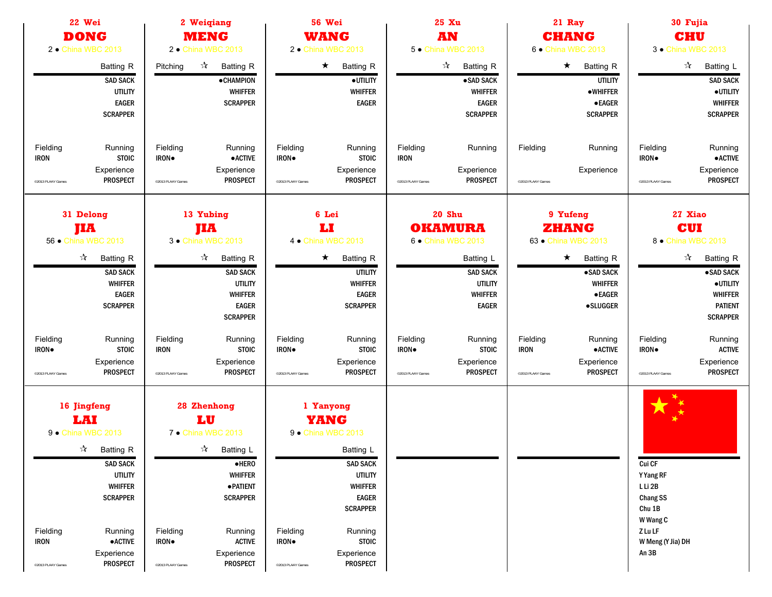| 22 Wei<br><b>DONG</b><br>2 . China WBC 2013                                                                                                                                                                                                               | 2 Weigiang<br><b>MENG</b><br>2 . China WBC 2013                                                                                                                                                                                                    | 56 Wei<br><b>WANG</b><br>2 • China WBC 2013                                                                                                                                                                                                   | 25 Xu<br><b>AN</b><br>5 . China WBC 2013                                                                                           | 21 Ray<br><b>CHANG</b><br>6 · China WBC 2013                                                                                               | 30 Fujia<br><b>CHU</b><br>3 • China WBC 2013                                                                                                                     |
|-----------------------------------------------------------------------------------------------------------------------------------------------------------------------------------------------------------------------------------------------------------|----------------------------------------------------------------------------------------------------------------------------------------------------------------------------------------------------------------------------------------------------|-----------------------------------------------------------------------------------------------------------------------------------------------------------------------------------------------------------------------------------------------|------------------------------------------------------------------------------------------------------------------------------------|--------------------------------------------------------------------------------------------------------------------------------------------|------------------------------------------------------------------------------------------------------------------------------------------------------------------|
| Batting R<br><b>SAD SACK</b><br><b>UTILITY</b><br><b>EAGER</b><br><b>SCRAPPER</b>                                                                                                                                                                         | $\boldsymbol{\mathcal{A}}$<br>Pitching<br>Batting R<br><b>•CHAMPION</b><br><b>WHIFFER</b><br><b>SCRAPPER</b>                                                                                                                                       | $\star$<br><b>Batting R</b><br>·UTILITY<br><b>WHIFFER</b><br><b>EAGER</b>                                                                                                                                                                     | $\vec{\mathbf{x}}$<br><b>Batting R</b><br>·SAD SACK<br><b>WHIFFER</b><br><b>EAGER</b><br><b>SCRAPPER</b>                           | $\star$ Batting R<br><b>UTILITY</b><br><b>•WHIFFER</b><br><b>•EAGER</b><br><b>SCRAPPER</b>                                                 | $\vec{\lambda}$<br><b>Batting L</b><br><b>SAD SACK</b><br>·UTILITY<br><b>WHIFFER</b><br><b>SCRAPPER</b>                                                          |
| Fielding<br>Running<br><b>STOIC</b><br><b>IRON</b><br>Experience<br><b>PROSPECT</b><br>@2013 PLAAY Games                                                                                                                                                  | Fielding<br>Running<br><b>IRON</b><br><b>•ACTIVE</b><br>Experience<br><b>PROSPECT</b><br><sup>©</sup> 2013 PLAAY Games                                                                                                                             | Fielding<br>Running<br><b>STOIC</b><br>IRON.<br>Experience<br><b>PROSPECT</b><br>@2013 PLAAY Games                                                                                                                                            | Fielding<br>Running<br><b>IRON</b><br>Experience<br><b>PROSPECT</b><br>@2013 PLAAY Games                                           | Fielding<br>Running<br>Experience<br>@2013 PLAAY Games                                                                                     | Fielding<br>Running<br>IRON.<br><b>• ACTIVE</b><br>Experience<br>PROSPECT<br><sup>©</sup> 2013 PLAAY Games                                                       |
| 31 Delong<br><b>JIA</b><br>56 • China WBC 2013<br>$\frac{1}{\sqrt{2}}$<br><b>Batting R</b><br><b>SAD SACK</b><br><b>WHIFFER</b><br><b>EAGER</b><br><b>SCRAPPER</b>                                                                                        | 13 Yubing<br>jIA<br>3 • China WBC 2013<br>☆<br>Batting R<br><b>SAD SACK</b><br><b>UTILITY</b><br><b>WHIFFER</b><br><b>EAGER</b><br><b>SCRAPPER</b>                                                                                                 | 6 Lei<br>Ы<br>4 • China WBC 2013<br>$\star$<br>Batting R<br><b>UTILITY</b><br><b>WHIFFER</b><br><b>EAGER</b><br><b>SCRAPPER</b>                                                                                                               | 20 Shu<br><b>OKAMURA</b><br>6 . China WBC 2013<br>Batting L<br><b>SAD SACK</b><br><b>UTILITY</b><br><b>WHIFFER</b><br><b>EAGER</b> | 9 Yufeng<br><b>ZHANG</b><br>63 • China WBC 2013<br>$\star$<br><b>Batting R</b><br>·SAD SACK<br><b>WHIFFER</b><br><b>•EAGER</b><br>•SLUGGER | 27 Xiao<br><b>CUI</b><br>8 · China WBC 2013<br>$\frac{1}{\sqrt{2}}$<br>Batting R<br>·SAD SACK<br>·UTILITY<br><b>WHIFFER</b><br><b>PATIENT</b><br><b>SCRAPPER</b> |
| Fielding<br>Running<br><b>STOIC</b><br><b>IRON</b> .<br>Experience<br><b>PROSPECT</b><br>@2013 PLAAY Games                                                                                                                                                | Fielding<br>Running<br><b>STOIC</b><br><b>IRON</b><br>Experience<br><b>PROSPECT</b><br>@2013 PLAAY Games                                                                                                                                           | Fielding<br>Running<br><b>STOIC</b><br>IRON.<br>Experience<br><b>PROSPECT</b><br>@2013 PLAAY Games                                                                                                                                            | Fielding<br>Running<br><b>STOIC</b><br>IRON.<br>Experience<br><b>PROSPECT</b><br>@2013 PLAAY Games                                 | Fielding<br>Running<br>$\bullet$ ACTIVE<br><b>IRON</b><br>Experience<br><b>PROSPECT</b><br>@2013 PLAAY Games                               | Fielding<br>Running<br><b>ACTIVE</b><br>IRON.<br>Experience<br><b>PROSPECT</b><br>@2013 PLAAY Games                                                              |
| 16 Jingfeng<br>LAI<br>9 . China WBC 2013<br>$\sqrt{\lambda}$ Batting R<br><b>SAD SACK</b><br><b>UTILITY</b><br><b>WHIFFER</b><br><b>SCRAPPER</b><br>Fielding<br>Running<br><b>IRON</b><br>$\bullet$ ACTIVE<br>Experience<br>PROSPECT<br>@2013 PLAAY Games | 28 Zhenhong<br>LU<br>7 · China WBC 2013<br>$\sqrt[3]{ }$ Batting L<br>$\bullet$ HERO<br><b>WHIFFER</b><br>· PATIENT<br><b>SCRAPPER</b><br>Fielding<br>Running<br><b>ACTIVE</b><br>IRON.<br>Experience<br>PROSPECT<br><sup>o</sup> 2013 PLAAY Games | 1 Yanyong<br>YANG<br>9 . China WBC 2013<br>Batting L<br><b>SAD SACK</b><br><b>UTILITY</b><br><b>WHIFFER</b><br><b>EAGER</b><br><b>SCRAPPER</b><br>Fielding<br>Running<br><b>STOIC</b><br>IRON.<br>Experience<br>PROSPECT<br>@2013 PLAAY Games |                                                                                                                                    |                                                                                                                                            | Cui CF<br>Y Yang RF<br>L Li 2B<br>Chang SS<br>Chu 1B<br>W Wang C<br>ZLuLF<br>W Meng (Y Jia) DH<br>An 3B                                                          |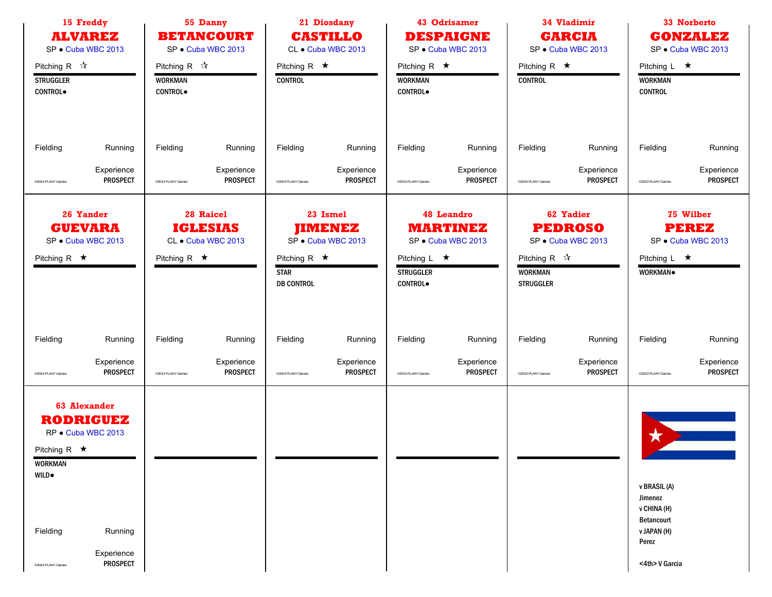|                                                       | 15 Freddy<br><b>ALVAREZ</b><br>SP · Cuba WBC 2013             |                                  | 55 Danny<br><b>BETANCOURT</b><br>SP · Cuba WBC 2013 |                                                        | 21 Diosdany<br><b>CASTILLO</b><br>CL · Cuba WBC 2013 |                                                          | 43 Odrisamer<br><b>DESPAIGNE</b><br>SP · Cuba WBC 2013     |                                                                   | 34 Vladimir<br><b>GARCIA</b><br>SP · Cuba WBC 2013       |                                             | 33 Norberto<br><b>GONZALEZ</b><br>SP · Cuba WBC 2013 |
|-------------------------------------------------------|---------------------------------------------------------------|----------------------------------|-----------------------------------------------------|--------------------------------------------------------|------------------------------------------------------|----------------------------------------------------------|------------------------------------------------------------|-------------------------------------------------------------------|----------------------------------------------------------|---------------------------------------------|------------------------------------------------------|
| Pitching R $\sqrt{\lambda}$                           |                                                               | Pitching R $\sqrt{\lambda}$      |                                                     | Pitching R $\star$                                     |                                                      | Pitching R $\star$                                       |                                                            | Pitching R $\star$                                                |                                                          | Pitching L $\star$                          |                                                      |
| <b>STRUGGLER</b><br><b>CONTROL</b>                    |                                                               | <b>WORKMAN</b><br><b>CONTROL</b> |                                                     | <b>CONTROL</b>                                         |                                                      | <b>WORKMAN</b><br><b>CONTROL</b>                         |                                                            | <b>CONTROL</b>                                                    |                                                          | <b>WORKMAN</b><br><b>CONTROL</b>            |                                                      |
|                                                       |                                                               |                                  |                                                     |                                                        |                                                      |                                                          |                                                            |                                                                   |                                                          |                                             |                                                      |
| Fielding                                              | Running                                                       | Fielding                         | Running                                             | Fielding                                               | Running                                              | Fielding                                                 | Running                                                    | Fielding                                                          | Running                                                  | Fielding                                    | Running                                              |
| @2013 PLAAY Games                                     | Experience<br><b>PROSPECT</b>                                 | <sup>o</sup> 2013 PLAAY Games    | Experience<br><b>PROSPECT</b>                       | @2013 PLAAY Games                                      | Experience<br><b>PROSPECT</b>                        | ©2013 PLAAY Games                                        | Experience<br><b>PROSPECT</b>                              | @2013 PLAAY Games                                                 | Experience<br><b>PROSPECT</b>                            | @2013 PLAAY Games                           | Experience<br><b>PROSPECT</b>                        |
|                                                       | 26 Yander<br><b>GUEVARA</b><br>SP · Cuba WBC 2013             |                                  | 28 Raicel<br><b>IGLESIAS</b><br>CL · Cuba WBC 2013  |                                                        | 23 Ismel<br><b>JIMENEZ</b><br>SP · Cuba WBC 2013     |                                                          | <b>48 Leandro</b><br><b>MARTINEZ</b><br>SP · Cuba WBC 2013 |                                                                   | <b>62 Yadier</b><br><b>PEDROSO</b><br>SP · Cuba WBC 2013 |                                             | 75 Wilber<br><b>PEREZ</b><br>SP · Cuba WBC 2013      |
| Pitching R $\star$                                    |                                                               | Pitching R $\star$               |                                                     | Pitching R $\star$<br><b>STAR</b><br><b>DB CONTROL</b> |                                                      | Pitching $L \star$<br><b>STRUGGLER</b><br><b>CONTROL</b> |                                                            | Pitching R $\sqrt{\lambda}$<br><b>WORKMAN</b><br><b>STRUGGLER</b> |                                                          | Pitching L $\star$<br>WORKMAN.              |                                                      |
| Fielding                                              | Running                                                       | Fielding                         | Running                                             | Fielding                                               | Running                                              | Fielding                                                 | Running                                                    | Fielding                                                          | Running                                                  | Fielding                                    | Running                                              |
| @2013 PLAAY Games                                     | Experience<br><b>PROSPECT</b>                                 | <sup>©</sup> 2013 PLAAY Games    | Experience<br><b>PROSPECT</b>                       | @2013 PLAAY Games                                      | Experience<br><b>PROSPECT</b>                        | @2013 PLAAY Games                                        | Experience<br><b>PROSPECT</b>                              | @2013 PLAAY Games                                                 | Experience<br><b>PROSPECT</b>                            | @2013 PLAAY Games                           | Experience<br><b>PROSPECT</b>                        |
| Pitching R $\star$<br><b>WORKMAN</b><br><b>WILD</b> . | <b>63 Alexander</b><br><b>RODRIGUEZ</b><br>RP · Cuba WBC 2013 |                                  |                                                     |                                                        |                                                      |                                                          |                                                            |                                                                   |                                                          | ★<br>v BRASIL (A)                           |                                                      |
|                                                       |                                                               |                                  |                                                     |                                                        |                                                      |                                                          |                                                            |                                                                   |                                                          | Jimenez<br>v CHINA (H)<br><b>Betancourt</b> |                                                      |
| Fielding                                              | Running                                                       |                                  |                                                     |                                                        |                                                      |                                                          |                                                            |                                                                   |                                                          | v JAPAN (H)<br>Perez                        |                                                      |
| @2013 PLAAY Games                                     | Experience<br><b>PROSPECT</b>                                 |                                  |                                                     |                                                        |                                                      |                                                          |                                                            |                                                                   |                                                          | <4th> V Garcia                              |                                                      |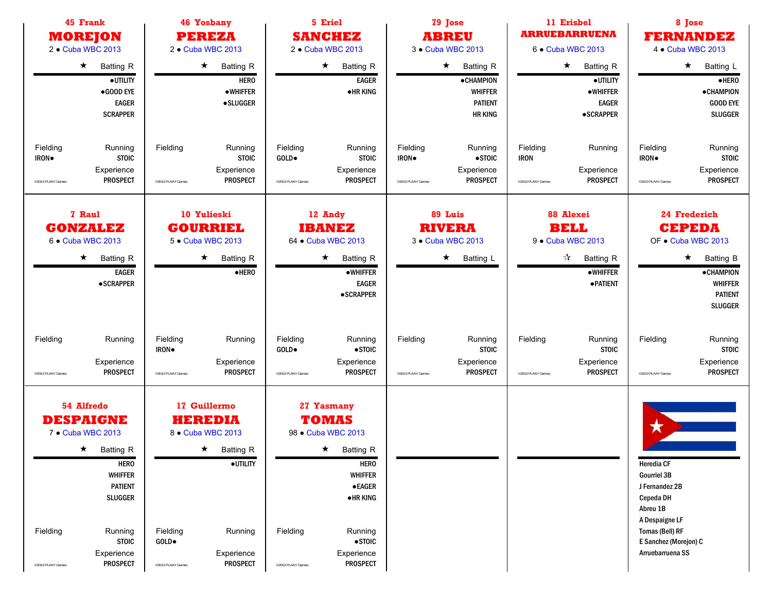| 45 Frank<br><b>MOREJON</b><br>2 . Cuba WBC 2013                                                                                                                                                                                            | <b>46 Yosbany</b><br><b>PEREZA</b><br>2 . Cuba WBC 2013                                                                                                                    | 5 Eriel<br><b>SANCHEZ</b><br>2 . Cuba WBC 2013                                                                                                                                                                                               | 11 Erisbel<br>79 Jose<br><b>ARRUEBARRUENA</b><br><b>ABREU</b><br>3 • Cuba WBC 2013<br>6 . Cuba WBC 2013 |                                                                                                                   | 8 Jose<br><b>FERNANDEZ</b><br>4 • Cuba WBC 2013                                                                                                                      |
|--------------------------------------------------------------------------------------------------------------------------------------------------------------------------------------------------------------------------------------------|----------------------------------------------------------------------------------------------------------------------------------------------------------------------------|----------------------------------------------------------------------------------------------------------------------------------------------------------------------------------------------------------------------------------------------|---------------------------------------------------------------------------------------------------------|-------------------------------------------------------------------------------------------------------------------|----------------------------------------------------------------------------------------------------------------------------------------------------------------------|
| $\star$<br><b>Batting R</b><br>·UTILITY<br>$\bullet$ GOOD EYE<br><b>EAGER</b><br><b>SCRAPPER</b>                                                                                                                                           | $\star$<br><b>Batting R</b><br><b>HERO</b><br>$\bullet$ WHIFFER<br>·SLUGGER                                                                                                | $\star$<br><b>Batting R</b><br><b>EAGER</b><br><b>•HRKING</b>                                                                                                                                                                                | $\star$<br><b>Batting R</b><br><b>•CHAMPION</b><br><b>WHIFFER</b><br><b>PATIENT</b><br><b>HR KING</b>   | $\star$ Batting R<br>·UTILITY<br>·WHIFFER<br><b>EAGER</b><br><b>•SCRAPPER</b>                                     | $\star$<br>Batting L<br>$\bullet$ HERO<br>• CHAMPION<br><b>GOOD EYE</b><br><b>SLUGGER</b>                                                                            |
| Fielding<br>Running<br>IRON.<br><b>STOIC</b><br>Experience<br><b>PROSPECT</b><br>@2013 PLAAY Games                                                                                                                                         | Fielding<br>Running<br><b>STOIC</b><br>Experience<br><b>PROSPECT</b><br>@2013 PLAAY Games                                                                                  | Fielding<br>Running<br>GOLD•<br><b>STOIC</b><br>Experience<br><b>PROSPECT</b><br>@2013 PLAAY Games                                                                                                                                           | Fielding<br>Running<br>IRON.<br>$\bullet$ STOIC<br>Experience<br><b>PROSPECT</b><br>@2013 PLAAY Games   | Fielding<br>Running<br><b>IRON</b><br>Experience<br><b>PROSPECT</b><br>@2013 PLAAY Games                          | Fielding<br>Running<br><b>STOIC</b><br>IRON.<br>Experience<br><b>PROSPECT</b><br>@2013 PLAAY Games                                                                   |
| 7 Raul<br><b>GONZALEZ</b><br>6 . Cuba WBC 2013<br><b>Batting R</b><br>$\star$<br><b>EAGER</b><br>• SCRAPPER                                                                                                                                | 10 Yulieski<br><b>GOURRIEL</b><br>5 . Cuba WBC 2013<br><b>Batting R</b><br>$\star$<br>$\bullet$ HERO                                                                       | 12 Andy<br><b>IBANEZ</b><br>64 • Cuba WBC 2013<br>$\star$<br><b>Batting R</b><br><b>•WHIFFER</b><br><b>EAGER</b><br>•SCRAPPER                                                                                                                | 89 Luis<br><b>RIVERA</b><br>3 • Cuba WBC 2013<br>$\star$<br><b>Batting L</b>                            | 88 Alexei<br><b>BELL</b><br>9 • Cuba WBC 2013<br>$\sqrt{\lambda}$ Batting R<br><b>•WHIFFER</b><br><b>•PATIENT</b> | 24 Frederich<br><b>CEPEDA</b><br>OF . Cuba WBC 2013<br>$\star$<br><b>Batting B</b><br><b>•CHAMPION</b><br><b>WHIFFER</b><br><b>PATIENT</b><br><b>SLUGGER</b>         |
| Fielding<br>Running<br>Experience<br><b>PROSPECT</b><br>@2013 PLAAY Games                                                                                                                                                                  | Fielding<br>Running<br>IRON.<br>Experience<br><b>PROSPECT</b><br>@2013 PLAAY Games                                                                                         | Fielding<br>Running<br>$\bullet$ STOIC<br>GOLD.<br>Experience<br><b>PROSPECT</b><br>@2013 PLAAY Games                                                                                                                                        | Fielding<br>Running<br><b>STOIC</b><br>Experience<br><b>PROSPECT</b><br>@2013 PLAAY Games               | Fielding<br>Running<br><b>STOIC</b><br>Experience<br><b>PROSPECT</b><br>@2013 PLAAY Games                         | Fielding<br>Running<br><b>STOIC</b><br>Experience<br><b>PROSPECT</b><br>@2013 PLAAY Games                                                                            |
| 54 Alfredo<br><b>DESPAIGNE</b><br>7 • Cuba WBC 2013<br>$\star$ Batting R<br><b>HERO</b><br><b>WHIFFER</b><br><b>PATIENT</b><br><b>SLUGGER</b><br>Fielding<br>Running<br><b>STOIC</b><br>Experience<br><b>PROSPECT</b><br>@2013 PLAAY Games | 17 Guillermo<br><b>HEREDIA</b><br>8 . Cuba WBC 2013<br>$\star$ Batting R<br>·UTILITY<br>Fielding<br>Running<br>GOLD.<br>Experience<br><b>PROSPECT</b><br>@2013 PLAAY Games | 27 Yasmany<br><b>TOMAS</b><br>98 • Cuba WBC 2013<br>$\star$ Batting R<br><b>HERO</b><br><b>WHIFFER</b><br><b>•EAGER</b><br>$\bullet$ HR KING<br>Fielding<br>Running<br>$\bullet$ STOIC<br>Experience<br><b>PROSPECT</b><br>@2013 PLAAY Games |                                                                                                         |                                                                                                                   | <b>Heredia CF</b><br><b>Gourriel 3B</b><br>J Fernandez 2B<br>Cepeda DH<br>Abreu 1B<br>A Despaigne LF<br>Tomas (Bell) RF<br>E Sanchez (Morejon) C<br>Arruebarruena SS |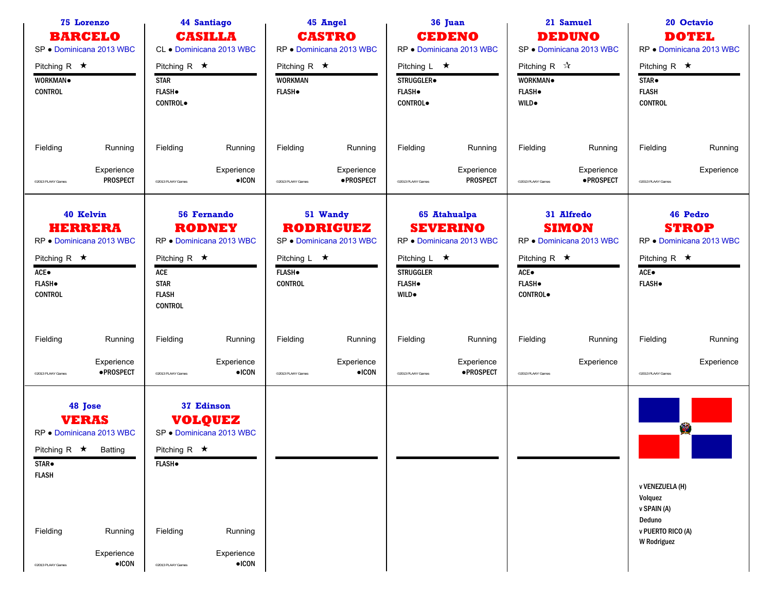| <b>75 Lorenzo</b><br><b>BARCELO</b><br>SP · Dominicana 2013 WBC                                                                                                                        | 44 Santiago<br><b>CASILLA</b><br>CL · Dominicana 2013 WBC                                                                                                                                | 45 Angel<br><b>CASTRO</b><br>RP · Dominicana 2013 WBC                                                              | 36 Juan<br><b>CEDENO</b><br>RP . Dominicana 2013 WBC                                                                             | 21 Samuel<br><b>DEDUNO</b><br>SP · Dominicana 2013 WBC                                                                         | 20 Octavio<br><b>DOTEL</b><br>RP · Dominicana 2013 WBC                                                       |  |
|----------------------------------------------------------------------------------------------------------------------------------------------------------------------------------------|------------------------------------------------------------------------------------------------------------------------------------------------------------------------------------------|--------------------------------------------------------------------------------------------------------------------|----------------------------------------------------------------------------------------------------------------------------------|--------------------------------------------------------------------------------------------------------------------------------|--------------------------------------------------------------------------------------------------------------|--|
| Pitching R $\star$<br>WORKMAN <sup>.</sup><br><b>CONTROL</b>                                                                                                                           | Pitching R $\star$<br><b>STAR</b><br><b>FLASH</b> .<br><b>CONTROL</b>                                                                                                                    | Pitching R $\star$<br><b>WORKMAN</b><br><b>FLASH</b> .                                                             | Pitching $L \star$<br>STRUGGLER.<br><b>FLASH</b> .<br><b>CONTROL</b>                                                             | Pitching R $\mathbb{\hat{X}}$<br>WORKMAN.<br><b>FLASH</b><br>WILD.                                                             | Pitching R $\star$<br>STAR.<br><b>FLASH</b><br><b>CONTROL</b>                                                |  |
| Fielding<br>Running<br>Experience<br><b>PROSPECT</b><br>@2013 PLAAY Games                                                                                                              | Fielding<br>Running<br>Experience<br>$\bullet$ ICON<br><sup>©</sup> 2013 PLAAY Games                                                                                                     | Fielding<br>Running<br>Experience<br>·PROSPECT<br>@2013 PLAAY Games                                                | Fielding<br>Running<br>Experience<br><b>PROSPECT</b><br>@2013 PLAAY Games                                                        | Fielding<br>Running<br>Experience<br>·PROSPECT<br>@2013 PLAAY Games                                                            | Fielding<br>Running<br>Experience<br>@2013 PLAAY Games                                                       |  |
| 40 Kelvin<br><b>HERRERA</b><br>RP . Dominicana 2013 WBC<br>Pitching R $\star$<br>ACE.<br><b>FLASH</b><br><b>CONTROL</b>                                                                | <b>56 Fernando</b><br><b>RODNEY</b><br>RP . Dominicana 2013 WBC<br>Pitching R $\star$<br>ACE<br><b>STAR</b><br><b>FLASH</b><br><b>CONTROL</b>                                            | 51 Wandy<br><b>RODRIGUEZ</b><br>SP · Dominicana 2013 WBC<br>Pitching $L \star$<br><b>FLASH</b> .<br><b>CONTROL</b> | 65 Atahualpa<br><b>SEVERINO</b><br>RP . Dominicana 2013 WBC<br>Pitching $L \star$<br><b>STRUGGLER</b><br><b>FLASH</b> .<br>WILD. | 31 Alfredo<br><b>SIMON</b><br>RP · Dominicana 2013 WBC<br>Pitching R $\star$<br>$ACE\bullet$<br><b>FLASH</b><br><b>CONTROL</b> | 46 Pedro<br><b>STROP</b><br>RP . Dominicana 2013 WBC<br>Pitching R $\star$<br>$ACE\bullet$<br><b>FLASH</b> . |  |
| Fielding<br>Running<br>Experience<br>·PROSPECT<br>@2013 PLAAY Games                                                                                                                    | Fielding<br>Running<br>Experience<br>$\bullet$ ICON<br><sup>©</sup> 2013 PLAAY Games                                                                                                     | Fielding<br>Running<br>Experience<br>$\bullet$ ICON<br>@2013 PLAAY Games                                           | Fielding<br>Running<br>Experience<br>·PROSPECT<br>@2013 PLAAY Games                                                              | Fielding<br>Running<br>Experience<br>@2013 PLAAY Games                                                                         | Fielding<br>Running<br>Experience<br>@2013 PLAAY Games                                                       |  |
| 48 Jose<br><b>VERAS</b><br>RP . Dominicana 2013 WBC<br>Pitching R $\star$ Batting<br>STAR.<br><b>FLASH</b><br>Fielding<br>Running<br>Experience<br>$\bullet$ ICON<br>@2013 PLAAY Games | 37 Edinson<br><b>VOLQUEZ</b><br>SP · Dominicana 2013 WBC<br>Pitching R $\star$<br><b>FLASH</b> .<br>Fielding<br>Running<br>Experience<br>$\bullet$ ICON<br><sup>©</sup> 2013 PLAAY Games |                                                                                                                    |                                                                                                                                  |                                                                                                                                | 愛<br>v VENEZUELA (H)<br>Volquez<br>v SPAIN (A)<br>Deduno<br>v PUERTO RICO (A)<br><b>W</b> Rodriguez          |  |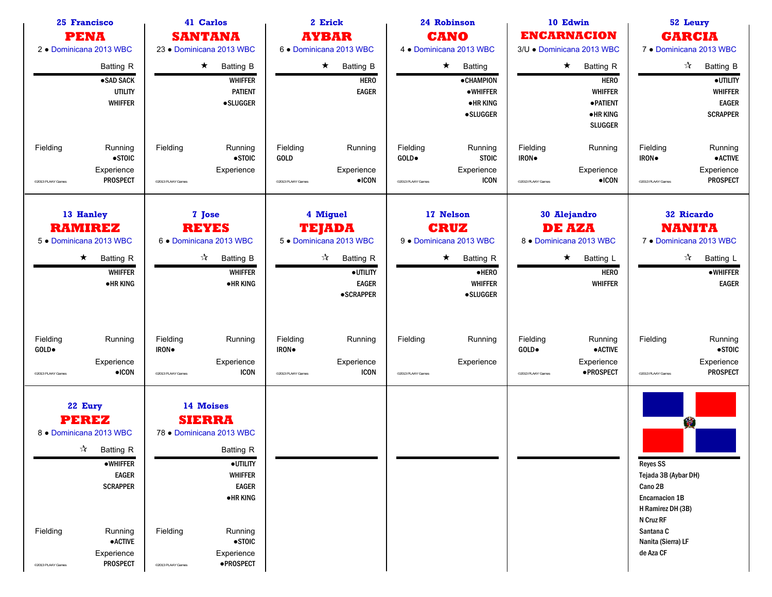| 25 Francisco<br><b>PENA</b><br>2 . Dominicana 2013 WBC                                                                                                                                                                               | 41 Carlos<br><b>SANTANA</b><br>23 · Dominicana 2013 WBC                                                                                                                                                                           |                                                                                                                                                  | 24 Robinson<br><b>CANO</b><br>4 . Dominicana 2013 WBC                                                                              | 10 Edwin<br><b>ENCARNACION</b><br>3/U · Dominicana 2013 WBC                                                         | 52 Leury<br><b>GARCIA</b><br>7 . Dominicana 2013 WBC                                                                                                               |
|--------------------------------------------------------------------------------------------------------------------------------------------------------------------------------------------------------------------------------------|-----------------------------------------------------------------------------------------------------------------------------------------------------------------------------------------------------------------------------------|--------------------------------------------------------------------------------------------------------------------------------------------------|------------------------------------------------------------------------------------------------------------------------------------|---------------------------------------------------------------------------------------------------------------------|--------------------------------------------------------------------------------------------------------------------------------------------------------------------|
| <b>Batting R</b><br>·SAD SACK<br><b>UTILITY</b><br><b>WHIFFER</b>                                                                                                                                                                    | $\star$<br><b>Batting B</b><br><b>WHIFFER</b><br><b>PATIENT</b><br><b>•SLUGGER</b>                                                                                                                                                | $\star$<br>Batting B<br><b>HERO</b><br><b>EAGER</b>                                                                                              | $\star$<br><b>Batting</b><br><b>•CHAMPION</b><br>•WHIFFER<br><b>•HRKING</b><br><b>•SLUGGER</b>                                     | $\star$<br><b>Batting R</b><br><b>HERO</b><br><b>WHIFFER</b><br><b>•PATIENT</b><br><b>•HRKING</b><br><b>SLUGGER</b> | $\frac{1}{\sqrt{2}}$<br><b>Batting B</b><br>·UTILITY<br><b>WHIFFER</b><br><b>EAGER</b><br><b>SCRAPPER</b>                                                          |
| Fielding<br>Running<br>$\bullet$ STOIC<br>Experience<br><b>PROSPECT</b><br>@2013 PLAAY Games                                                                                                                                         | Fielding<br>Running<br>$\bullet$ STOIC<br>Experience<br><sup>©</sup> 2013 PLAAY Games                                                                                                                                             | Fielding<br>Running<br><b>GOLD</b><br>Experience<br>$\bullet$ ICON<br>@2013 PLAAY Games                                                          | Fielding<br>Running<br>GOLD.<br><b>STOIC</b><br>Experience<br><b>ICON</b><br>@2013 PLAAY Games                                     | Fielding<br>Running<br><b>IRON</b><br>Experience<br>$\bullet$ ICON<br>@2013 PLAAY Games                             | Fielding<br>Running<br><b>• ACTIVE</b><br>IRON.<br>Experience<br><b>PROSPECT</b><br>@2013 PLAAY Games                                                              |
| 13 Hanley<br><b>RAMIREZ</b><br>5 . Dominicana 2013 WBC<br>$\star$<br><b>Batting R</b><br><b>WHIFFER</b><br>•HR KING                                                                                                                  | 7 Jose<br><b>REYES</b><br>6 . Dominicana 2013 WBC<br>$\frac{1}{\sqrt{2}}$<br><b>Batting B</b><br><b>WHIFFER</b><br><b>•HR KING</b>                                                                                                | 4 Miguel<br><b>TEJADA</b><br>5 . Dominicana 2013 WBC<br>$\frac{1}{\sqrt{2}}$<br><b>Batting R</b><br>·UTILITY<br><b>EAGER</b><br><b>•SCRAPPER</b> | 17 Nelson<br><b>CRUZ</b><br>9 · Dominicana 2013 WBC<br><b>Batting R</b><br>$\star$<br>$\bullet$ HERO<br>WHIFFER<br><b>•SLUGGER</b> | 30 Alejandro<br><b>DE AZA</b><br>8 . Dominicana 2013 WBC<br>$\star$<br>Batting L<br><b>HERO</b><br><b>WHIFFER</b>   | <b>32 Ricardo</b><br><b>NANITA</b><br>7 . Dominicana 2013 WBC<br>☆ Batting L<br>$\bullet$ WHIFFER<br><b>EAGER</b>                                                  |
| Fielding<br>Running<br>GOLD.<br>Experience<br>$\bullet$ ICON<br>@2013 PLAAY Games                                                                                                                                                    | Fielding<br>Running<br>IRON.<br>Experience<br><b>ICON</b><br><sup>©</sup> 2013 PLAAY Games                                                                                                                                        | Fielding<br>Running<br>IRON.<br>Experience<br><b>ICON</b><br>@2013 PLAAY Games                                                                   | Fielding<br>Running<br>Experience<br>@2013 PLAAY Games                                                                             | Fielding<br>Running<br><b>•ACTIVE</b><br>GOLD•<br>Experience<br>·PROSPECT<br>@2013 PLAAY Games                      | Fielding<br>Running<br>$\bullet$ STOIC<br>Experience<br><b>PROSPECT</b><br>@2013 PLAAY Games                                                                       |
| 22 Eury<br><b>PEREZ</b><br>8 . Dominicana 2013 WBC<br>$\sqrt[3]{ }$ Batting R<br><b>•WHIFFER</b><br><b>EAGER</b><br><b>SCRAPPER</b><br>Fielding<br>Running<br>$\bullet$ ACTIVE<br>Experience<br><b>PROSPECT</b><br>@2013 PLAAY Games | 14 Moises<br><b>SIERRA</b><br>78 · Dominicana 2013 WBC<br>Batting R<br>· UTILITY<br><b>WHIFFER</b><br><b>EAGER</b><br>$\bullet$ HR KING<br>Fielding<br>Running<br>$\bullet$ STOIC<br>Experience<br>·PROSPECT<br>@2013 PLAAY Games |                                                                                                                                                  |                                                                                                                                    |                                                                                                                     | 寥<br><b>Reyes SS</b><br>Tejada 3B (Aybar DH)<br>Cano 2B<br><b>Encarnacion 1B</b><br>H Ramirez DH (3B)<br>N Cruz RF<br>Santana C<br>Nanita (Sierra) LF<br>de Aza CF |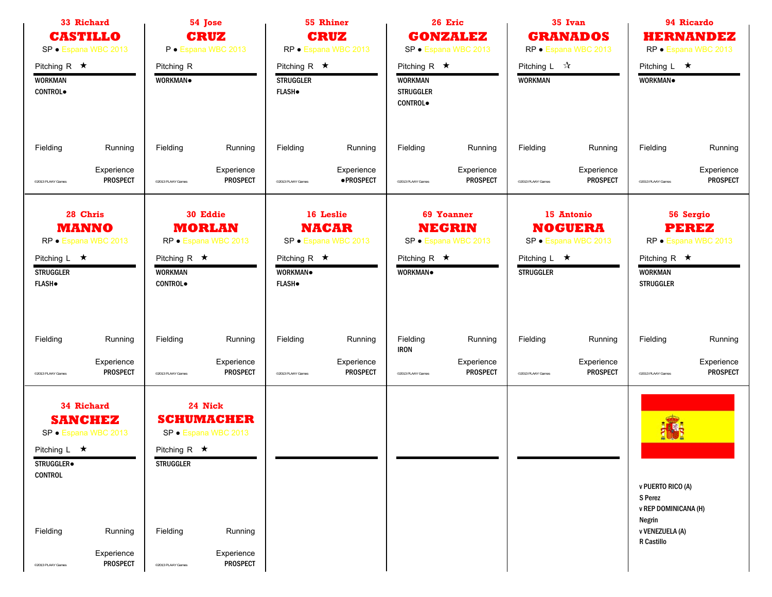| 33 Richard                                                                                                                                  | 54 Jose<br><b>CRUZ</b><br><b>CASTILLO</b><br>SP · Espana WBC 2013<br>P · Espana WBC 2013 |                                                                                     |                                                                                                  |                                                          | 55 Rhiner<br><b>CRUZ</b><br>RP · Espana WBC 2013  | 26 Eric<br><b>GONZALEZ</b><br>SP · Espana WBC 2013                         |                                                            | 35 Ivan<br><b>GRANADOS</b><br>RP · Espana WBC 2013 |                                                      | 94 Ricardo<br>HERNANDEZ<br>RP · Espana WBC 2013                                                        |                                                   |  |
|---------------------------------------------------------------------------------------------------------------------------------------------|------------------------------------------------------------------------------------------|-------------------------------------------------------------------------------------|--------------------------------------------------------------------------------------------------|----------------------------------------------------------|---------------------------------------------------|----------------------------------------------------------------------------|------------------------------------------------------------|----------------------------------------------------|------------------------------------------------------|--------------------------------------------------------------------------------------------------------|---------------------------------------------------|--|
| Pitching R $\star$<br><b>WORKMAN</b><br><b>CONTROL</b>                                                                                      |                                                                                          | Pitching R<br>WORKMAN.                                                              |                                                                                                  | Pitching R $\star$<br><b>STRUGGLER</b><br><b>FLASH</b> . |                                                   | Pitching R $\star$<br><b>WORKMAN</b><br><b>STRUGGLER</b><br><b>CONTROL</b> |                                                            | Pitching $L \quad \mathcal{R}$<br><b>WORKMAN</b>   |                                                      | Pitching $L \star$<br>WORKMAN.                                                                         |                                                   |  |
| Fielding                                                                                                                                    | Running                                                                                  | Fielding                                                                            | Running                                                                                          | Fielding                                                 | Running                                           | Fielding                                                                   | Running                                                    | Fielding                                           | Running                                              | Fielding                                                                                               | Running                                           |  |
| @2013 PLAAY Games                                                                                                                           | Experience<br><b>PROSPECT</b>                                                            | <sup>©</sup> 2013 PLAAY Games                                                       | Experience<br>PROSPECT                                                                           | @2013 PLAAY Games                                        | Experience<br>·PROSPECT                           | @2013 PLAAY Games                                                          | Experience<br><b>PROSPECT</b>                              | @2013 PLAAY Games                                  | Experience<br><b>PROSPECT</b>                        | @2013 PLAAY Games                                                                                      | Experience<br><b>PROSPECT</b>                     |  |
| 28 Chris<br><b>MANNO</b><br>RP · Espana WBC 2013<br>Pitching $L \star$<br><b>STRUGGLER</b><br><b>FLASH</b>                                  |                                                                                          | Pitching R $\star$<br><b>WORKMAN</b><br>CONTROL.                                    | 30 Eddie<br><b>MORLAN</b><br>RP · Espana WBC 2013                                                | Pitching R $\star$<br>WORKMAN.<br><b>FLASH</b> .         | 16 Leslie<br><b>NACAR</b><br>SP · Espana WBC 2013 | Pitching R $\star$<br>WORKMAN.                                             | <b>69 Yoanner</b><br><b>NEGRIN</b><br>SP · Espana WBC 2013 | Pitching $L \star$<br><b>STRUGGLER</b>             | 15 Antonio<br><b>NOGUERA</b><br>SP · Espana WBC 2013 | Pitching R $\star$<br><b>WORKMAN</b><br><b>STRUGGLER</b>                                               | 56 Sergio<br><b>PEREZ</b><br>RP · Espana WBC 2013 |  |
| Fielding<br>@2013 PLAAY Games                                                                                                               | Running<br>Experience<br><b>PROSPECT</b>                                                 | Fielding<br>@2013 PLAAY Games                                                       | Running<br>Experience<br><b>PROSPECT</b>                                                         | Fielding<br>@2013 PLAAY Games                            | Running<br>Experience<br><b>PROSPECT</b>          | Fielding<br><b>IRON</b><br>@2013 PLAAY Games                               | Running<br>Experience<br><b>PROSPECT</b>                   | Fielding<br>@2013 PLAAY Games                      | Running<br>Experience<br><b>PROSPECT</b>             | Fielding<br>@2013 PLAAY Games                                                                          | Running<br>Experience<br><b>PROSPECT</b>          |  |
| <b>34 Richard</b><br><b>SANCHEZ</b><br>SP · Espana WBC 2013<br>Pitching $L \star$<br>STRUGGLER.<br>CONTROL<br>Fielding<br>@2013 PLAAY Games | Running<br>Experience<br><b>PROSPECT</b>                                                 | Pitching R $\star$<br><b>STRUGGLER</b><br>Fielding<br><sup>o</sup> 2013 PLAAY Games | 24 Nick<br><b>SCHUMACHER</b><br>SP · Espana WBC 2013<br>Running<br>Experience<br><b>PROSPECT</b> |                                                          |                                                   |                                                                            |                                                            |                                                    |                                                      | v PUERTO RICO (A)<br>S Perez<br><b>v REP DOMINICANA (H)</b><br>Negrin<br>v VENEZUELA (A)<br>R Castillo |                                                   |  |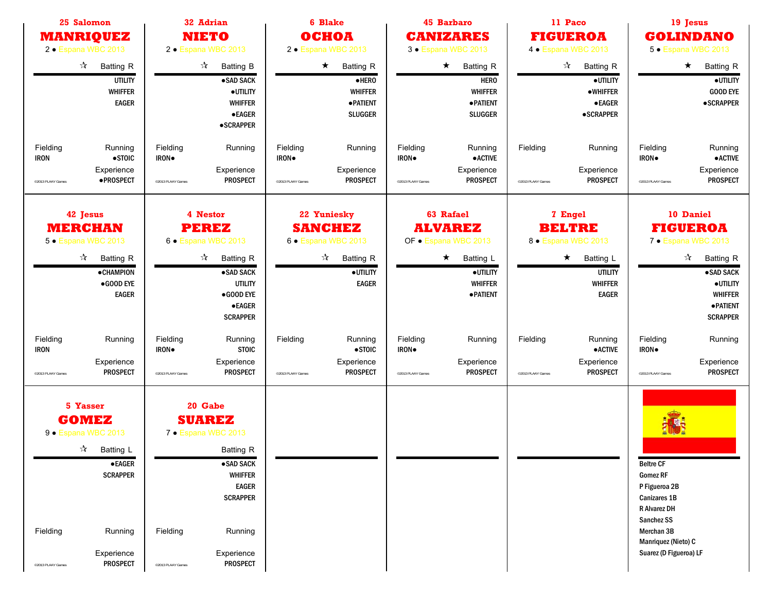| 25 Salomon<br><b>MANRIQUEZ</b><br>2 • Espana WBC 2013                                                                                                                                         | 32 Adrian<br><b>NIETO</b><br>2 · Espana WBC 2013                                                                                                                                                                               | <b>6 Blake</b><br>оснод<br>2 • Espana WBC 2013                                                                        | <b>45 Barbaro</b><br><b>CANIZARES</b><br>3 • Espana WBC 2013                                                                   | 11 Paco<br><b>FIGUEROA</b><br>4 • Espana WBC 2013                                                                           | 19 Jesus<br><b>GOLINDANO</b><br>5 · Espana WBC 2013                                                                                                                               |
|-----------------------------------------------------------------------------------------------------------------------------------------------------------------------------------------------|--------------------------------------------------------------------------------------------------------------------------------------------------------------------------------------------------------------------------------|-----------------------------------------------------------------------------------------------------------------------|--------------------------------------------------------------------------------------------------------------------------------|-----------------------------------------------------------------------------------------------------------------------------|-----------------------------------------------------------------------------------------------------------------------------------------------------------------------------------|
| $\frac{1}{2}$<br><b>Batting R</b><br><b>UTILITY</b><br><b>WHIFFER</b><br><b>EAGER</b>                                                                                                         | $\frac{1}{\sqrt{2}}$<br><b>Batting B</b><br>·SAD SACK<br>· UTILITY<br><b>WHIFFER</b><br><b>•EAGER</b><br><b>•SCRAPPER</b>                                                                                                      | $\star$<br><b>Batting R</b><br>$\bullet$ HERO<br><b>WHIFFER</b><br><b>• PATIENT</b><br><b>SLUGGER</b>                 | $\star$<br><b>Batting R</b><br><b>HERO</b><br><b>WHIFFER</b><br><b>• PATIENT</b><br><b>SLUGGER</b>                             | $\mathbf{r}$<br><b>Batting R</b><br>·UTILITY<br>•WHIFFER<br><b>•EAGER</b><br><b>•SCRAPPER</b>                               | $\star$<br>Batting R<br><b>GOOD EYE</b><br><b>•SCRAPPER</b>                                                                                                                       |
| Fielding<br>Running<br>$\bullet$ STOIC<br><b>IRON</b><br>Experience<br>·PROSPECT<br>@2013 PLAAY Games                                                                                         | Fielding<br>Running<br>IRON.<br>Experience<br><b>PROSPECT</b><br>@2013 PLAAY Games                                                                                                                                             | Fielding<br>Running<br>IRON.<br>Experience<br><b>PROSPECT</b><br>@2013 PLAAY Games                                    | Fielding<br>Running<br>IRON.<br><b>•ACTIVE</b><br>Experience<br><b>PROSPECT</b><br>@2013 PLAAY Games                           | Fielding<br>Running<br>Experience<br><b>PROSPECT</b><br>@2013 PLAAY Games                                                   | Fielding<br>Running<br>$\bullet$ ACTIVE<br>IRON.<br>Experience<br><b>PROSPECT</b><br>@2013 PLAAY Games                                                                            |
| 42 Jesus<br><b>MERCHAN</b><br>5 · Espana WBC 2013<br>$\boldsymbol{\mathcal{A}}$<br><b>Batting R</b><br><b>•CHAMPION</b><br>●GOOD EYE<br><b>EAGER</b>                                          | 4 Nestor<br><b>PEREZ</b><br>6 • Espana WBC 2013<br>$\frac{1}{\sqrt{2}}$<br><b>Batting R</b><br>·SAD SACK<br><b>UTILITY</b><br>●GOOD EYE<br><b>•EAGER</b><br><b>SCRAPPER</b>                                                    | 22 Yuniesky<br><b>SANCHEZ</b><br>6 · Espana WBC 2013<br>$\frac{1}{2}$<br><b>Batting R</b><br>·UTILITY<br><b>EAGER</b> | 63 Rafael<br><b>ALVAREZ</b><br>OF . Espana WBC 2013<br>$\star$<br><b>Batting L</b><br>· UTILITY<br><b>WHIFFER</b><br>· PATIENT | 7 Engel<br><b>BELTRE</b><br>8 • Espana WBC 2013<br>Batting L<br>$\star$<br><b>UTILITY</b><br><b>WHIFFER</b><br><b>EAGER</b> | 10 Daniel<br><b>FIGUEROA</b><br>7 • Espana WBC 2013<br>$\frac{1}{\sqrt{2}}$<br><b>Batting R</b><br>·SAD SACK<br>·UTILITY<br><b>WHIFFER</b><br><b>• PATIENT</b><br><b>SCRAPPER</b> |
| Fielding<br>Running<br><b>IRON</b><br>Experience<br><b>PROSPECT</b><br>@2013 PLAAY Games                                                                                                      | Fielding<br>Running<br><b>STOIC</b><br><b>IRON</b> .<br>Experience<br><b>PROSPECT</b><br><sup>©</sup> 2013 PLAAY Games                                                                                                         | Fielding<br>Running<br>$\bullet$ STOIC<br>Experience<br><b>PROSPECT</b><br>@2013 PLAAY Games                          | Fielding<br>Running<br>IRON.<br>Experience<br><b>PROSPECT</b><br>©2013 PLAAY Games                                             | Fielding<br>Running<br><b>•ACTIVE</b><br>Experience<br><b>PROSPECT</b><br>@2013 PLAAY Games                                 | Fielding<br>Running<br>IRON.<br>Experience<br><b>PROSPECT</b><br><sup>©2013</sup> PLAAY Games                                                                                     |
| 5 Yasser<br><b>GOMEZ</b><br>9 · Espana WBC 2013<br>$\sqrt[3]{ }$ Batting L<br>$\bullet$ EAGER<br><b>SCRAPPER</b><br>Fielding<br>Running<br>Experience<br><b>PROSPECT</b><br>@2013 PLAAY Games | 20 Gabe<br><b>SUAREZ</b><br>7 • Espana WBC 2013<br><b>Batting R</b><br>·SAD SACK<br><b>WHIFFER</b><br><b>EAGER</b><br><b>SCRAPPER</b><br>Fielding<br>Running<br>Experience<br><b>PROSPECT</b><br><sup>o</sup> 2013 PLAAY Games |                                                                                                                       |                                                                                                                                |                                                                                                                             | <b>Beltre CF</b><br><b>Gomez RF</b><br>P Figueroa 2B<br>Canizares 1B<br>R Alvarez DH<br>Sanchez SS<br>Merchan 3B<br>Manriquez (Nieto) C<br>Suarez (D Figueroa) LF                 |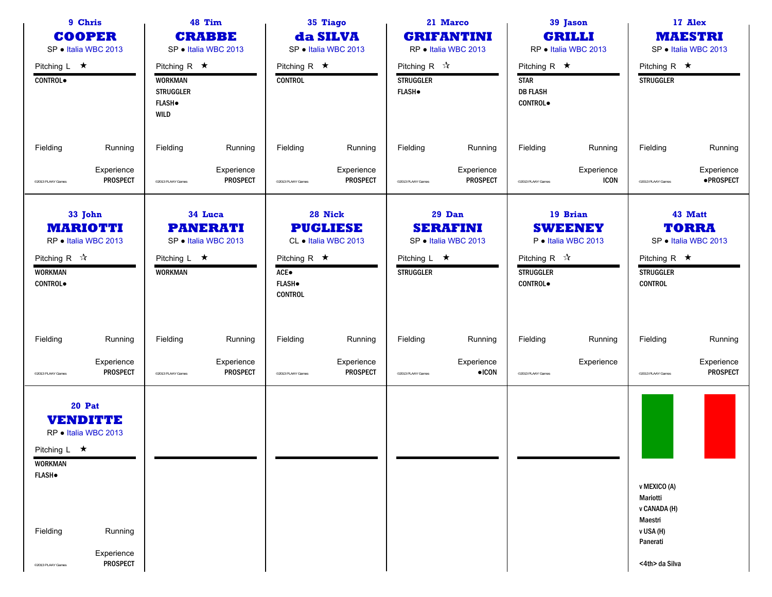| 9 Chris<br><b>COOPER</b><br>SP · Italia WBC 2013                |                                                          | 48 Tim<br>35 Tiago<br><b>CRABBE</b><br>da SILVA<br>SP · Italia WBC 2013<br>SP · Italia WBC 2013 |                                                    |                                                                |                                                    | 21 Marco<br><b>GRIFANTINI</b><br>RP · Italia WBC 2013               |                                                   | 39 Jason<br><b>GRILLI</b><br>RP · Italia WBC 2013                      |                                                   | 17 Alex<br><b>MAESTRI</b><br>SP · Italia WBC 2013                              |                                                 |
|-----------------------------------------------------------------|----------------------------------------------------------|-------------------------------------------------------------------------------------------------|----------------------------------------------------|----------------------------------------------------------------|----------------------------------------------------|---------------------------------------------------------------------|---------------------------------------------------|------------------------------------------------------------------------|---------------------------------------------------|--------------------------------------------------------------------------------|-------------------------------------------------|
| Pitching $L \star$<br>CONTROL.                                  |                                                          | Pitching R $\star$<br><b>WORKMAN</b><br><b>STRUGGLER</b><br><b>FLASH</b> .<br><b>WILD</b>       |                                                    | Pitching R $\star$<br><b>CONTROL</b>                           |                                                    | Pitching R $\mathbb{\hat{X}}$<br><b>STRUGGLER</b><br><b>FLASH</b> . |                                                   | Pitching R $\star$<br><b>STAR</b><br><b>DB FLASH</b><br><b>CONTROL</b> |                                                   | Pitching R $\star$<br><b>STRUGGLER</b>                                         |                                                 |
| Fielding                                                        | Running                                                  | Fielding                                                                                        | Running                                            | Fielding                                                       | Running                                            | Fielding                                                            | Running                                           | Fielding                                                               | Running                                           | Fielding                                                                       | Running                                         |
| @2013 PLAAY Games                                               | Experience<br><b>PROSPECT</b>                            | <sup>©</sup> 2013 PLAAY Games                                                                   | Experience<br><b>PROSPECT</b>                      | @2013 PLAAY Games                                              | Experience<br><b>PROSPECT</b>                      | @2013 PLAAY Games                                                   | Experience<br><b>PROSPECT</b>                     | @2013 PLAAY Games                                                      | Experience<br><b>ICON</b>                         | @2013 PLAAY Games                                                              | Experience<br>·PROSPECT                         |
| Pitching R $\sqrt{\lambda}$<br><b>WORKMAN</b><br><b>CONTROL</b> | 33 John<br><b>MARIOTTI</b><br>RP · Italia WBC 2013       | Pitching $L \star$<br><b>WORKMAN</b>                                                            | 34 Luca<br><b>PANERATI</b><br>SP · Italia WBC 2013 | Pitching R $\star$<br>ACE●<br><b>FLASH</b> .<br><b>CONTROL</b> | 28 Nick<br><b>PUGLIESE</b><br>CL · Italia WBC 2013 | Pitching $L \star$<br><b>STRUGGLER</b>                              | 29 Dan<br><b>SERAFINI</b><br>SP · Italia WBC 2013 | Pitching R $\mathcal{R}$<br><b>STRUGGLER</b><br><b>CONTROL</b>         | 19 Brian<br><b>SWEENEY</b><br>P · Italia WBC 2013 | Pitching R $\star$<br><b>STRUGGLER</b><br><b>CONTROL</b>                       | 43 Matt<br><b>TORRA</b><br>SP · Italia WBC 2013 |
| Fielding                                                        | Running                                                  | Fielding                                                                                        | Running                                            | Fielding                                                       | Running                                            | Fielding                                                            | Running                                           | Fielding                                                               | Running                                           | Fielding                                                                       | Running                                         |
| @2013 PLAAY Games                                               | Experience<br><b>PROSPECT</b>                            | <sup>o</sup> 2013 PLAAY Games                                                                   | Experience<br><b>PROSPECT</b>                      | @2013 PLAAY Games                                              | Experience<br><b>PROSPECT</b>                      | @2013 PLAAY Games                                                   | Experience<br>$\bullet$ ICON                      | @2013 PLAAY Games                                                      | Experience                                        | @2013 PLAAY Games                                                              | Experience<br><b>PROSPECT</b>                   |
| Pitching L $\star$<br><b>WORKMAN</b><br><b>FLASH</b> .          | <b>20 Pat</b><br><b>VENDITTE</b><br>RP . Italia WBC 2013 |                                                                                                 |                                                    |                                                                |                                                    |                                                                     |                                                   |                                                                        |                                                   | v MEXICO (A)                                                                   |                                                 |
| Fielding<br><sup>©</sup> 2013 PLAAY Games                       | Running<br>Experience<br><b>PROSPECT</b>                 |                                                                                                 |                                                    |                                                                |                                                    |                                                                     |                                                   |                                                                        |                                                   | Mariotti<br>v CANADA (H)<br>Maestri<br>v USA (H)<br>Panerati<br><4th> da Silva |                                                 |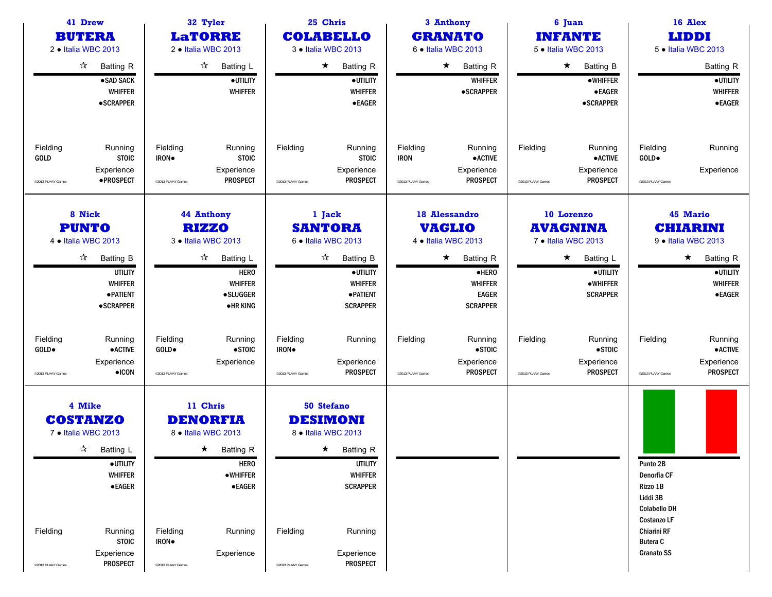| 41 Drew<br>32 Tyler<br><b>BUTERA</b><br><b>LaTORRE</b><br>2 · Italia WBC 2013<br>2 · Italia WBC 2013                                                                                                                               |                                                                                                                                                                                                             | 25 Chris<br><b>COLABELLO</b><br>3 . Italia WBC 2013                                                                                                                                                    | 3 Anthony<br><b>GRANATO</b><br>6 . Italia WBC 2013                                                                                                 | 6 Juan<br><b>INFANTE</b><br>5 . Italia WBC 2013                                                                                         | 16 Alex<br><b>LIDDI</b><br>5 . Italia WBC 2013                                                                                                      |
|------------------------------------------------------------------------------------------------------------------------------------------------------------------------------------------------------------------------------------|-------------------------------------------------------------------------------------------------------------------------------------------------------------------------------------------------------------|--------------------------------------------------------------------------------------------------------------------------------------------------------------------------------------------------------|----------------------------------------------------------------------------------------------------------------------------------------------------|-----------------------------------------------------------------------------------------------------------------------------------------|-----------------------------------------------------------------------------------------------------------------------------------------------------|
| $\frac{1}{2}$<br><b>Batting R</b><br>·SAD SACK<br><b>WHIFFER</b><br>• SCRAPPER                                                                                                                                                     | $\mathcal{A}$<br>Batting L<br>·UTILITY<br><b>WHIFFER</b>                                                                                                                                                    | $\star$<br><b>Batting R</b><br>·UTILITY<br><b>WHIFFER</b><br>$\bullet$ EAGER                                                                                                                           | $\star$<br><b>Batting R</b><br><b>WHIFFER</b><br><b>•SCRAPPER</b>                                                                                  | $\star$<br><b>Batting B</b><br><b>•WHIFFER</b><br>$\bullet$ EAGER<br><b>•SCRAPPER</b>                                                   | <b>Batting R</b><br>·UTILITY<br><b>WHIFFER</b><br><b>•EAGER</b>                                                                                     |
| Fielding<br>Running<br><b>STOIC</b><br>GOLD<br>Experience<br>· PROSPECT<br>@2013 PLAAY Games                                                                                                                                       | Fielding<br>Running<br><b>STOIC</b><br>IRON.<br>Experience<br><b>PROSPECT</b><br><sup>o</sup> 2013 PLAAY Games                                                                                              | Fielding<br>Running<br><b>STOIC</b><br>Experience<br><b>PROSPECT</b><br>@2013 PLAAY Games                                                                                                              | Fielding<br>Running<br>$\bullet$ ACTIVE<br><b>IRON</b><br>Experience<br><b>PROSPECT</b><br>©2013 PLAAY Games                                       | Fielding<br>Running<br><b>•ACTIVE</b><br>Experience<br><b>PROSPECT</b><br>@2013 PLAAY Games                                             | Fielding<br>Running<br>GOLD.<br>Experience<br>@2013 PLAAY Games                                                                                     |
| 8 Nick<br><b>PUNTO</b><br>4 . Italia WBC 2013<br>$\frac{1}{2}$<br><b>Batting B</b><br><b>UTILITY</b><br><b>WHIFFER</b><br><b>• PATIENT</b><br>$\bullet$ SCRAPPER                                                                   | 44 Anthony<br><b>RIZZO</b><br>3 · Italia WBC 2013<br>$\mathcal{L}$<br>Batting L<br><b>HERO</b><br><b>WHIFFER</b><br><b>•SLUGGER</b><br><b>•HR KING</b>                                                      | 1 Jack<br><b>SANTORA</b><br>6 . Italia WBC 2013<br>$\vec{\lambda}$<br><b>Batting B</b><br>·UTILITY<br><b>WHIFFER</b><br>· PATIENT<br><b>SCRAPPER</b>                                                   | 18 Alessandro<br><b>VAGLIO</b><br>4 • Italia WBC 2013<br>$\star$<br><b>Batting R</b><br>·HERO<br><b>WHIFFER</b><br><b>EAGER</b><br><b>SCRAPPER</b> | 10 Lorenzo<br><b>AVAGNINA</b><br>7 · Italia WBC 2013<br>$\star$<br><b>Batting L</b><br>·UTILITY<br>$\bullet$ WHIFFER<br><b>SCRAPPER</b> | <b>45 Mario</b><br><b>CHIARINI</b><br>9 · Italia WBC 2013<br>$\star$<br><b>Batting R</b><br>·UTILITY<br><b>WHIFFER</b><br><b>•EAGER</b>             |
| Fielding<br>Running<br>$\bullet$ ACTIVE<br>GOLD.<br>Experience<br>$\bullet$ ICON<br>@2013 PLAAY Games                                                                                                                              | Fielding<br>Running<br>$\bullet$ STOIC<br>GOLD.<br>Experience<br><sup>o</sup> 2013 PLAAY Games                                                                                                              | Fielding<br>Running<br>IRON.<br>Experience<br><b>PROSPECT</b><br>@2013 PLAAY Games                                                                                                                     | Fielding<br>Running<br>$\bullet$ STOIC<br>Experience<br><b>PROSPECT</b><br>@2013 PLAAY Games                                                       | Fielding<br>Running<br>$\bullet$ STOIC<br>Experience<br><b>PROSPECT</b><br>@2013 PLAAY Games                                            | Fielding<br>Running<br>$\bullet$ ACTIVE<br>Experience<br><b>PROSPECT</b><br>@2013 PLAAY Games                                                       |
| 4 Mike<br><b>COSTANZO</b><br>7 • Italia WBC 2013<br>$\sqrt[3]{ }$ Batting L<br>$\bullet$ UTILITY<br><b>WHIFFER</b><br>$\bullet$ EAGER<br>Fielding<br>Running<br><b>STOIC</b><br>Experience<br><b>PROSPECT</b><br>@2013 PLAAY Games | 11 Chris<br><b>DENORFIA</b><br>8 · Italia WBC 2013<br>$\star$ Batting R<br><b>HERO</b><br>$\bullet$ WHIFFER<br><b>•EAGER</b><br>Fielding<br>Running<br>IRON.<br>Experience<br><sup>©</sup> 2013 PLAAY Games | 50 Stefano<br><b>DESIMONI</b><br>8 · Italia WBC 2013<br>$\star$ Batting R<br><b>UTILITY</b><br><b>WHIFFER</b><br><b>SCRAPPER</b><br>Fielding<br>Running<br>Experience<br>PROSPECT<br>@2013 PLAAY Games |                                                                                                                                                    |                                                                                                                                         | Punto 2B<br>Denorfia CF<br>Rizzo 1B<br>Liddi 3B<br><b>Colabello DH</b><br><b>Costanzo LF</b><br>Chiarini RF<br><b>Butera C</b><br><b>Granato SS</b> |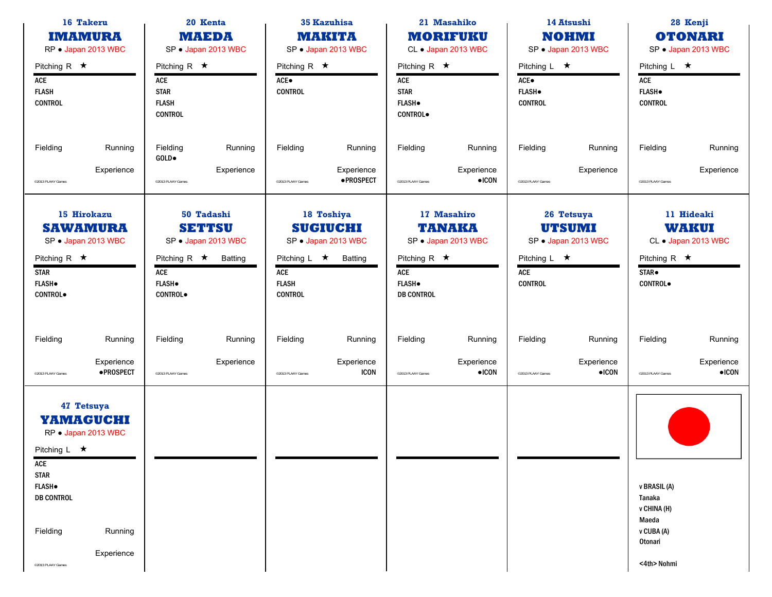| 16 Takeru<br>20 Kenta<br><b>MAEDA</b><br><b>IMAMURA</b><br>RP · Japan 2013 WBC<br>SP · Japan 2013 WBC                                                                                       |                                                                                                                                | <b>35 Kazuhisa</b><br><b>MAKITA</b><br>SP · Japan 2013 WBC                                                                     | 21 Masahiko<br><b>MORIFUKU</b><br>CL · Japan 2013 WBC                                                                   | 14 Atsushi<br><b>NOHMI</b><br>SP · Japan 2013 WBC                                                 | 28 Kenji<br><b>OTONARI</b><br>SP · Japan 2013 WBC                                                  |  |
|---------------------------------------------------------------------------------------------------------------------------------------------------------------------------------------------|--------------------------------------------------------------------------------------------------------------------------------|--------------------------------------------------------------------------------------------------------------------------------|-------------------------------------------------------------------------------------------------------------------------|---------------------------------------------------------------------------------------------------|----------------------------------------------------------------------------------------------------|--|
| Pitching R $\star$<br>ACE<br><b>FLASH</b><br><b>CONTROL</b>                                                                                                                                 | Pitching R $\star$<br>ACE<br><b>STAR</b><br><b>FLASH</b><br><b>CONTROL</b>                                                     | Pitching R $\star$<br>$ACE\bullet$<br><b>CONTROL</b>                                                                           | Pitching R $\star$<br>ACE<br><b>STAR</b><br><b>FLASH</b> .<br><b>CONTROL</b>                                            | Pitching $L \star$<br>$ACE\bullet$<br><b>FLASH</b> .<br><b>CONTROL</b>                            | Pitching L $\star$<br>ACE<br><b>FLASH</b> .<br><b>CONTROL</b>                                      |  |
| Fielding<br>Running<br>Experience<br>@2013 PLAAY Games                                                                                                                                      | Fielding<br>Running<br>GOLD.<br>Experience<br><sup>©</sup> 2013 PLAAY Games                                                    | Fielding<br>Running<br>Experience<br>·PROSPECT<br>@2013 PLAAY Games                                                            | Fielding<br>Running<br>Experience<br>$\bullet$ ICON<br>@2013 PLAAY Games                                                | Fielding<br>Running<br>Experience<br>@2013 PLAAY Games                                            | Fielding<br>Running<br>Experience<br>@2013 PLAAY Games                                             |  |
| 15 Hirokazu<br><b>SAWAMURA</b><br>SP · Japan 2013 WBC<br>Pitching R $\star$<br><b>STAR</b><br><b>FLASH</b> .<br><b>CONTROL</b>                                                              | 50 Tadashi<br><b>SETTSU</b><br>SP · Japan 2013 WBC<br>Pitching R $\star$<br>Batting<br>ACE<br><b>FLASH</b> .<br><b>CONTROL</b> | 18 Toshiya<br><b>SUGIUCHI</b><br>SP · Japan 2013 WBC<br>Pitching $L \star$<br>Batting<br>ACE<br><b>FLASH</b><br><b>CONTROL</b> | 17 Masahiro<br><b>TANAKA</b><br>SP · Japan 2013 WBC<br>Pitching R $\star$<br>ACE<br><b>FLASH</b> .<br><b>DB CONTROL</b> | 26 Tetsuya<br><b>UTSUMI</b><br>SP · Japan 2013 WBC<br>Pitching L $\star$<br>ACE<br><b>CONTROL</b> | 11 Hideaki<br><b>WAKUI</b><br>CL • Japan 2013 WBC<br>Pitching R $\star$<br>STAR.<br><b>CONTROL</b> |  |
| Fielding<br>Running<br>Experience<br>·PROSPECT<br>@2013 PLAAY Games                                                                                                                         | Fielding<br>Running<br>Experience<br><sup>©</sup> 2013 PLAAY Games                                                             | Fielding<br>Running<br>Experience<br><b>ICON</b><br>@2013 PLAAY Games                                                          | Fielding<br>Running<br>Experience<br>$\bullet$ ICON<br>@2013 PLAAY Games                                                | Fielding<br>Running<br>Experience<br>$\bullet$ ICON<br>@2013 PLAAY Games                          | Fielding<br>Running<br>Experience<br>$\bullet$ ICON<br>@2013 PLAAY Games                           |  |
| 47 Tetsuya<br>YAMAGUCHI<br>RP · Japan 2013 WBC<br>Pitching L $\star$<br>ACE<br><b>STAR</b><br><b>FLASH</b> .<br><b>DB CONTROL</b><br>Fielding<br>Running<br>Experience<br>@2013 PLAAY Games |                                                                                                                                |                                                                                                                                |                                                                                                                         |                                                                                                   | v BRASIL (A)<br>Tanaka<br>v CHINA (H)<br>Maeda<br>v CUBA (A)<br>Otonari<br><4th> Nohmi             |  |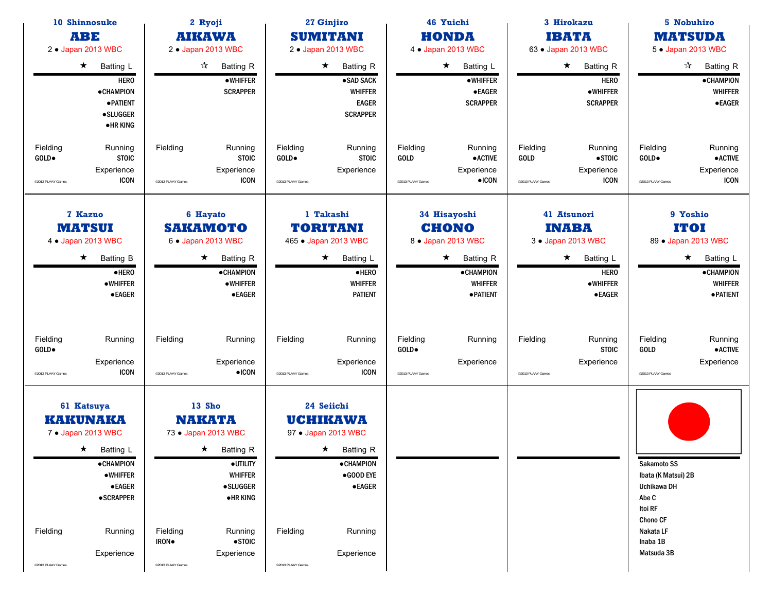| 10 Shinnosuke<br><b>ABE</b><br>2 . Japan 2013 WBC |                                                                                                                                                                                 | 2 Ryoji<br><b>AIKAWA</b><br>2 . Japan 2013 WBC |                                                                                                                                                                                           | 27 Ginjiro<br><b>SUMITANI</b><br>2 . Japan 2013 WBC |                                                                                                                                                                 |                                        | 46 Yuichi<br><b>HONDA</b><br>4 . Japan 2013 WBC                                                                              |                                              | 3 Hirokazu<br><b>IBATA</b><br>63 . Japan 2013 WBC                                                                                   |                                                                                                                                 | 5 Nobuhiro<br><b>MATSUDA</b><br>5 • Japan 2013 WBC                                                                                     |
|---------------------------------------------------|---------------------------------------------------------------------------------------------------------------------------------------------------------------------------------|------------------------------------------------|-------------------------------------------------------------------------------------------------------------------------------------------------------------------------------------------|-----------------------------------------------------|-----------------------------------------------------------------------------------------------------------------------------------------------------------------|----------------------------------------|------------------------------------------------------------------------------------------------------------------------------|----------------------------------------------|-------------------------------------------------------------------------------------------------------------------------------------|---------------------------------------------------------------------------------------------------------------------------------|----------------------------------------------------------------------------------------------------------------------------------------|
|                                                   | $\star$<br>Batting L<br><b>HERO</b><br>• CHAMPION<br><b>• PATIENT</b><br><b>•SLUGGER</b><br>•HR KING                                                                            |                                                | $\vec{\mathbf{x}}$<br>Batting R<br><b>•WHIFFER</b><br><b>SCRAPPER</b>                                                                                                                     |                                                     | $\star$<br><b>Batting R</b><br>·SAD SACK<br><b>WHIFFER</b><br><b>EAGER</b><br><b>SCRAPPER</b>                                                                   |                                        | $\star$<br>Batting L<br>•WHIFFER<br><b>•EAGER</b><br><b>SCRAPPER</b>                                                         |                                              | $\star$ Batting R<br><b>HERO</b><br><b>•WHIFFER</b><br><b>SCRAPPER</b>                                                              |                                                                                                                                 | $\frac{1}{\sqrt{2}}$<br><b>Batting R</b><br><b>•CHAMPION</b><br><b>WHIFFER</b><br><b>•EAGER</b>                                        |
| Fielding<br>GOLD.<br>@2013 PLAAY Games            | Running<br><b>STOIC</b><br>Experience<br><b>ICON</b>                                                                                                                            | Fielding<br>@2013 PLAAY Games                  | Running<br><b>STOIC</b><br>Experience<br><b>ICON</b>                                                                                                                                      | Fielding<br>GOLD.<br>@2013 PLAAY Games              | Running<br><b>STOIC</b><br>Experience                                                                                                                           | Fielding<br>GOLD<br>@2013 PLAAY Games  | Running<br>$\bullet$ ACTIVE<br>Experience<br>$\bullet$ ICON                                                                  | Fielding<br><b>GOLD</b><br>@2013 PLAAY Games | Running<br>$\bullet$ STOIC<br>Experience<br><b>ICON</b>                                                                             | Fielding<br>GOLD.<br>@2013 PLAAY Games                                                                                          | Running<br>$\bullet$ ACTIVE<br>Experience<br><b>ICON</b>                                                                               |
|                                                   | <b>7 Kazuo</b><br><b>MATSUI</b><br>4 . Japan 2013 WBC<br>$\star$<br><b>Batting B</b><br>$e$ HERO<br><b>•WHIFFER</b><br>$\bullet$ EAGER                                          |                                                | 6 Hayato<br><b>SAKAMOTO</b><br>6 . Japan 2013 WBC<br>$\star$<br><b>Batting R</b><br><b>•CHAMPION</b><br>•WHIFFER<br>$\bullet$ EAGER                                                       |                                                     | 1 Takashi<br><b>TORITANI</b><br>465 . Japan 2013 WBC<br>$\star$<br><b>Batting L</b><br>$e$ HERO<br><b>WHIFFER</b><br><b>PATIENT</b>                             |                                        | 34 Hisayoshi<br><b>CHONO</b><br>8 . Japan 2013 WBC<br>$\star$<br><b>Batting R</b><br>·CHAMPION<br><b>WHIFFER</b><br>·PATIENT |                                              | 41 Atsunori<br><b>INABA</b><br>3 . Japan 2013 WBC<br>$\star$<br><b>Batting L</b><br><b>HERO</b><br><b>•WHIFFER</b><br><b>•EAGER</b> |                                                                                                                                 | 9 Yoshio<br><b>ITOI</b><br>89 . Japan 2013 WBC<br>$\star$<br><b>Batting L</b><br><b>•CHAMPION</b><br><b>WHIFFER</b><br><b>•PATIENT</b> |
| Fielding<br>GOLD.<br>@2013 PLAAY Games            | Running<br>Experience<br><b>ICON</b>                                                                                                                                            | Fielding<br><sup>©</sup> 2013 PLAAY Games      | Running<br>Experience<br>$\bullet$ ICON                                                                                                                                                   | Fielding<br>@2013 PLAAY Games                       | Running<br>Experience<br>ICON                                                                                                                                   | Fielding<br>GOLD.<br>@2013 PLAAY Games | Running<br>Experience                                                                                                        | Fielding<br>@2013 PLAAY Games                | Running<br><b>STOIC</b><br>Experience                                                                                               | Fielding<br>GOLD<br>@2013 PLAAY Games                                                                                           | Running<br><b>• ACTIVE</b><br>Experience                                                                                               |
| Fielding<br>@2013 PLAAY Games                     | 61 Katsuya<br><b>KAKUNAKA</b><br>7 • Japan 2013 WBC<br>$\star$ Batting L<br><b>•CHAMPION</b><br><b>•WHIFFER</b><br>$\bullet$ EAGER<br><b>•SCRAPPER</b><br>Running<br>Experience | Fielding<br>IRON.<br>@2013 PLAAY Games         | <b>13 Sho</b><br><b>NAKATA</b><br>73 • Japan 2013 WBC<br>$\star$ Batting R<br>·UTILITY<br><b>WHIFFER</b><br><b>•SLUGGER</b><br><b>•HRKING</b><br>Running<br>$\bullet$ STOIC<br>Experience | Fielding<br>@2013 PLAAY Games                       | 24 Seiichi<br><b>UCHIKAWA</b><br>97 • Japan 2013 WBC<br>$\star$ Batting R<br><b>•CHAMPION</b><br>$\bullet$ GOOD EYE<br>$\bullet$ EAGER<br>Running<br>Experience |                                        |                                                                                                                              |                                              |                                                                                                                                     | Sakamoto SS<br>Ibata (K Matsui) 2B<br>Uchikawa DH<br>Abe C<br>Itoi RF<br><b>Chono CF</b><br>Nakata LF<br>Inaba 1B<br>Matsuda 3B |                                                                                                                                        |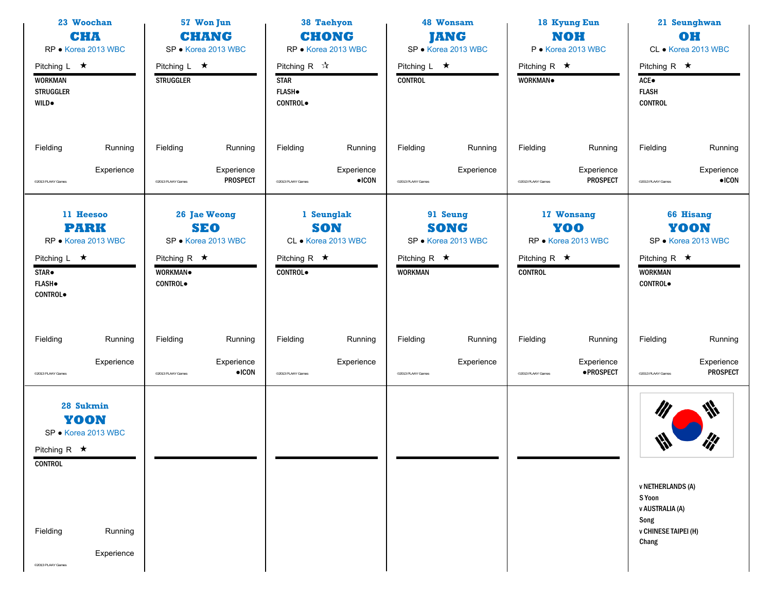| 23 Woochan<br>CHA<br>RP · Korea 2013 WBC                                                                                                   | 57 Won Jun<br><b>CHANG</b><br>SP · Korea 2013 WBC                                                     |                                                                                         | 48 Wonsam<br><b>JANG</b><br>SP · Korea 2013 WBC                                        | 18 Kyung Eun<br><b>NOH</b><br>P · Korea 2013 WBC                                 | 21 Seunghwan<br>OH<br>CL • Korea 2013 WBC                                                                                        |
|--------------------------------------------------------------------------------------------------------------------------------------------|-------------------------------------------------------------------------------------------------------|-----------------------------------------------------------------------------------------|----------------------------------------------------------------------------------------|----------------------------------------------------------------------------------|----------------------------------------------------------------------------------------------------------------------------------|
| Pitching $L \star$<br><b>WORKMAN</b><br><b>STRUGGLER</b><br><b>WILD</b> .                                                                  | Pitching $L \star$<br><b>STRUGGLER</b>                                                                | Pitching R $\sqrt{\lambda}$<br><b>STAR</b><br><b>FLASH</b> .<br><b>CONTROL</b>          | Pitching L $\star$<br><b>CONTROL</b>                                                   | Pitching R $\star$<br>WORKMAN.                                                   | Pitching R $\star$<br>ACE●<br><b>FLASH</b><br><b>CONTROL</b>                                                                     |
| Fielding<br>Running                                                                                                                        | Fielding<br>Running                                                                                   | Fielding<br>Running                                                                     | Fielding<br>Running                                                                    | Fielding<br>Running                                                              | Fielding<br>Running                                                                                                              |
| Experience<br><sup>©</sup> 2013 PLAAY Games                                                                                                | Experience<br><b>PROSPECT</b><br><sup>©</sup> 2013 PLAAY Games                                        | Experience<br>$\bullet$ ICON<br>@2013 PLAAY Games                                       | Experience<br>©2013 PLAAY Games                                                        | Experience<br><b>PROSPECT</b><br>@2013 PLAAY Games                               | Experience<br>$\bullet$ ICON<br>@2013 PLAAY Games                                                                                |
| 11 Heesoo<br><b>PARK</b><br>RP · Korea 2013 WBC<br>Pitching $L \star$<br>STAR <sup>.</sup><br><b>FLASH</b><br><b>CONTROL</b>               | 26 Jae Weong<br><b>SEO</b><br>SP · Korea 2013 WBC<br>Pitching R $\star$<br>WORKMAN.<br><b>CONTROL</b> | 1 Seunglak<br><b>SON</b><br>CL · Korea 2013 WBC<br>Pitching R $\star$<br><b>CONTROL</b> | 91 Seung<br><b>SONG</b><br>SP · Korea 2013 WBC<br>Pitching R $\star$<br><b>WORKMAN</b> | 17 Wonsang<br>YOO<br>RP · Korea 2013 WBC<br>Pitching R $\star$<br><b>CONTROL</b> | <b>66 Hisang</b><br>YOON<br>SP · Korea 2013 WBC<br>Pitching R $\star$<br><b>WORKMAN</b><br><b>CONTROL</b>                        |
| Fielding<br>Running<br>Experience<br>@2013 PLAAY Games                                                                                     | Fielding<br>Running<br>Experience<br>$\bullet$ ICON<br><sup>©</sup> 2013 PLAAY Games                  | Fielding<br>Running<br>Experience<br>@2013 PLAAY Games                                  | Fielding<br>Running<br>Experience<br>©2013 PLAAY Games                                 | Fielding<br>Running<br>Experience<br>·PROSPECT<br>@2013 PLAAY Games              | Running<br>Fielding<br>Experience<br><b>PROSPECT</b><br>@2013 PLAAY Games                                                        |
| 28 Sukmin<br>YOON<br>SP · Korea 2013 WBC<br>Pitching R $\star$<br><b>CONTROL</b><br>Fielding<br>Running<br>Experience<br>@2013 PLAAY Games |                                                                                                       |                                                                                         |                                                                                        |                                                                                  | ₩<br>$\mathscr{U}$<br>₩<br><b>v NETHERLANDS (A)</b><br>S Yoon<br>v AUSTRALIA (A)<br>Song<br><b>v CHINESE TAIPEI (H)</b><br>Chang |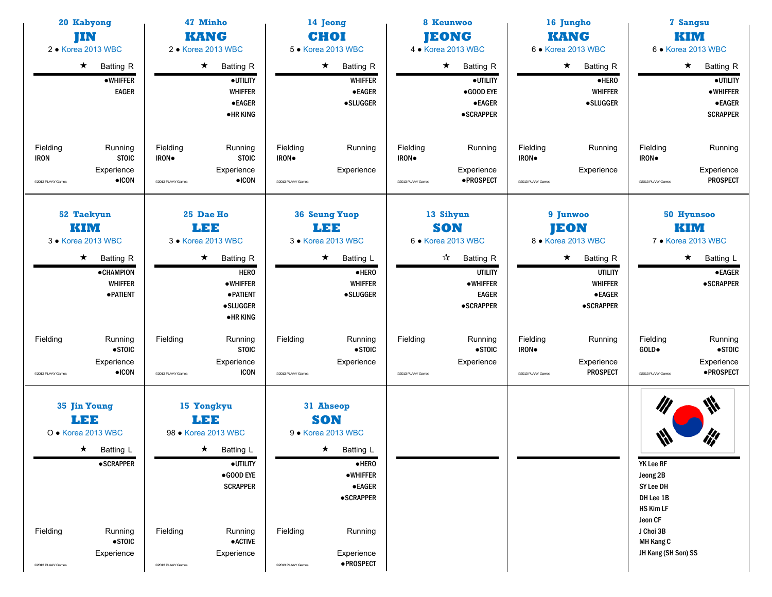| 20 Kabyong<br>JIN<br>2 • Korea 2013 WBC                                                                                                                        | 47 Minho<br><b>KANG</b><br>2 • Korea 2013 WBC                                                                                                                                                                 |                                                                                                                                                                                                                   | 8 Keunwoo<br><b>JEONG</b><br>4 • Korea 2013 WBC                                                                                                                    | 16 Jungho<br><b>KANG</b><br>6 • Korea 2013 WBC                                                                                                          | 7 Sangsu<br>KIM<br>6 • Korea 2013 WBC                                                                                           |
|----------------------------------------------------------------------------------------------------------------------------------------------------------------|---------------------------------------------------------------------------------------------------------------------------------------------------------------------------------------------------------------|-------------------------------------------------------------------------------------------------------------------------------------------------------------------------------------------------------------------|--------------------------------------------------------------------------------------------------------------------------------------------------------------------|---------------------------------------------------------------------------------------------------------------------------------------------------------|---------------------------------------------------------------------------------------------------------------------------------|
| $\star$<br><b>Batting R</b><br><b>•WHIFFER</b><br><b>EAGER</b>                                                                                                 | $\star$<br><b>Batting R</b><br>·UTILITY<br><b>WHIFFER</b><br><b>•EAGER</b><br><b>•HRKING</b>                                                                                                                  | $\star$<br>Batting R<br><b>WHIFFER</b><br>$\bullet$ EAGER<br><b>•SLUGGER</b>                                                                                                                                      | $\star$<br><b>Batting R</b><br>· UTILITY<br>$\bullet$ GOOD EYE<br><b>•EAGER</b><br><b>•SCRAPPER</b>                                                                | $\star$<br><b>Batting R</b><br>$\bullet$ HERO<br><b>WHIFFER</b><br><b>•SLUGGER</b>                                                                      | $\star$<br><b>Batting R</b><br>·UTILITY<br><b>•WHIFFER</b><br><b>•EAGER</b><br><b>SCRAPPER</b>                                  |
| Fielding<br>Running<br><b>IRON</b><br><b>STOIC</b><br>Experience<br>$\bullet$ ICON<br><sup>©</sup> 2013 PLAAY Games                                            | Fielding<br>Running<br>IRON.<br><b>STOIC</b><br>Experience<br>$\bullet$ ICON<br><sup>©</sup> 2013 PLAAY Games                                                                                                 | Fielding<br>Running<br>IRON.<br>Experience<br>@2013 PLAAY Games                                                                                                                                                   | Fielding<br>Running<br>IRON.<br>Experience<br>·PROSPECT<br>@2013 PLAAY Games                                                                                       | Fielding<br>Running<br>IRON.<br>Experience<br><sup>©2013</sup> PLAAY Games                                                                              | Fielding<br>Running<br>IRON.<br>Experience<br><b>PROSPECT</b><br>@2013 PLAAY Games                                              |
| 52 Taekyun<br>KIM<br>3 • Korea 2013 WBC<br>$\star$<br>Batting R<br><b>•CHAMPION</b><br><b>WHIFFER</b><br><b>• PATIENT</b>                                      | 25 Dae Ho<br>LEE<br>3 • Korea 2013 WBC<br>$\star$<br>Batting R<br><b>HERO</b><br><b>•WHIFFER</b><br><b>• PATIENT</b><br><b>•SLUGGER</b><br><b>•HRKING</b>                                                     | <b>36 Seung Yuop</b><br>LEE<br>3 • Korea 2013 WBC<br>$\star$<br>Batting L<br>$e$ HERO<br><b>WHIFFER</b><br><b>•SLUGGER</b>                                                                                        | 13 Sihyun<br><b>SON</b><br>6 • Korea 2013 WBC<br>$\frac{1}{\sqrt{2}}$<br><b>Batting R</b><br><b>UTILITY</b><br><b>•WHIFFER</b><br><b>EAGER</b><br><b>•SCRAPPER</b> | 9 Junwoo<br><b>JEON</b><br>8 • Korea 2013 WBC<br>$\star$<br><b>Batting R</b><br><b>UTILITY</b><br><b>WHIFFER</b><br>$\bullet$ EAGER<br><b>•SCRAPPER</b> | 50 Hyunsoo<br>KIM<br>7 • Korea 2013 WBC<br>$\star$<br>Batting L<br>$\bullet$ EAGER<br><b>•SCRAPPER</b>                          |
| Fielding<br>Running<br>$\bullet$ STOIC<br>Experience<br>$\bullet$ ICON<br>@2013 PLAAY Games                                                                    | Fielding<br>Running<br><b>STOIC</b><br>Experience<br><b>ICON</b><br><sup>©</sup> 2013 PLAAY Games                                                                                                             | Fielding<br>Running<br>$\bullet$ STOIC<br>Experience<br>@2013 PLAAY Games                                                                                                                                         | Fielding<br>Running<br>$\bullet$ STOIC<br>Experience<br>@2013 PLAAY Games                                                                                          | Fielding<br>Running<br>IRON.<br>Experience<br><b>PROSPECT</b><br>@2013 PLAAY Games                                                                      | Fielding<br>Running<br>$\bullet$ STOIC<br>GOLD.<br>Experience<br>·PROSPECT<br>@2013 PLAAY Games                                 |
| 35 Jin Young<br>明明<br>O · Korea 2013 WBC<br>$\star$ Batting L<br><b>•SCRAPPER</b><br>Fielding<br>Running<br>$\bullet$ STOIC<br>Experience<br>@2013 PLAAY Games | 15 Yongkyu<br>LEE<br>98 • Korea 2013 WBC<br>★ Batting L<br>$\bullet$ UTILITY<br>$\bullet$ GOOD EYE<br><b>SCRAPPER</b><br>Fielding<br>Running<br><b>•ACTIVE</b><br>Experience<br><sup>©</sup> 2013 PLAAY Games | 31 Ahseop<br><b>SON</b><br>9 • Korea 2013 WBC<br>$\star$ Batting L<br>$e$ HERO<br>$\bullet$ WHIFFER<br>$\bullet$ EAGER<br><b>•SCRAPPER</b><br>Fielding<br>Running<br>Experience<br>·PROSPECT<br>@2013 PLAAY Games |                                                                                                                                                                    |                                                                                                                                                         | YK Lee RF<br>Jeong 2B<br>SY Lee DH<br>DH Lee 1B<br>HS Kim LF<br>Jeon CF<br>J Choi 3B<br><b>MH Kang C</b><br>JH Kang (SH Son) SS |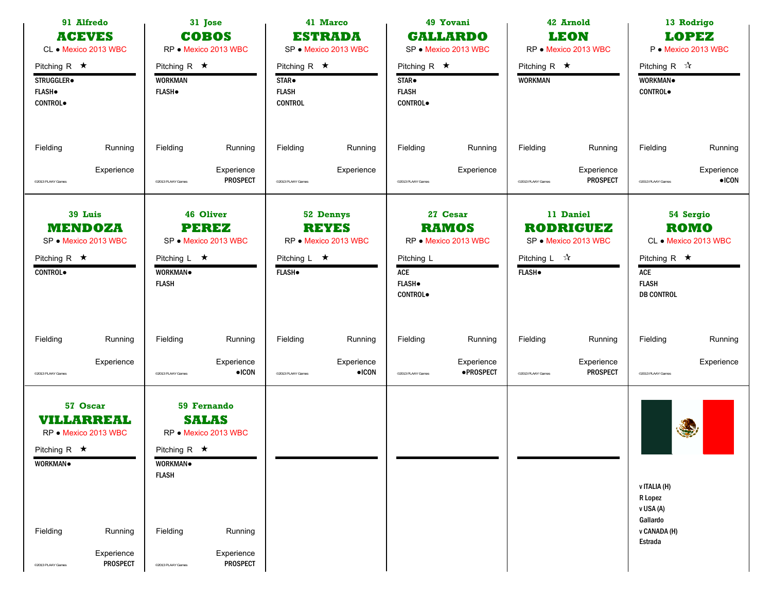|                                                                      | 91 Alfredo<br>31 Jose<br><b>COBOS</b><br><b>ACEVES</b><br>CL • Mexico 2013 WBC<br>RP · Mexico 2013 WBC |                                                        |                                                     | 41 Marco<br><b>ESTRADA</b><br>SP · Mexico 2013 WBC                        | 49 Yovani<br><b>GALLARDO</b><br>SP · Mexico 2013 WBC     |                                                               | 42 Arnold<br><b>LEON</b><br>RP · Mexico 2013 WBC |                                                | 13 Rodrigo<br><b>LOPEZ</b><br>P · Mexico 2013 WBC     |                                                                |                                                  |
|----------------------------------------------------------------------|--------------------------------------------------------------------------------------------------------|--------------------------------------------------------|-----------------------------------------------------|---------------------------------------------------------------------------|----------------------------------------------------------|---------------------------------------------------------------|--------------------------------------------------|------------------------------------------------|-------------------------------------------------------|----------------------------------------------------------------|--------------------------------------------------|
| Pitching R $\star$<br>STRUGGLER.<br><b>FLASH</b> .<br><b>CONTROL</b> |                                                                                                        | Pitching R $\star$<br><b>WORKMAN</b><br><b>FLASH</b> . |                                                     | Pitching R $\star$<br>STAR <sup>o</sup><br><b>FLASH</b><br><b>CONTROL</b> |                                                          | Pitching R $\star$<br>STAR.<br><b>FLASH</b><br><b>CONTROL</b> |                                                  | Pitching R $\star$<br><b>WORKMAN</b>           |                                                       | Pitching R $\sqrt[4]{x}$<br>WORKMAN.<br><b>CONTROL</b>         |                                                  |
| Fielding                                                             | Running                                                                                                | Fielding                                               | Running                                             | Fielding                                                                  | Running                                                  | Fielding                                                      | Running                                          | Fielding                                       | Running                                               | Fielding                                                       | Running                                          |
| <sup>©</sup> 2013 PLAAY Games                                        | Experience                                                                                             | <sup>©</sup> 2013 PLAAY Games                          | Experience<br><b>PROSPECT</b>                       | @2013 PLAAY Games                                                         | Experience                                               | @2013 PLAAY Games                                             | Experience                                       | @2013 PLAAY Games                              | Experience<br><b>PROSPECT</b>                         | @2013 PLAAY Games                                              | Experience<br>$\bullet$ ICON                     |
| Pitching R $\star$<br><b>CONTROL</b>                                 | 39 Luis<br><b>MENDOZA</b><br>SP · Mexico 2013 WBC                                                      | Pitching $L \star$<br><b>WORKMAN</b><br><b>FLASH</b>   | 46 Oliver<br>PEREZ<br>SP · Mexico 2013 WBC          | Pitching $L \star$<br><b>FLASH</b> .                                      | <b>52 Dennys</b><br><b>REYES</b><br>RP · Mexico 2013 WBC | Pitching L<br>ACE<br><b>FLASH</b><br><b>CONTROL</b>           | 27 Cesar<br><b>RAMOS</b><br>RP · Mexico 2013 WBC | Pitching $L \quad \mathcal{R}$<br><b>FLASH</b> | 11 Daniel<br><b>RODRIGUEZ</b><br>SP · Mexico 2013 WBC | Pitching R $\star$<br>ACE<br><b>FLASH</b><br><b>DB CONTROL</b> | 54 Sergio<br><b>ROMO</b><br>CL • Mexico 2013 WBC |
| Fielding                                                             | Running                                                                                                | Fielding                                               | Running                                             | Fielding                                                                  | Running                                                  | Fielding                                                      | Running                                          | Fielding                                       | Running                                               | Fielding                                                       | Running                                          |
| @2013 PLAAY Games                                                    | Experience                                                                                             | <sup>o</sup> 2013 PLAAY Games                          | Experience<br>$\bullet$ ICON                        | @2013 PLAAY Games                                                         | Experience<br>$\bullet$ ICON                             | @2013 PLAAY Games                                             | Experience<br><b>•PROSPECT</b>                   | @2013 PLAAY Games                              | Experience<br><b>PROSPECT</b>                         | @2013 PLAAY Games                                              | Experience                                       |
| Pitching R $\star$<br>WORKMAN.                                       | 57 Oscar<br><b>VILLARREAL</b><br>RP · Mexico 2013 WBC                                                  | Pitching R $\star$<br>WORKMAN.<br><b>FLASH</b>         | 59 Fernando<br><b>SALAS</b><br>RP · Mexico 2013 WBC |                                                                           |                                                          |                                                               |                                                  |                                                |                                                       | v ITALIA (H)<br>R Lopez<br>v USA (A)<br>Gallardo               | 4                                                |
| Fielding                                                             | Running<br>Experience                                                                                  | Fielding                                               | Running<br>Experience                               |                                                                           |                                                          |                                                               |                                                  |                                                |                                                       | v CANADA (H)<br>Estrada                                        |                                                  |
| @2013 PLAAY Games                                                    | <b>PROSPECT</b>                                                                                        | <sup>o</sup> 2013 PLAAY Games                          | PROSPECT                                            |                                                                           |                                                          |                                                               |                                                  |                                                |                                                       |                                                                |                                                  |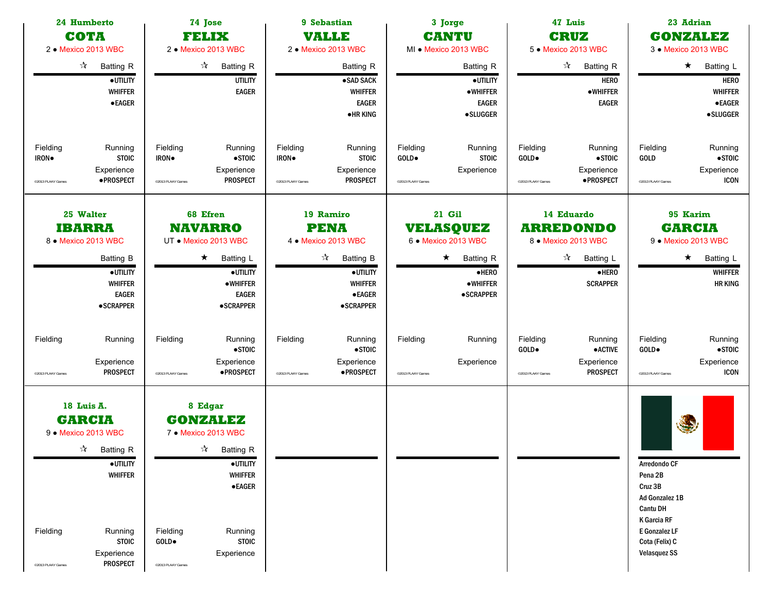|                                        | 74 Jose<br>24 Humberto<br>COTA<br>FELIX<br>2 · Mexico 2013 WBC<br>2 · Mexico 2013 WBC                                                                                             |                                        |                                                                                                                                                                             |                                        | 9 Sebastian<br><b>VALLE</b><br>2 · Mexico 2013 WBC                                                                                                               |                                        | 3 Jorge<br><b>CANTU</b><br>MI . Mexico 2013 WBC                                                                                             |                                        | 47 Luis<br><b>CRUZ</b><br>5 • Mexico 2013 WBC                                                                   |                                                                                                                                                  | 23 Adrian<br><b>GONZALEZ</b><br>3 • Mexico 2013 WBC                                                          |
|----------------------------------------|-----------------------------------------------------------------------------------------------------------------------------------------------------------------------------------|----------------------------------------|-----------------------------------------------------------------------------------------------------------------------------------------------------------------------------|----------------------------------------|------------------------------------------------------------------------------------------------------------------------------------------------------------------|----------------------------------------|---------------------------------------------------------------------------------------------------------------------------------------------|----------------------------------------|-----------------------------------------------------------------------------------------------------------------|--------------------------------------------------------------------------------------------------------------------------------------------------|--------------------------------------------------------------------------------------------------------------|
|                                        | $\frac{1}{\sqrt{2}}$<br><b>Batting R</b><br>·UTILITY<br><b>WHIFFER</b><br><b>• EAGER</b>                                                                                          |                                        | $\frac{1}{\sqrt{2}}$<br><b>Batting R</b><br><b>UTILITY</b><br><b>EAGER</b>                                                                                                  |                                        | Batting R<br>·SAD SACK<br><b>WHIFFER</b><br><b>EAGER</b><br><b>•HRKING</b>                                                                                       |                                        | <b>Batting R</b><br>·UTILITY<br>•WHIFFER<br><b>EAGER</b><br><b>•SLUGGER</b>                                                                 |                                        | $\mathcal{A}$<br><b>Batting R</b><br><b>HERO</b><br><b>•WHIFFER</b><br><b>EAGER</b>                             |                                                                                                                                                  | $\star$<br>Batting L<br><b>HERO</b><br><b>WHIFFER</b><br><b>•EAGER</b><br><b>•SLUGGER</b>                    |
| Fielding<br>IRON.<br>@2013 PLAAY Games | Running<br><b>STOIC</b><br>Experience<br>· PROSPECT                                                                                                                               | Fielding<br>IRON.<br>@2013 PLAAY Games | Running<br>$\bullet$ STOIC<br>Experience<br><b>PROSPECT</b>                                                                                                                 | Fielding<br>IRON.<br>@2013 PLAAY Games | Running<br><b>STOIC</b><br>Experience<br><b>PROSPECT</b>                                                                                                         | Fielding<br>GOLD.<br>@2013 PLAAY Games | Running<br><b>STOIC</b><br>Experience                                                                                                       | Fielding<br>GOLD.<br>@2013 PLAAY Games | Running<br>$\bullet$ STOIC<br>Experience<br>·PROSPECT                                                           | Fielding<br>GOLD<br>@2013 PLAAY Games                                                                                                            | Running<br>$\bullet$ STOIC<br>Experience<br><b>ICON</b>                                                      |
|                                        | 25 Walter<br><b>IBARRA</b><br>8 · Mexico 2013 WBC<br><b>Batting B</b><br>·UTILITY<br><b>WHIFFER</b><br><b>EAGER</b><br><b>•SCRAPPER</b>                                           |                                        | 68 Efren<br><b>NAVARRO</b><br>UT • Mexico 2013 WBC<br>$\star$<br>Batting L<br>·UTILITY<br><b>•WHIFFER</b><br><b>EAGER</b><br><b>•SCRAPPER</b>                               |                                        | 19 Ramiro<br><b>PENA</b><br>4 • Mexico 2013 WBC<br>$\frac{1}{\sqrt{2}}$<br><b>Batting B</b><br>·UTILITY<br><b>WHIFFER</b><br>$\bullet$ EAGER<br><b>•SCRAPPER</b> |                                        | 21 Gil<br><b>VELASQUEZ</b><br>6 • Mexico 2013 WBC<br>$\star$<br><b>Batting R</b><br>$\bullet$ HERO<br>$\bullet$ WHIFFER<br><b>•SCRAPPER</b> |                                        | 14 Eduardo<br><b>ARREDONDO</b><br>8 • Mexico 2013 WBC<br>$\sqrt[3]{ }$ Batting L<br>$e$ HERO<br><b>SCRAPPER</b> |                                                                                                                                                  | 95 Karim<br><b>GARCIA</b><br>9 · Mexico 2013 WBC<br>$\star$<br>Batting L<br><b>WHIFFER</b><br><b>HR KING</b> |
| Fielding<br>@2013 PLAAY Games          | Running<br>Experience<br><b>PROSPECT</b>                                                                                                                                          | Fielding<br>@2013 PLAAY Games          | Running<br>$\bullet$ STOIC<br>Experience<br>·PROSPECT                                                                                                                       | Fielding<br>@2013 PLAAY Games          | Running<br>$\bullet$ STOIC<br>Experience<br>·PROSPECT                                                                                                            | Fielding<br>©2013 PLAAY Games          | Running<br>Experience                                                                                                                       | Fielding<br>GOLD.<br>@2013 PLAAY Games | Running<br>$\bullet$ ACTIVE<br>Experience<br><b>PROSPECT</b>                                                    | Fielding<br>GOLD.<br>@2013 PLAAY Games                                                                                                           | Running<br>$\bullet$ STOIC<br>Experience<br><b>ICON</b>                                                      |
| Fielding<br>@2013 PLAAY Games          | 18 Luis A.<br><b>GARCIA</b><br>9 · Mexico 2013 WBC<br>$\sqrt{\lambda}$ Batting R<br><b>•UTILITY</b><br><b>WHIFFER</b><br>Running<br><b>STOIC</b><br>Experience<br><b>PROSPECT</b> | Fielding<br>GOLD.<br>@2013 PLAAY Games | 8 Edgar<br><b>GONZALEZ</b><br>7 • Mexico 2013 WBC<br>$\mathcal{R}$ Batting R<br><b>•UTILITY</b><br><b>WHIFFER</b><br><b>•EAGER</b><br>Running<br><b>STOIC</b><br>Experience |                                        |                                                                                                                                                                  |                                        |                                                                                                                                             |                                        |                                                                                                                 | Arredondo CF<br>Pena 2B<br>Cruz 3B<br>Ad Gonzalez 1B<br><b>Cantu DH</b><br>K Garcia RF<br>E Gonzalez LF<br>Cota (Felix) C<br><b>Velasquez SS</b> | <b>SES</b>                                                                                                   |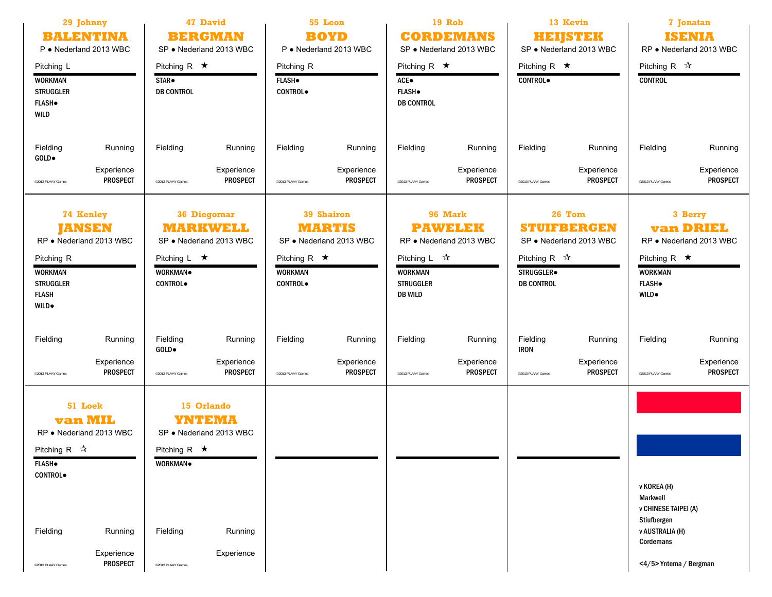| 29 Johnny<br><b>BALENTINA</b><br>P · Nederland 2013 WBC<br>Pitching L<br><b>WORKMAN</b><br><b>STRUGGLER</b><br><b>FLASH</b><br><b>WILD</b>                                                             | <b>47 David</b><br><b>BERGMAN</b><br>SP . Nederland 2013 WBC<br>Pitching R $\star$<br>STAR <sup>.</sup><br><b>DB CONTROL</b>                                  | 55 Leon<br><b>BOYD</b><br>P · Nederland 2013 WBC<br>Pitching R<br><b>FLASH</b> .<br><b>CONTROL</b>               | <b>19 Rob</b><br><b>CORDEMANS</b><br>SP . Nederland 2013 WBC<br>Pitching R $\star$<br>ACE●<br><b>FLASH</b> .<br><b>DB CONTROL</b>              | 13 Kevin<br><b>HEIJSTEK</b><br>SP . Nederland 2013 WBC<br>Pitching R $\star$<br><b>CONTROL</b>                            | 7 Jonatan<br><b>ISENIA</b><br>RP · Nederland 2013 WBC<br>Pitching R $\sqrt{\lambda}$<br><b>CONTROL</b>                                       |
|--------------------------------------------------------------------------------------------------------------------------------------------------------------------------------------------------------|---------------------------------------------------------------------------------------------------------------------------------------------------------------|------------------------------------------------------------------------------------------------------------------|------------------------------------------------------------------------------------------------------------------------------------------------|---------------------------------------------------------------------------------------------------------------------------|----------------------------------------------------------------------------------------------------------------------------------------------|
| Fielding<br>Running<br>GOLD.<br>Experience<br><b>PROSPECT</b><br>@2013 PLAAY Games                                                                                                                     | Fielding<br>Running<br>Experience<br><b>PROSPECT</b><br><sup>©</sup> 2013 PLAAY Games                                                                         | Fielding<br>Running<br>Experience<br><b>PROSPECT</b><br>@2013 PLAAY Games                                        | Fielding<br>Running<br>Experience<br><b>PROSPECT</b><br>@2013 PLAAY Games                                                                      | Fielding<br>Running<br>Experience<br><b>PROSPECT</b><br>@2013 PLAAY Games                                                 | Fielding<br>Running<br>Experience<br><b>PROSPECT</b><br>@2013 PLAAY Games                                                                    |
| <b>74 Kenley</b><br><b>JANSEN</b><br>RP . Nederland 2013 WBC<br>Pitching R<br><b>WORKMAN</b><br><b>STRUGGLER</b><br><b>FLASH</b><br><b>WILD</b> .                                                      | <b>36 Diegomar</b><br><b>MARKWELL</b><br>SP . Nederland 2013 WBC<br>Pitching $L \star$<br>WORKMAN.<br><b>CONTROL</b>                                          | 39 Shairon<br><b>MARTIS</b><br>SP . Nederland 2013 WBC<br>Pitching R $\star$<br><b>WORKMAN</b><br><b>CONTROL</b> | 96 Mark<br><b>PAWELEK</b><br>RP . Nederland 2013 WBC<br>Pitching $L \quad \mathcal{R}$<br><b>WORKMAN</b><br><b>STRUGGLER</b><br><b>DB WILD</b> | 26 Tom<br><b>STUIFBERGEN</b><br>SP . Nederland 2013 WBC<br>Pitching R $\sqrt{\lambda}$<br>STRUGGLER.<br><b>DB CONTROL</b> | 3 Berry<br><b>van DRIEL</b><br>RP . Nederland 2013 WBC<br>Pitching R $\star$<br><b>WORKMAN</b><br><b>FLASH</b><br><b>WILD</b> .              |
| Fielding<br>Running<br>Experience<br><b>PROSPECT</b><br>@2013 PLAAY Games                                                                                                                              | Fielding<br>Running<br>GOLD.<br>Experience<br><b>PROSPECT</b><br><sup>©</sup> 2013 PLAAY Games                                                                | Fielding<br>Running<br>Experience<br><b>PROSPECT</b><br>@2013 PLAAY Games                                        | Fielding<br>Running<br>Experience<br><b>PROSPECT</b><br>©2013 PLAAY Games                                                                      | Fielding<br>Running<br><b>IRON</b><br>Experience<br><b>PROSPECT</b><br>@2013 PLAAY Games                                  | Fielding<br>Running<br>Experience<br><b>PROSPECT</b><br>@2013 PLAAY Games                                                                    |
| 51 Loek<br><b>van MIL</b><br>RP · Nederland 2013 WBC<br>Pitching R $\mathbb{\hat{X}}$<br><b>FLASH</b> .<br><b>CONTROL</b><br>Fielding<br>Running<br>Experience<br><b>PROSPECT</b><br>@2013 PLAAY Games | 15 Orlando<br>YNTEMA<br>SP · Nederland 2013 WBC<br>Pitching R $\star$<br><b>WORKMAN</b><br>Running<br>Fielding<br>Experience<br><sup>©</sup> 2013 PLAAY Games |                                                                                                                  |                                                                                                                                                |                                                                                                                           | v KOREA (H)<br><b>Markwell</b><br><b>v CHINESE TAIPEI (A)</b><br>Stiufbergen<br><b>v AUSTRALIA (H)</b><br>Cordemans<br><4/5>Yntema / Bergman |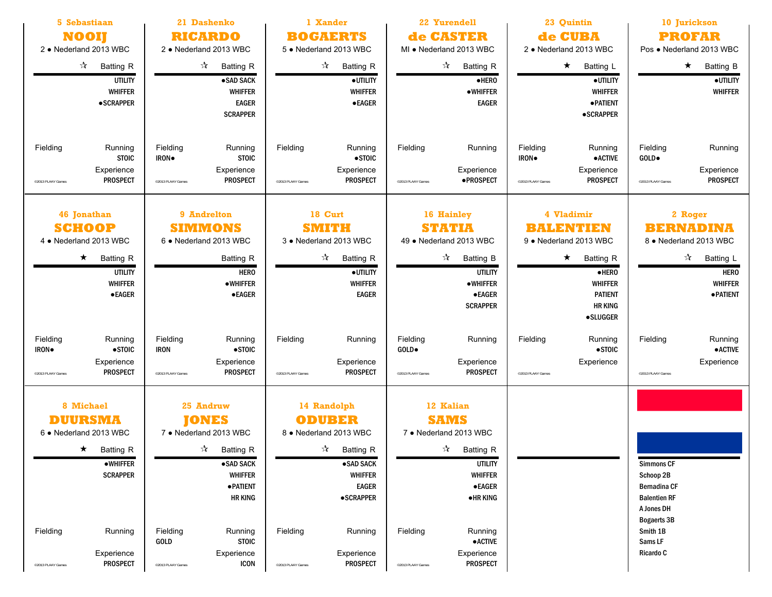| 5 Sebastiaan<br><b>NOOI</b><br>2 · Nederland 2013 WBC                                                                                                                                           | 21 Dashenko<br>1 Xander<br><b>BOGAERTS</b><br><b>RICARDO</b><br>2 . Nederland 2013 WBC<br>5 . Nederland 2013 WBC                                                                                                                          |                                                                                                                                                                                                                               | 22 Yurendell<br>de CASTER<br>MI . Nederland 2013 WBC                                                                                                                                                                                                       | 23 Quintin<br>de CUBA<br>2 • Nederland 2013 WBC                                                                                                                       | 10 Jurickson<br><b>PROFAR</b><br>Pos . Nederland 2013 WBC                                                                                            |
|-------------------------------------------------------------------------------------------------------------------------------------------------------------------------------------------------|-------------------------------------------------------------------------------------------------------------------------------------------------------------------------------------------------------------------------------------------|-------------------------------------------------------------------------------------------------------------------------------------------------------------------------------------------------------------------------------|------------------------------------------------------------------------------------------------------------------------------------------------------------------------------------------------------------------------------------------------------------|-----------------------------------------------------------------------------------------------------------------------------------------------------------------------|------------------------------------------------------------------------------------------------------------------------------------------------------|
| $\sqrt[3]{ }$ Batting R<br><b>UTILITY</b><br><b>WHIFFER</b><br><b>•SCRAPPER</b>                                                                                                                 | $\frac{1}{2}$<br><b>Batting R</b><br>·SAD SACK<br><b>WHIFFER</b><br><b>EAGER</b><br><b>SCRAPPER</b>                                                                                                                                       | $\frac{1}{2}$<br><b>Batting R</b><br>·UTILITY<br><b>WHIFFER</b><br>$\bullet$ EAGER                                                                                                                                            | $\vec{\lambda}$<br><b>Batting R</b><br>·HERO<br>• WHIFFER<br><b>EAGER</b>                                                                                                                                                                                  | $\star$<br><b>Batting L</b><br>·UTILITY<br><b>WHIFFER</b><br><b>• PATIENT</b><br><b>•SCRAPPER</b>                                                                     | $\star$<br><b>Batting B</b><br>·UTILITY<br><b>WHIFFER</b>                                                                                            |
| Fielding<br>Running<br><b>STOIC</b><br>Experience<br><b>PROSPECT</b><br>@2013 PLAAY Games                                                                                                       | Fielding<br>Running<br><b>STOIC</b><br>IRON.<br>Experience<br><b>PROSPECT</b><br>@2013 PLAAY Games                                                                                                                                        | Fielding<br>Running<br>$\bullet$ STOIC<br>Experience<br>PROSPECT<br>@2013 PLAAY Games                                                                                                                                         | Fielding<br>Running<br>Experience<br>·PROSPECT<br>@2013 PLAAY Games                                                                                                                                                                                        | Fielding<br>Running<br><b>•ACTIVE</b><br>IRON.<br>Experience<br><b>PROSPECT</b><br>@2013 PLAAY Games                                                                  | Fielding<br>Running<br>GOLD.<br>Experience<br><b>PROSPECT</b><br>@2013 PLAAY Games                                                                   |
| 46 Jonathan<br><b>SCHOOP</b><br>4 • Nederland 2013 WBC<br>$\star$<br><b>Batting R</b><br><b>UTILITY</b><br><b>WHIFFER</b><br><b>•EAGER</b>                                                      | 9 Andrelton<br><b>SIMMONS</b><br>6 . Nederland 2013 WBC<br>Batting R<br><b>HERO</b><br>•WHIFFER<br><b>•EAGER</b>                                                                                                                          | 18 Curt<br><b>SMITH</b><br>3 . Nederland 2013 WBC<br>$\frac{1}{2}$<br>Batting R<br>· UTILITY<br><b>WHIFFER</b><br><b>EAGER</b>                                                                                                | 16 Hainley<br><b>STATIA</b><br>49 . Nederland 2013 WBC<br>$\frac{1}{\sqrt{2}}$<br><b>Batting B</b><br><b>UTILITY</b><br>• WHIFFER<br><b>•EAGER</b><br><b>SCRAPPER</b>                                                                                      | 4 Vladimir<br>BALENTIEN<br>9 • Nederland 2013 WBC<br>$\star$<br><b>Batting R</b><br>$e$ HERO<br><b>WHIFFER</b><br><b>PATIENT</b><br><b>HR KING</b><br><b>•SLUGGER</b> | 2 Roger<br><b>BERNADINA</b><br>8 . Nederland 2013 WBC<br>$\frac{1}{\sqrt{2}}$<br>Batting L<br><b>HERO</b><br><b>WHIFFER</b><br><b>• PATIENT</b>      |
| Fielding<br>Running<br>$\bullet$ STOIC<br>IRON.<br>Experience<br><b>PROSPECT</b><br>@2013 PLAAY Games                                                                                           | Fielding<br>Running<br>$\bullet$ STOIC<br><b>IRON</b><br>Experience<br><b>PROSPECT</b><br><sup>©</sup> 2013 PLAAY Games                                                                                                                   | Fielding<br>Running<br>Experience<br><b>PROSPECT</b><br>@2013 PLAAY Games                                                                                                                                                     | Fielding<br>Running<br>GOLD.<br>Experience<br><b>PROSPECT</b><br>@2013 PLAAY Games                                                                                                                                                                         | Fielding<br>Running<br>$\bullet$ STOIC<br>Experience<br>@2013 PLAAY Games                                                                                             | Fielding<br>Running<br><b>• ACTIVE</b><br>Experience<br><sup>©2013</sup> PLAAY Games                                                                 |
| 8 Michael<br><b>DUURSMA</b><br>6 . Nederland 2013 WBC<br>$\star$ Batting R<br>$\bullet$ WHIFFER<br><b>SCRAPPER</b><br>Fielding<br>Running<br>Experience<br><b>PROSPECT</b><br>@2013 PLAAY Games | 25 Andruw<br><b>JONES</b><br>7 • Nederland 2013 WBC<br>$\sqrt{\lambda}$ Batting R<br>·SAD SACK<br><b>WHIFFER</b><br><b>• PATIENT</b><br>HR KING<br>Fielding<br>Running<br><b>STOIC</b><br>GOLD<br>Experience<br>ICON<br>@2013 PLAAY Games | 14 Randolph<br><b>ODUBER</b><br>8 • Nederland 2013 WBC<br>$\sqrt{\lambda}$ Batting R<br>•SAD SACK<br>WHIFFER<br><b>EAGER</b><br><b>•SCRAPPER</b><br>Fielding<br>Running<br>Experience<br><b>PROSPECT</b><br>@2013 PLAAY Games | 12 Kalian<br><b>SAMS</b><br>7 • Nederland 2013 WBC<br>$\mathcal{A}$ Batting R<br><b>UTILITY</b><br><b>WHIFFER</b><br>$\bullet$ EAGER<br>$\bullet$ HR KING<br>Fielding<br>Running<br>$\bullet$ ACTIVE<br>Experience<br><b>PROSPECT</b><br>@2013 PLAAY Games |                                                                                                                                                                       | <b>Simmons CF</b><br>Schoop 2B<br><b>Bernadina CF</b><br><b>Balentien RF</b><br>A Jones DH<br><b>Bogaerts 3B</b><br>Smith 1B<br>Sams LF<br>Ricardo C |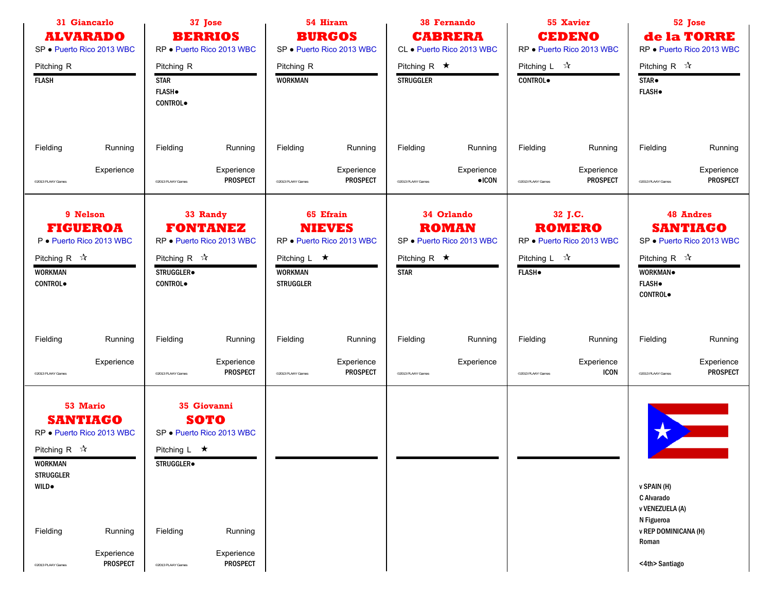| 37 Jose<br>31 Giancarlo<br><b>BERRIOS</b><br><b>ALVARADO</b><br>RP · Puerto Rico 2013 WBC<br>SP · Puerto Rico 2013 WBC                         |  | 54 Hiram<br><b>BURGOS</b><br>SP · Puerto Rico 2013 WBC        |                                                          | <b>38 Fernando</b><br><b>CABRERA</b><br>CL . Puerto Rico 2013 WBC |                                                         |                                        | 55 Xavier<br><b>CEDENO</b><br>RP · Puerto Rico 2013 WBC |                                            | 52 Jose<br>de la TORRE<br>RP · Puerto Rico 2013 WBC   |                                                                                  |                                                                  |
|------------------------------------------------------------------------------------------------------------------------------------------------|--|---------------------------------------------------------------|----------------------------------------------------------|-------------------------------------------------------------------|---------------------------------------------------------|----------------------------------------|---------------------------------------------------------|--------------------------------------------|-------------------------------------------------------|----------------------------------------------------------------------------------|------------------------------------------------------------------|
| Pitching R<br><b>FLASH</b>                                                                                                                     |  | Pitching R<br><b>STAR</b><br><b>FLASH</b> .<br><b>CONTROL</b> |                                                          | Pitching R<br><b>WORKMAN</b>                                      |                                                         | Pitching R $\star$<br><b>STRUGGLER</b> |                                                         | Pitching L $\mathcal{R}$<br><b>CONTROL</b> |                                                       | Pitching R $\sqrt{\lambda}$<br>STAR <sup>.</sup><br><b>FLASH</b> .               |                                                                  |
| Fielding<br>Running                                                                                                                            |  | Fielding                                                      | Running                                                  | Fielding                                                          | Running                                                 | Fielding                               | Running                                                 | Fielding                                   | Running                                               | Fielding                                                                         | Running                                                          |
| Experience<br>@2013 PLAAY Games                                                                                                                |  | @2013 PLAAY Games                                             | Experience<br><b>PROSPECT</b>                            | @2013 PLAAY Games                                                 | Experience<br>PROSPECT                                  | @2013 PLAAY Games                      | Experience<br>$\bullet$ ICON                            | @2013 PLAAY Games                          | Experience<br><b>PROSPECT</b>                         | @2013 PLAAY Games                                                                | Experience<br>PROSPECT                                           |
| 9 Nelson<br><b>FIGUEROA</b><br>P · Puerto Rico 2013 WBC<br>Pitching R $\sqrt{\lambda}$<br><b>WORKMAN</b><br><b>CONTROL</b>                     |  | Pitching R $\sqrt{\lambda}$<br>STRUGGLER.<br>CONTROL.         | 33 Randy<br><b>FONTANEZ</b><br>RP · Puerto Rico 2013 WBC | Pitching L $\star$<br><b>WORKMAN</b><br><b>STRUGGLER</b>          | 65 Efrain<br><b>NIEVES</b><br>RP · Puerto Rico 2013 WBC | Pitching R $\star$<br><b>STAR</b>      | 34 Orlando<br><b>ROMAN</b><br>SP . Puerto Rico 2013 WBC | Pitching L $\mathcal{A}$<br><b>FLASH</b>   | 32 J.C.<br><b>ROMERO</b><br>RP · Puerto Rico 2013 WBC | Pitching R $\sqrt{\lambda}$<br>WORKMAN.<br><b>FLASH</b> .<br>CONTROL.            | <b>48 Andres</b><br><b>SANTIAGO</b><br>SP . Puerto Rico 2013 WBC |
| Fielding<br>Running                                                                                                                            |  | Fielding                                                      | Running                                                  | Fielding                                                          | Running                                                 | Fielding                               | Running                                                 | Fielding                                   | Running                                               | Fielding                                                                         | Running                                                          |
| Experience<br>@2013 PLAAY Games                                                                                                                |  | @2013 PLAAY Games                                             | Experience<br><b>PROSPECT</b>                            | @2013 PLAAY Games                                                 | Experience<br><b>PROSPECT</b>                           | @2013 PLAAY Games                      | Experience                                              | @2013 PLAAY Games                          | Experience<br><b>ICON</b>                             | @2013 PLAAY Games                                                                | Experience<br>PROSPECT                                           |
| 53 Mario<br><b>SANTIAGO</b><br>RP · Puerto Rico 2013 WBC<br>Pitching R $\sqrt{\lambda}$<br><b>WORKMAN</b><br><b>STRUGGLER</b><br><b>WILD</b> . |  | Pitching L $\star$<br>STRUGGLER.                              | 35 Giovanni<br>SOTO<br>SP · Puerto Rico 2013 WBC         |                                                                   |                                                         |                                        |                                                         |                                            |                                                       | v SPAIN (H)<br>C Alvarado                                                        |                                                                  |
| Fielding<br>Running<br>Experience<br><b>PROSPECT</b><br>@2013 PLAAY Games                                                                      |  | Fielding<br>@2013 PLAAY Games                                 | Running<br>Experience<br>PROSPECT                        |                                                                   |                                                         |                                        |                                                         |                                            |                                                       | v VENEZUELA (A)<br>N Figueroa<br>v REP DOMINICANA (H)<br>Roman<br><4th> Santiago |                                                                  |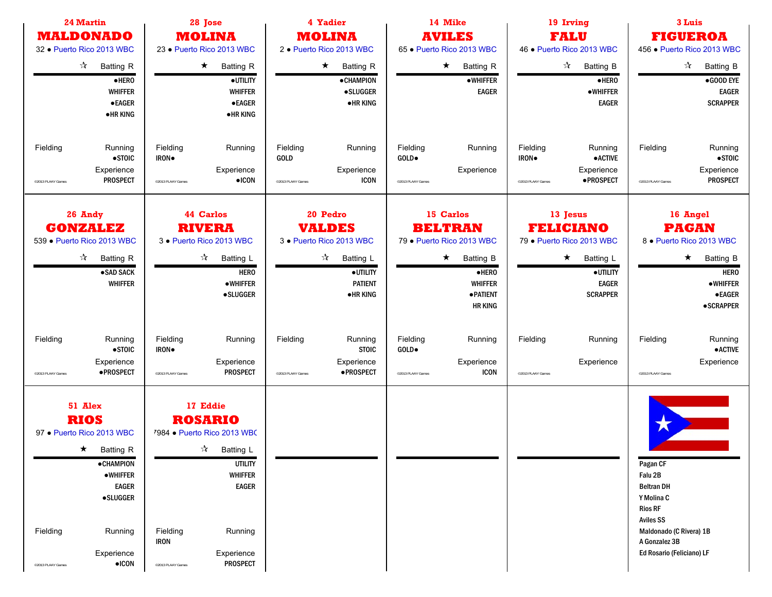| <b>24 Martin</b><br><b>MALDONADO</b><br>32 · Puerto Rico 2013 WBC<br>$\frac{1}{\sqrt{2}}$<br>Batting R<br>·HERO<br><b>WHIFFER</b><br><b>•EAGER</b><br><b>•HRKING</b>                                                             | 28 Jose<br><b>MOLINA</b><br>23 · Puerto Rico 2013 WBC<br>$\star$<br><b>Batting R</b><br>· UTILITY<br><b>WHIFFER</b><br>$\bullet$ EAGER<br><b>•HRKING</b>                                                                                            | 4 Yadier<br><b>MOLINA</b><br>2 · Puerto Rico 2013 WBC<br>$\star$<br>Batting R<br><b>•CHAMPION</b><br><b>•SLUGGER</b><br><b>•HRKING</b>       | 14 Mike<br><b>AVILES</b><br>65 · Puerto Rico 2013 WBC<br>$\star$<br><b>Batting R</b><br>•WHIFFER<br><b>EAGER</b>                                          | 19 Irving<br><b>FALU</b><br>46 . Puerto Rico 2013 WBC<br>$\frac{1}{2}$<br><b>Batting B</b><br>·HERO<br>$\bullet$ WHIFFER<br><b>EAGER</b> | 3 Luis<br><b>FIGUEROA</b><br>456 · Puerto Rico 2013 WBC<br>☆<br><b>Batting B</b><br>$\bullet$ GOOD EYE<br><b>EAGER</b><br><b>SCRAPPER</b>                             |
|----------------------------------------------------------------------------------------------------------------------------------------------------------------------------------------------------------------------------------|-----------------------------------------------------------------------------------------------------------------------------------------------------------------------------------------------------------------------------------------------------|----------------------------------------------------------------------------------------------------------------------------------------------|-----------------------------------------------------------------------------------------------------------------------------------------------------------|------------------------------------------------------------------------------------------------------------------------------------------|-----------------------------------------------------------------------------------------------------------------------------------------------------------------------|
| Fielding<br>Running<br>$\bullet$ STOIC<br>Experience<br><b>PROSPECT</b><br><sup>0</sup> 2013 PLAAY Games                                                                                                                         | Fielding<br>Running<br>IRON.<br>Experience<br>$\bullet$ ICON<br><sup>©</sup> 2013 PLAAY Games                                                                                                                                                       | Fielding<br>Running<br>GOLD<br>Experience<br><b>ICON</b><br>@2013 PLAAY Games                                                                | Fielding<br>Running<br>GOLD.<br>Experience<br>@2013 PLAAY Games                                                                                           | Fielding<br>Running<br><b>•ACTIVE</b><br>IRON.<br>Experience<br>·PROSPECT<br>@2013 PLAAY Games                                           | Fielding<br>Running<br>$\bullet$ STOIC<br>Experience<br><b>PROSPECT</b><br>@2013 PLAAY Games                                                                          |
| 26 Andy<br><b>GONZALEZ</b><br>539 · Puerto Rico 2013 WBC<br>$\frac{1}{\sqrt{2}}$<br><b>Batting R</b><br>·SAD SACK<br><b>WHIFFER</b>                                                                                              | 44 Carlos<br><b>RIVERA</b><br>3 · Puerto Rico 2013 WBC<br>$\frac{1}{\sqrt{2}}$<br>Batting L<br><b>HERO</b><br><b>•WHIFFER</b><br>·SLUGGER                                                                                                           | 20 Pedro<br><b>VALDES</b><br>3 · Puerto Rico 2013 WBC<br>$\frac{1}{\sqrt{2}}$<br>Batting L<br>·UTILITY<br><b>PATIENT</b><br><b>• HR KING</b> | 15 Carlos<br><b>BELTRAN</b><br>79 · Puerto Rico 2013 WBC<br>$\star$<br><b>Batting B</b><br>$\bullet$ HERO<br><b>WHIFFER</b><br>·PATIENT<br><b>HR KING</b> | 13 Jesus<br><b>FELICIANO</b><br>79 · Puerto Rico 2013 WBC<br>Batting L<br>$\star$<br>·UTILITY<br><b>EAGER</b><br><b>SCRAPPER</b>         | 16 Angel<br><b>PAGAN</b><br>8 · Puerto Rico 2013 WBC<br>$\star$<br><b>Batting B</b><br><b>HERO</b><br><b>•WHIFFER</b><br><b>•EAGER</b><br><b>•SCRAPPER</b>            |
| Fielding<br>Running<br>$\bullet$ STOIC<br>Experience<br>·PROSPECT<br><sup>0</sup> 2013 PLAAY Games                                                                                                                               | Fielding<br>Running<br>IRON.<br>Experience<br><b>PROSPECT</b><br><sup>©</sup> 2013 PLAAY Games                                                                                                                                                      | Fielding<br>Running<br><b>STOIC</b><br>Experience<br>·PROSPECT<br>@2013 PLAAY Games                                                          | Fielding<br>Running<br>GOLD.<br>Experience<br><b>ICON</b><br>@2013 PLAAY Games                                                                            | Fielding<br>Running<br>Experience<br>@2013 PLAAY Games                                                                                   | Fielding<br>Running<br><b>• ACTIVE</b><br>Experience<br>@2013 PLAAY Games                                                                                             |
| 51 Alex<br><b>RIOS</b><br>97 · Puerto Rico 2013 WBC<br>$\star$ Batting R<br><b>•CHAMPION</b><br>$\bullet$ WHIFFER<br><b>EAGER</b><br><b>•SLUGGER</b><br>Fielding<br>Running<br>Experience<br>$\bullet$ ICON<br>@2013 PLAAY Games | 17 Eddie<br><b>ROSARIO</b><br>7984 · Puerto Rico 2013 WBC<br>$\sqrt{\lambda}$ Batting L<br><b>UTILITY</b><br><b>WHIFFER</b><br><b>EAGER</b><br>Fielding<br>Running<br><b>IRON</b><br>Experience<br><b>PROSPECT</b><br><sup>©</sup> 2013 PLAAY Games |                                                                                                                                              |                                                                                                                                                           |                                                                                                                                          | Pagan CF<br>Falu 2B<br><b>Beltran DH</b><br>Y Molina C<br><b>Rios RF</b><br><b>Aviles SS</b><br>Maldonado (C Rivera) 1B<br>A Gonzalez 3B<br>Ed Rosario (Feliciano) LF |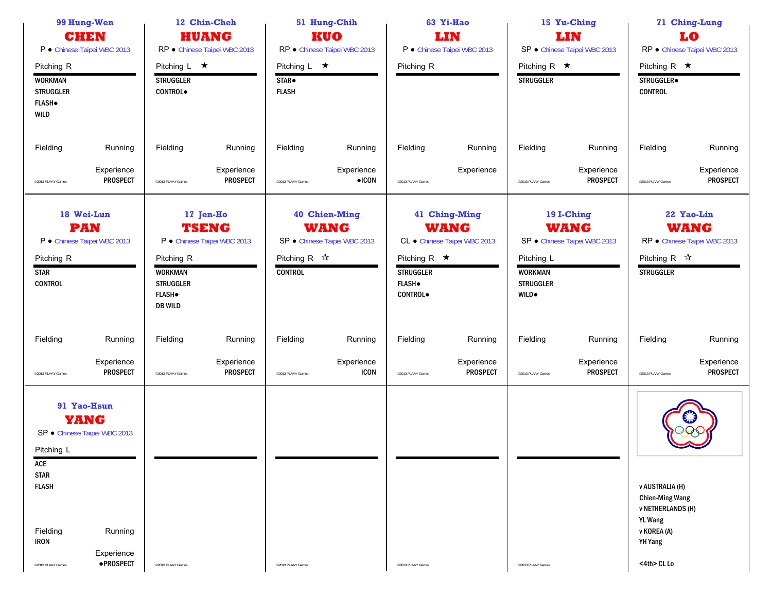| 99 Hung-Wen<br><b>CHEN</b><br>P · Chinese Taipei WBC 2013                         |                                             |                                                                                      | 12 Chin-Cheh<br><b>HUANG</b><br>RP · Chinese Taipei WBC 2013 |                                                         | 51 Hung-Chih<br><b>KUO</b><br>RP · Chinese Taipei WBC 2013          |                                                                            | 63 Yi-Hao<br>LIN<br>P · Chinese Taipei WBC 2013              |                                                                   | 15 Yu-Ching<br>LIN<br>SP · Chinese Taipei WBC 2013        |                                                                                                                                         | 71 Ching-Lung<br>LO<br>RP · Chinese Taipei WBC 2013       |
|-----------------------------------------------------------------------------------|---------------------------------------------|--------------------------------------------------------------------------------------|--------------------------------------------------------------|---------------------------------------------------------|---------------------------------------------------------------------|----------------------------------------------------------------------------|--------------------------------------------------------------|-------------------------------------------------------------------|-----------------------------------------------------------|-----------------------------------------------------------------------------------------------------------------------------------------|-----------------------------------------------------------|
| Pitching R<br><b>WORKMAN</b><br><b>STRUGGLER</b><br><b>FLASH</b> .<br><b>WILD</b> |                                             | Pitching $L \star$<br><b>STRUGGLER</b><br><b>CONTROL</b>                             |                                                              | Pitching L $\star$<br>STAR <sup>.</sup><br><b>FLASH</b> |                                                                     | Pitching R                                                                 |                                                              | Pitching R $\star$<br><b>STRUGGLER</b>                            |                                                           | Pitching R $\star$<br>STRUGGLER.<br><b>CONTROL</b>                                                                                      |                                                           |
| Fielding                                                                          | Running                                     | Fielding                                                                             | Running                                                      | Fielding                                                | Running                                                             | Fielding                                                                   | Running                                                      | Fielding                                                          | Running                                                   | Fielding                                                                                                                                | Running                                                   |
| @2013 PLAAY Games                                                                 | Experience<br><b>PROSPECT</b>               | @2013 PLAAY Games                                                                    | Experience<br><b>PROSPECT</b>                                | @2013 PLAAY Games                                       | Experience<br>$\bullet$ ICON                                        | @2013 PLAAY Games                                                          | Experience                                                   | @2013 PLAAY Games                                                 | Experience<br><b>PROSPECT</b>                             | @2013 PLAAY Games                                                                                                                       | Experience<br><b>PROSPECT</b>                             |
| <b>PAN</b><br>Pitching R<br><b>STAR</b><br><b>CONTROL</b>                         | 18 Wei-Lun<br>P · Chinese Taipei WBC 2013   | Pitching R<br><b>WORKMAN</b><br><b>STRUGGLER</b><br><b>FLASH</b> .<br><b>DB WILD</b> | 17 Jen-Ho<br><b>TSENG</b><br>P · Chinese Taipei WBC 2013     | Pitching R $\sqrt{\lambda}$<br><b>CONTROL</b>           | <b>40 Chien-Ming</b><br><b>WANG</b><br>SP · Chinese Taipei WBC 2013 | Pitching R $\star$<br><b>STRUGGLER</b><br><b>FLASH</b> .<br><b>CONTROL</b> | 41 Ching-Ming<br><b>WANG</b><br>CL · Chinese Taipei WBC 2013 | Pitching L<br><b>WORKMAN</b><br><b>STRUGGLER</b><br><b>WILD</b> . | 19 I-Ching<br><b>WANG</b><br>SP · Chinese Taipei WBC 2013 | Pitching R $\mathcal{R}$<br><b>STRUGGLER</b>                                                                                            | 22 Yao-Lin<br><b>WANG</b><br>RP · Chinese Taipei WBC 2013 |
| Fielding                                                                          | Running                                     | Fielding                                                                             | Running                                                      | Fielding                                                | Running                                                             | Fielding                                                                   | Running                                                      | Fielding                                                          | Running                                                   | Fielding                                                                                                                                | Running                                                   |
| @2013 PLAAY Games                                                                 | Experience<br><b>PROSPECT</b>               | @2013 PLAAY Games                                                                    | Experience<br><b>PROSPECT</b>                                | @2013 PLAAY Games                                       | Experience<br><b>ICON</b>                                           | @2013 PLAAY Games                                                          | Experience<br><b>PROSPECT</b>                                | @2013 PLAAY Games                                                 | Experience<br><b>PROSPECT</b>                             | @2013 PLAAY Games                                                                                                                       | Experience<br><b>PROSPECT</b>                             |
| <b>YANG</b><br>Pitching L<br>ACE<br><b>STAR</b>                                   | 91 Yao-Hsun<br>SP · Chinese Taipei WBC 2013 |                                                                                      |                                                              |                                                         |                                                                     |                                                                            |                                                              |                                                                   |                                                           |                                                                                                                                         |                                                           |
| <b>FLASH</b><br>Fielding<br><b>IRON</b><br><sup>©</sup> 2013 PLAAY Games          | Running<br>Experience<br>·PROSPECT          | <sup>©</sup> 2013 PLAAY Games                                                        |                                                              | @2013 PLAAY Games                                       |                                                                     | @2013 PLAAY Games                                                          |                                                              | @2013 PLAAY Games                                                 |                                                           | <b>v AUSTRALIA (H)</b><br><b>Chien-Ming Wang</b><br><b>v NETHERLANDS (H)</b><br><b>YL Wang</b><br>v KOREA (A)<br>YH Yang<br><4th> CL Lo |                                                           |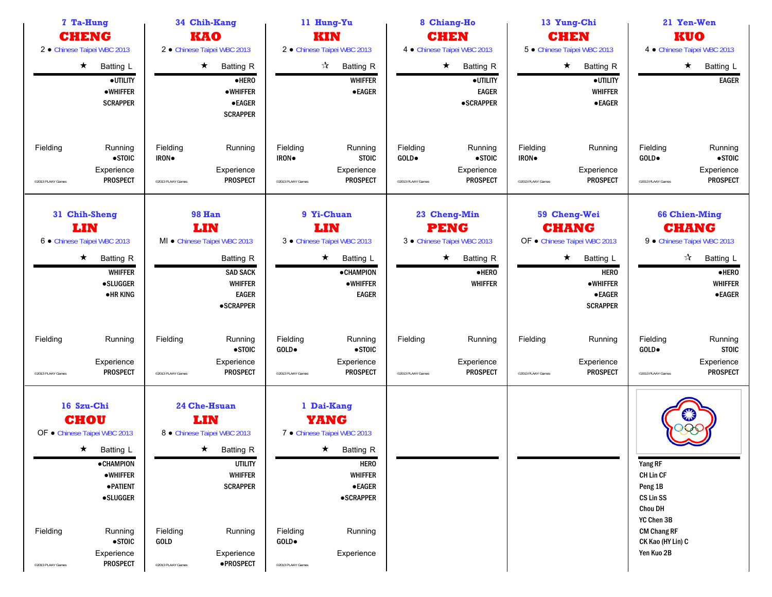| 7 Ta-Hung<br><b>CHENG</b>                                                                  |                                                                                                                                                           | 34 Chih-Kang<br><b>KAO</b>                        |                                                                                                                                                                             | 11 Hung-Yu<br>KIN                               |                                                                                                                                                                                | 8 Chiang-Ho<br><b>CHEN</b>             |                                                                                                                  |                                        | 13 Yung-Chi<br><b>CHEN</b>                                                                                                                                   | 21 Yen-Wen<br>KUO                                                                                                              |                                                                                                                                                           |
|--------------------------------------------------------------------------------------------|-----------------------------------------------------------------------------------------------------------------------------------------------------------|---------------------------------------------------|-----------------------------------------------------------------------------------------------------------------------------------------------------------------------------|-------------------------------------------------|--------------------------------------------------------------------------------------------------------------------------------------------------------------------------------|----------------------------------------|------------------------------------------------------------------------------------------------------------------|----------------------------------------|--------------------------------------------------------------------------------------------------------------------------------------------------------------|--------------------------------------------------------------------------------------------------------------------------------|-----------------------------------------------------------------------------------------------------------------------------------------------------------|
| 2 · Chinese Taipei WBC 2013<br>2 · Chinese Taipei WBC 2013                                 |                                                                                                                                                           | 2 · Chinese Taipei WBC 2013                       |                                                                                                                                                                             | 4 · Chinese Taipei WBC 2013                     |                                                                                                                                                                                | 5 · Chinese Taipei WBC 2013            |                                                                                                                  | 4 · Chinese Taipei WBC 2013            |                                                                                                                                                              |                                                                                                                                |                                                                                                                                                           |
| $\star$                                                                                    | <b>Batting L</b><br>·UTILITY<br><b>•WHIFFER</b><br><b>SCRAPPER</b>                                                                                        |                                                   | $\star$<br><b>Batting R</b><br>$e$ HERO<br><b>•WHIFFER</b><br><b>•EAGER</b><br><b>SCRAPPER</b>                                                                              |                                                 | $\vec{\mathcal{A}}$<br><b>Batting R</b><br><b>WHIFFER</b><br><b>•EAGER</b>                                                                                                     |                                        | $\star$<br><b>Batting R</b><br>·UTILITY<br><b>EAGER</b><br><b>•SCRAPPER</b>                                      |                                        | $\star$<br><b>Batting R</b><br>·UTILITY<br><b>WHIFFER</b><br><b>•EAGER</b>                                                                                   |                                                                                                                                | $\star$<br>Batting L<br><b>EAGER</b>                                                                                                                      |
| Fielding<br>@2013 PLAAY Games                                                              | Running<br>$\bullet$ STOIC<br>Experience<br><b>PROSPECT</b>                                                                                               | Fielding<br>IRON.<br>@2013 PLAAY Games            | Running<br>Experience<br><b>PROSPECT</b>                                                                                                                                    | Fielding<br>IRON.<br>@2013 PLAAY Games          | Running<br><b>STOIC</b><br>Experience<br><b>PROSPECT</b>                                                                                                                       | Fielding<br>GOLD.<br>©2013 PLAAY Games | Running<br>•STOIC<br>Experience<br><b>PROSPECT</b>                                                               | Fielding<br>IRON.<br>@2013 PLAAY Games | Running<br>Experience<br><b>PROSPECT</b>                                                                                                                     | Fielding<br>GOLD.<br>@2013 PLAAY Games                                                                                         | Running<br>$\bullet$ STOIC<br>Experience<br><b>PROSPECT</b>                                                                                               |
| 31 Chih-Sheng<br>LIN<br>6 · Chinese Taipei WBC 2013<br>$\star$                             | <b>Batting R</b><br><b>WHIFFER</b><br><b>•SLUGGER</b><br><b>•HRKING</b>                                                                                   |                                                   | <b>98 Han</b><br>LIN<br>MI · Chinese Taipei WBC 2013<br>Batting R<br><b>SAD SACK</b><br><b>WHIFFER</b><br><b>EAGER</b><br><b>•SCRAPPER</b>                                  |                                                 | 9 Yi-Chuan<br>LIN<br>3 · Chinese Taipei WBC 2013<br>$\star$<br>Batting L<br><b>•CHAMPION</b><br>$\bullet$ WHIFFER<br><b>EAGER</b>                                              |                                        | 23 Cheng-Min<br><b>PENG</b><br>3 · Chinese Taipei WBC 2013<br>$\star$<br>Batting R<br>$e$ HERO<br><b>WHIFFER</b> |                                        | 59 Cheng-Wei<br><b>CHANG</b><br>OF . Chinese Taipei WBC 2013<br>$\star$<br>Batting L<br><b>HERO</b><br>$\bullet$ WHIFFER<br><b>•EAGER</b><br><b>SCRAPPER</b> |                                                                                                                                | <b>66 Chien-Ming</b><br><b>CHANG</b><br>9 · Chinese Taipei WBC 2013<br>$\frac{1}{\sqrt{2}}$<br>Batting L<br>$e$ HERO<br><b>WHIFFER</b><br>$\bullet$ EAGER |
| Fielding<br>@2013 PLAAY Games                                                              | Running<br>Experience<br><b>PROSPECT</b>                                                                                                                  | Fielding<br><sup>©</sup> 2013 PLAAY Games         | Running<br>$\bullet$ STOIC<br>Experience<br><b>PROSPECT</b>                                                                                                                 | Fielding<br>GOLD.<br>@2013 PLAAY Games          | Running<br>$\bullet$ STOIC<br>Experience<br><b>PROSPECT</b>                                                                                                                    | Fielding<br>@2013 PLAAY Games          | Running<br>Experience<br><b>PROSPECT</b>                                                                         | Fielding<br>@2013 PLAAY Games          | Running<br>Experience<br><b>PROSPECT</b>                                                                                                                     | Fielding<br>GOLD.<br>@2013 PLAAY Games                                                                                         | Running<br><b>STOIC</b><br>Experience<br><b>PROSPECT</b>                                                                                                  |
| 16 Szu-Chi<br><b>CHOU</b><br>OF . Chinese Taipei WBC 2013<br>Fielding<br>@2013 PLAAY Games | $\star$ Batting L<br><b>•CHAMPION</b><br>$\bullet$ WHIFFER<br><b>• PATIENT</b><br><b>•SLUGGER</b><br>Running<br>$\bullet$ STOIC<br>Experience<br>PROSPECT | Fielding<br>GOLD<br><sup>©</sup> 2013 PLAAY Games | <b>24 Che-Hsuan</b><br>LIN<br>8 · Chinese Taipei WBC 2013<br>$\star$ Batting R<br><b>UTILITY</b><br><b>WHIFFER</b><br><b>SCRAPPER</b><br>Running<br>Experience<br>·PROSPECT | Fielding<br>$GOLD \bullet$<br>@2013 PLAAY Games | 1 Dai-Kang<br><b>YANG</b><br>7 · Chinese Taipei WBC 2013<br>$\star$ Batting R<br><b>HERO</b><br><b>WHIFFER</b><br>$\bullet$ EAGER<br><b>•SCRAPPER</b><br>Running<br>Experience |                                        |                                                                                                                  |                                        |                                                                                                                                                              | Yang RF<br>CH Lin CF<br>Peng 1B<br>CS Lin SS<br>Chou DH<br>YC Chen 3B<br><b>CM Chang RF</b><br>CK Kao (HY Lin) C<br>Yen Kuo 2B |                                                                                                                                                           |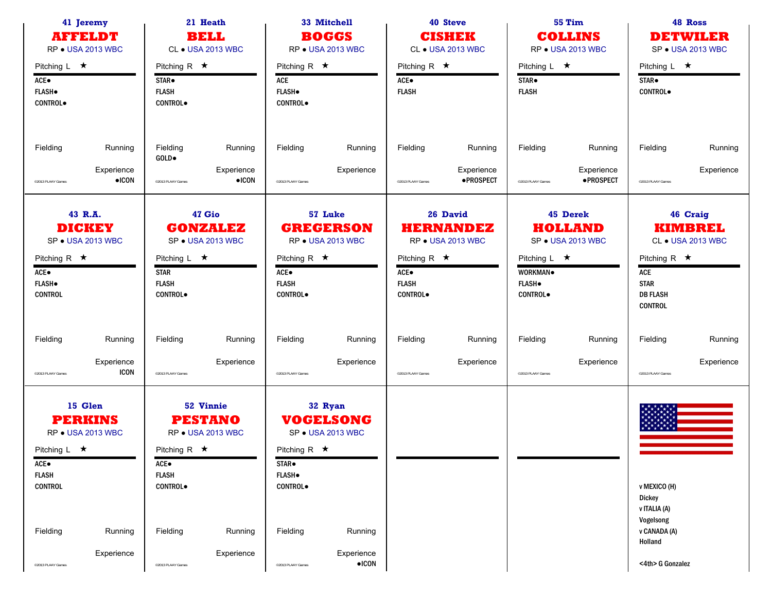| 41 Jeremy<br><b>AFFELDT</b><br>RP . USA 2013 WBC                                                                      | 21 Heath<br><b>BELL</b><br>CL • USA 2013 WBC                                                                     | 33 Mitchell<br><b>BOGGS</b><br>RP ● USA 2013 WBC                                                                                | 40 Steve<br><b>CISHEK</b><br><b>CL • USA 2013 WBC</b>                                                                     | <b>55 Tim</b><br><b>COLLINS</b><br>RP . USA 2013 WBC                                                                  | 48 Ross<br><b>DETWILER</b><br>SP . USA 2013 WBC                                                                                  |
|-----------------------------------------------------------------------------------------------------------------------|------------------------------------------------------------------------------------------------------------------|---------------------------------------------------------------------------------------------------------------------------------|---------------------------------------------------------------------------------------------------------------------------|-----------------------------------------------------------------------------------------------------------------------|----------------------------------------------------------------------------------------------------------------------------------|
| Pitching $L \star$<br>$ACE\bullet$<br><b>FLASH</b> .<br><b>CONTROL</b>                                                | Pitching R $\star$<br>STAR <sup>.</sup><br><b>FLASH</b><br><b>CONTROL</b>                                        | Pitching R $\star$<br>ACE<br><b>FLASH</b> .<br><b>CONTROL</b> .                                                                 | Pitching R $\star$<br>ACE●<br><b>FLASH</b>                                                                                | Pitching $L \star$<br>STAR <sup>.</sup><br><b>FLASH</b>                                                               | Pitching L $\star$<br>STAR.<br><b>CONTROL</b>                                                                                    |
| Fielding<br>Running<br>Experience<br>$\bullet$ ICON<br>@2013 PLAAY Games                                              | Fielding<br>Running<br>GOLD.<br>Experience<br>$\bullet$ ICON<br>@2013 PLAAY Games                                | Fielding<br>Running<br>Experience<br>@2013 PLAAY Games                                                                          | Fielding<br>Running<br>Experience<br>·PROSPECT<br>@2013 PLAAY Games                                                       | Fielding<br>Running<br>Experience<br><b>•PROSPECT</b><br>@2013 PLAAY Games                                            | Fielding<br>Running<br>Experience<br>@2013 PLAAY Games                                                                           |
| 43 R.A.<br><b>DICKEY</b><br>SP . USA 2013 WBC<br>Pitching R $\star$<br>ACE●<br><b>FLASH</b> .<br><b>CONTROL</b>       | 47 Gio<br><b>GONZALEZ</b><br>SP . USA 2013 WBC<br>Pitching $L \star$<br><b>STAR</b><br><b>FLASH</b><br>CONTROL.  | 57 Luke<br><b>GREGERSON</b><br><b>RP • USA 2013 WBC</b><br>Pitching R $\star$<br>$ACE\bullet$<br><b>FLASH</b><br><b>CONTROL</b> | 26 David<br><b>HERNANDEZ</b><br>RP . USA 2013 WBC<br>Pitching R $\star$<br>$ACE\bullet$<br><b>FLASH</b><br><b>CONTROL</b> | 45 Derek<br><b>HOLLAND</b><br>SP . USA 2013 WBC<br>Pitching $L \star$<br>WORKMAN.<br><b>FLASH</b><br><b>CONTROL</b> . | 46 Craig<br><b>KIMBREL</b><br>CL • USA 2013 WBC<br>Pitching R $\star$<br>ACE<br><b>STAR</b><br><b>DB FLASH</b><br><b>CONTROL</b> |
| Fielding<br>Running<br>Experience<br><b>ICON</b><br>@2013 PLAAY Games                                                 | Fielding<br>Running<br>Experience<br>@2013 PLAAY Games                                                           | Fielding<br>Running<br>Experience<br>@2013 PLAAY Games                                                                          | Fielding<br>Running<br>Experience<br>@2013 PLAAY Games                                                                    | Fielding<br>Running<br>Experience<br>@2013 PLAAY Games                                                                | Fielding<br>Running<br>Experience<br>@2013 PLAAY Games                                                                           |
| 15 Glen<br><b>PERKINS</b><br><b>RP • USA 2013 WBC</b><br>Pitching L $\star$<br>ACE●<br><b>FLASH</b><br><b>CONTROL</b> | 52 Vinnie<br><b>PESTANO</b><br>RP . USA 2013 WBC<br>Pitching R $\star$<br>ACE●<br><b>FLASH</b><br><b>CONTROL</b> | 32 Ryan<br><b>VOCELSONG</b><br>SP . USA 2013 WBC<br>Pitching R $\star$<br>STAR <sup>.</sup><br><b>FLASH</b> .<br><b>CONTROL</b> |                                                                                                                           |                                                                                                                       | v MEXICO (H)<br><b>Dickey</b><br>v ITALIA (A)<br>Vogelsong                                                                       |
| Fielding<br>Running<br>Experience<br>@2013 PLAAY Games                                                                | Fielding<br>Running<br>Experience<br><sup>©</sup> 2013 PLAAY Games                                               | Fielding<br>Running<br>Experience<br>$\bullet$ ICON<br>@2013 PLAAY Games                                                        |                                                                                                                           |                                                                                                                       | v CANADA (A)<br>Holland<br><4th> G Gonzalez                                                                                      |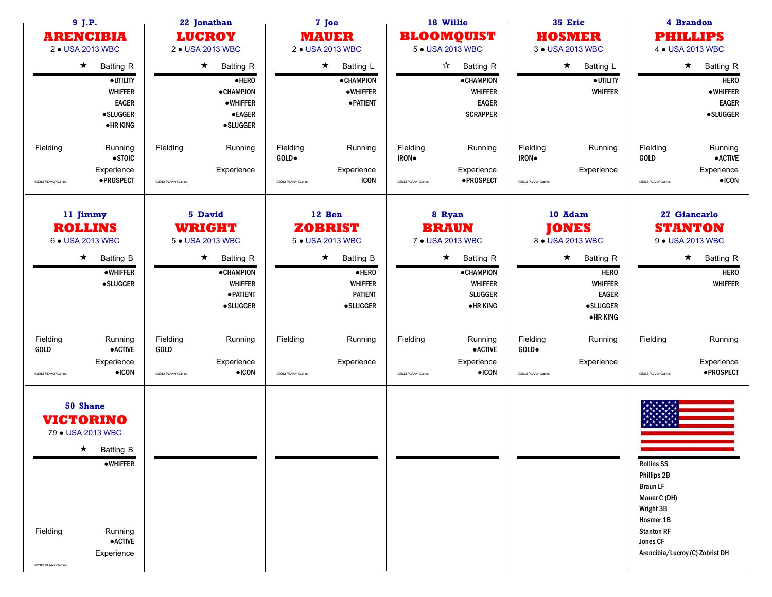| 9 J.P.<br><b>ARENCIBIA</b><br>2 . USA 2013 WBC                                                                                                                          | 22 Jonathan<br><b>LUCROY</b><br>2 • USA 2013 WBC                                                                                                         | 7 Joe<br><b>MAUER</b><br>2 . USA 2013 WBC                                                                                                      | 18 Willie<br><b>BLOOMQUIST</b><br>5 . USA 2013 WBC                                                                                           | 35 Eric<br><b>HOSMER</b><br>3 . USA 2013 WBC                                                                                                                        | 4 Brandon<br><b>PHILLIPS</b><br>4 • USA 2013 WBC                                                                                                                  |  |
|-------------------------------------------------------------------------------------------------------------------------------------------------------------------------|----------------------------------------------------------------------------------------------------------------------------------------------------------|------------------------------------------------------------------------------------------------------------------------------------------------|----------------------------------------------------------------------------------------------------------------------------------------------|---------------------------------------------------------------------------------------------------------------------------------------------------------------------|-------------------------------------------------------------------------------------------------------------------------------------------------------------------|--|
| $\star$<br><b>Batting R</b><br>·UTILITY<br><b>WHIFFER</b><br><b>EAGER</b><br><b>•SLUGGER</b><br><b>•HRKING</b>                                                          | $\star$<br><b>Batting R</b><br>·HERO<br><b>•CHAMPION</b><br><b>•WHIFFER</b><br><b>•EAGER</b><br><b>•SLUGGER</b>                                          | $\star$<br>Batting L<br><b>•CHAMPION</b><br>$\bullet$ WHIFFER<br><b>• PATIENT</b>                                                              | $\frac{1}{\sqrt{2}}$<br>Batting R<br><b>•CHAMPION</b><br><b>WHIFFER</b><br><b>EAGER</b><br><b>SCRAPPER</b>                                   | $\star$<br>Batting L<br><b>•UTILITY</b><br><b>WHIFFER</b>                                                                                                           | $\star$<br><b>Batting R</b><br><b>HERO</b><br><b>•WHIFFER</b><br><b>EAGER</b><br><b>•SLUGGER</b>                                                                  |  |
| Fielding<br>Running<br>$\bullet$ STOIC<br>Experience<br>·PROSPECT<br>@2013 PLAAY Games                                                                                  | Fielding<br>Running<br>Experience<br><sup>©</sup> 2013 PLAAY Games                                                                                       | Fielding<br>Running<br>$GOLD \bullet$<br>Experience<br><b>ICON</b><br>@2013 PLAAY Games                                                        | Fielding<br>Running<br>IRON.<br>Experience<br>·PROSPECT<br>@2013 PLAAY Games                                                                 | Fielding<br>Running<br>IRON.<br>Experience<br>@2013 PLAAY Games                                                                                                     | Fielding<br>Running<br>$\bullet$ ACTIVE<br>GOLD<br>Experience<br>$\bullet$ ICON<br>@2013 PLAAY Games                                                              |  |
| 11 Jimmy<br><b>ROLLINS</b><br>6 . USA 2013 WBC<br>$\star$<br>Batting B<br>$\bullet$ WHIFFER<br><b>•SLUGGER</b>                                                          | 5 David<br><b>WRIGHT</b><br>5 . USA 2013 WBC<br>$\star$<br><b>Batting R</b><br><b>•CHAMPION</b><br><b>WHIFFER</b><br><b>• PATIENT</b><br><b>•SLUGGER</b> | 12 Ben<br><b>ZOBRIST</b><br>5 . USA 2013 WBC<br>$\star$<br><b>Batting B</b><br>$e$ HERO<br><b>WHIFFER</b><br><b>PATIENT</b><br><b>•SLUGGER</b> | 8 Ryan<br><b>BRAUN</b><br>7 • USA 2013 WBC<br>$\star$<br><b>Batting R</b><br><b>•CHAMPION</b><br>WHIFFER<br><b>SLUGGER</b><br><b>•HRKING</b> | 10 Adam<br><b>JONES</b><br>8 . USA 2013 WBC<br><b>Batting R</b><br>$\star$<br><b>HERO</b><br><b>WHIFFER</b><br><b>EAGER</b><br><b>•SLUGGER</b><br>$\bullet$ HR KING | 27 Giancarlo<br><b>STANTON</b><br>9 • USA 2013 WBC<br><b>Batting R</b><br>$\star$<br><b>HERO</b><br><b>WHIFFER</b>                                                |  |
| Fielding<br>Running<br><b>• ACTIVE</b><br>GOLD<br>Experience<br>$\bullet$ ICON<br>@2013 PLAAY Games                                                                     | Fielding<br>Running<br><b>GOLD</b><br>Experience<br>$\bullet$ ICON<br><sup>©</sup> 2013 PLAAY Games                                                      | Fielding<br>Running<br>Experience<br>@2013 PLAAY Games                                                                                         | Fielding<br>Running<br><b>•ACTIVE</b><br>Experience<br>$\bullet$ ICON<br>©2013 PLAAY Games                                                   | Fielding<br>Running<br>GOLD.<br>Experience<br>@2013 PLAAY Games                                                                                                     | Fielding<br>Running<br>Experience<br>·PROSPECT<br>@2013 PLAAY Games                                                                                               |  |
| 50 Shane<br><b>VICTORINO</b><br>79 . USA 2013 WBC<br>$\star$ Batting B<br><b>•WHIFFER</b><br>Fielding<br>Running<br>$\bullet$ ACTIVE<br>Experience<br>@2013 PLAAY Games |                                                                                                                                                          |                                                                                                                                                |                                                                                                                                              |                                                                                                                                                                     | <b>Rollins SS</b><br>Phillips 2B<br><b>Braun LF</b><br>Mauer C (DH)<br>Wright 3B<br>Hosmer 1B<br><b>Stanton RF</b><br>Jones CF<br>Arencibia/Lucroy (C) Zobrist DH |  |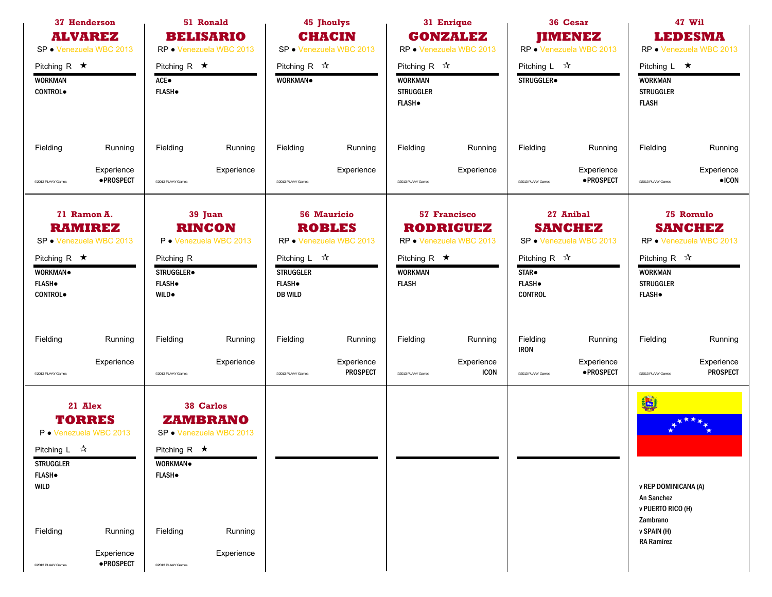| 37 Henderson<br><b>ALVAREZ</b><br>SP · Venezuela WBC 2013                                                                            | 51 Ronald<br><b>BELISARIO</b><br>RP · Venezuela WBC 2013                                                          | <b>45 Jhoulys</b><br><b>CHACIN</b><br>SP · Venezuela WBC 2013                                                                                      | 31 Enrique<br><b>GONZALEZ</b><br>RP · Venezuela WBC 2013                                                            | 36 Cesar<br><b>JIMENEZ</b><br>RP · Venezuela WBC 2013                                                                                            | 47 Wil<br><b>LEDESMA</b><br>RP · Venezuela WBC 2013                                                                                           |  |
|--------------------------------------------------------------------------------------------------------------------------------------|-------------------------------------------------------------------------------------------------------------------|----------------------------------------------------------------------------------------------------------------------------------------------------|---------------------------------------------------------------------------------------------------------------------|--------------------------------------------------------------------------------------------------------------------------------------------------|-----------------------------------------------------------------------------------------------------------------------------------------------|--|
| Pitching R $\star$<br><b>WORKMAN</b><br>CONTROL.                                                                                     | Pitching R $\star$<br>ACE●<br><b>FLASH</b> .                                                                      | Pitching R $\sqrt{\lambda}$<br>WORKMAN.                                                                                                            | Pitching R $\mathcal{R}$<br><b>WORKMAN</b><br><b>STRUGGLER</b><br><b>FLASH</b> .                                    | Pitching L $\vec{x}$<br>STRUGGLER.                                                                                                               | Pitching $L \star$<br><b>WORKMAN</b><br><b>STRUGGLER</b><br><b>FLASH</b>                                                                      |  |
| Fielding<br>Running                                                                                                                  | Fielding<br>Running                                                                                               | Fielding<br>Running                                                                                                                                | Fielding<br>Running                                                                                                 | Fielding<br>Running                                                                                                                              | Fielding<br>Running                                                                                                                           |  |
| Experience<br>· PROSPECT<br>@2013 PLAAY Games                                                                                        | Experience<br>@2013 PLAAY Games                                                                                   | Experience<br>@2013 PLAAY Games                                                                                                                    | Experience<br>@2013 PLAAY Games                                                                                     | Experience<br>·PROSPECT<br>@2013 PLAAY Games                                                                                                     | Experience<br>$\bullet$ ICON<br>@2013 PLAAY Games                                                                                             |  |
| 71 Ramon A.<br><b>RAMIREZ</b><br>SP · Venezuela WBC 2013<br>Pitching R $\star$<br><b>WORKMAN</b><br><b>FLASH</b> .<br><b>CONTROL</b> | 39 Juan<br><b>RINCON</b><br>P · Venezuela WBC 2013<br>Pitching R<br>STRUGGLER.<br><b>FLASH</b> .<br><b>WILD</b> . | <b>56 Mauricio</b><br><b>ROBLES</b><br>RP · Venezuela WBC 2013<br>Pitching L $\sqrt[3]{x}$<br><b>STRUGGLER</b><br><b>FLASH</b> .<br><b>DB WILD</b> | 57 Francisco<br><b>RODRIGUEZ</b><br>RP · Venezuela WBC 2013<br>Pitching R $\star$<br><b>WORKMAN</b><br><b>FLASH</b> | 27 Anibal<br><b>SANCHEZ</b><br>SP · Venezuela WBC 2013<br>Pitching R $\mathbb{\hat{X}}$<br>STAR <sup>.</sup><br><b>FLASH</b> .<br><b>CONTROL</b> | 75 Romulo<br><b>SANCHEZ</b><br>RP • Venezuela WBC 2013<br>Pitching R $\sqrt{\lambda}$<br><b>WORKMAN</b><br><b>STRUGGLER</b><br><b>FLASH</b> . |  |
| Fielding<br>Running                                                                                                                  | Fielding<br>Running                                                                                               | Fielding<br>Running                                                                                                                                | Fielding<br>Running                                                                                                 | Fielding<br>Running<br><b>IRON</b>                                                                                                               | Fielding<br>Running                                                                                                                           |  |
| Experience<br>@2013 PLAAY Games                                                                                                      | Experience<br>@2013 PLAAY Games                                                                                   | Experience<br><b>PROSPECT</b><br>@2013 PLAAY Games                                                                                                 | Experience<br><b>ICON</b><br>©2013 PLAAY Games                                                                      | Experience<br>·PROSPECT<br>@2013 PLAAY Games                                                                                                     | Experience<br><b>PROSPECT</b><br>@2013 PLAAY Games                                                                                            |  |
| 21 Alex<br><b>TORRES</b><br>P · Venezuela WBC 2013<br>Pitching $L \quad \mathbb{X}$<br><b>STRUGGLER</b><br><b>FLASH</b> .<br>WILD    | 38 Carlos<br><b>ZAMBRANO</b><br>SP · Venezuela WBC 2013<br>Pitching R $\star$<br>WORKMAN.<br><b>FLASH</b> .       |                                                                                                                                                    |                                                                                                                     |                                                                                                                                                  | 製<br>v REP DOMINICANA (A)<br>An Sanchez<br>v PUERTO RICO (H)                                                                                  |  |
| Fielding<br>Running<br>Experience<br>· PROSPECT<br>@2013 PLAAY Games                                                                 | Fielding<br>Running<br>Experience<br>@2013 PLAAY Games                                                            |                                                                                                                                                    |                                                                                                                     |                                                                                                                                                  | Zambrano<br>v SPAIN (H)<br><b>RA Ramirez</b>                                                                                                  |  |